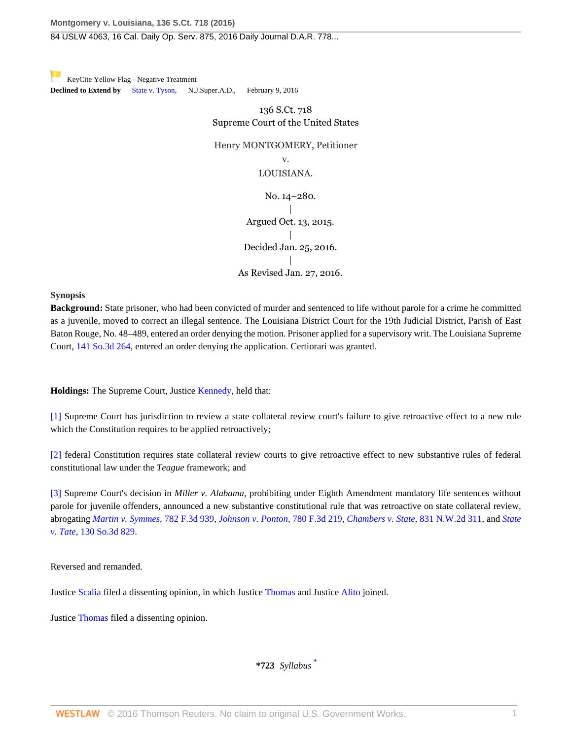84 USLW 4063, 16 Cal. Daily Op. Serv. 875, 2016 Daily Journal D.A.R. 778...

[K](https://a.next.westlaw.com/Link/RelatedInformation/Flag?documentGuid=I3698b26ac34e11e5a795ac035416da91&transitionType=Document&originationContext=docHeaderFlag&contextData=(sc.Search))eyCite Yellow Flag - Negative Treatment **Declined to Extend by** [State v. Tyson](https://a.next.westlaw.com/Document/Ifde832c3cf2511e5b4bafa136b480ad2/View/FullText.html?navigationPath=RelatedInfo%2Fv4%2Fkeycite%2Fnav%2F%3Fguid%3DIfde832c3cf2511e5b4bafa136b480ad2%26ss%3D2038150528%26ds%3D2038251390&listSource=RelatedInfo&list=NegativeCitingReferences&rank=0&originationContext=docHeader&transitionType=NegativeTreatment&contextData=%28sc.Search%29), N.J.Super.A.D., February 9, 2016

> 136 S.Ct. 718 Supreme Court of the United States

Henry MONTGOMERY, Petitioner

v.

LOUISIANA.

No. 14–280. | Argued Oct. 13, 2015. | Decided Jan. 25, 2016. | As Revised Jan. 27, 2016.

**Synopsis**

**Background:** State prisoner, who had been convicted of murder and sentenced to life without parole for a crime he committed as a juvenile, moved to correct an illegal sentence. The Louisiana District Court for the 19th Judicial District, Parish of East Baton Rouge, No. 48–489, entered an order denying the motion. Prisoner applied for a supervisory writ. The Louisiana Supreme Court, [141 So.3d 264,](http://www.westlaw.com/Link/Document/FullText?findType=Y&pubNum=0003926&cite=141SO3D264&originatingDoc=I3698b26ac34e11e5a795ac035416da91&refType=RP&originationContext=document&vr=3.0&rs=cblt1.0&transitionType=DocumentItem&contextData=(sc.Search)) entered an order denying the application. Certiorari was granted.

**Holdings:** The Supreme Court, Justice [Kennedy,](http://www.westlaw.com/Link/Document/FullText?findType=h&pubNum=176284&cite=0243105201&originatingDoc=I3698b26ac34e11e5a795ac035416da91&refType=RQ&originationContext=document&vr=3.0&rs=cblt1.0&transitionType=DocumentItem&contextData=(sc.Search)) held that:

[1] Supreme Court has jurisdiction to review a state collateral review court's failure to give retroactive effect to a new rule which the Constitution requires to be applied retroactively;

[2] federal Constitution requires state collateral review courts to give retroactive effect to new substantive rules of federal constitutional law under the *Teague* framework; and

[3] Supreme Court's decision in *Miller v. Alabama*, prohibiting under Eighth Amendment mandatory life sentences without parole for juvenile offenders, announced a new substantive constitutional rule that was retroactive on state collateral review, abrogating *[Martin v. Symmes](http://www.westlaw.com/Link/Document/FullText?findType=Y&serNum=2035754889&pubNum=0000506&originatingDoc=I3698b26ac34e11e5a795ac035416da91&refType=RP&originationContext=document&vr=3.0&rs=cblt1.0&transitionType=DocumentItem&contextData=(sc.Search))*, 782 F.3d 939, *[Johnson v. Ponton](http://www.westlaw.com/Link/Document/FullText?findType=Y&serNum=2035554853&pubNum=0000506&originatingDoc=I3698b26ac34e11e5a795ac035416da91&refType=RP&originationContext=document&vr=3.0&rs=cblt1.0&transitionType=DocumentItem&contextData=(sc.Search))*, 780 F.3d 219, *[Chambers v. State](http://www.westlaw.com/Link/Document/FullText?findType=Y&serNum=2030639740&pubNum=0000595&originatingDoc=I3698b26ac34e11e5a795ac035416da91&refType=RP&originationContext=document&vr=3.0&rs=cblt1.0&transitionType=DocumentItem&contextData=(sc.Search))*, 831 N.W.2d 311, and *[State](http://www.westlaw.com/Link/Document/FullText?findType=Y&serNum=2031903531&pubNum=0003926&originatingDoc=I3698b26ac34e11e5a795ac035416da91&refType=RP&originationContext=document&vr=3.0&rs=cblt1.0&transitionType=DocumentItem&contextData=(sc.Search)) v. Tate*[, 130 So.3d 829](http://www.westlaw.com/Link/Document/FullText?findType=Y&serNum=2031903531&pubNum=0003926&originatingDoc=I3698b26ac34e11e5a795ac035416da91&refType=RP&originationContext=document&vr=3.0&rs=cblt1.0&transitionType=DocumentItem&contextData=(sc.Search)).

Reversed and remanded.

Justice [Scalia](http://www.westlaw.com/Link/Document/FullText?findType=h&pubNum=176284&cite=0254763301&originatingDoc=I3698b26ac34e11e5a795ac035416da91&refType=RQ&originationContext=document&vr=3.0&rs=cblt1.0&transitionType=DocumentItem&contextData=(sc.Search)) filed a dissenting opinion, in which Justice [Thomas](http://www.westlaw.com/Link/Document/FullText?findType=h&pubNum=176284&cite=0216654601&originatingDoc=I3698b26ac34e11e5a795ac035416da91&refType=RQ&originationContext=document&vr=3.0&rs=cblt1.0&transitionType=DocumentItem&contextData=(sc.Search)) and Justice [Alito](http://www.westlaw.com/Link/Document/FullText?findType=h&pubNum=176284&cite=0153052401&originatingDoc=I3698b26ac34e11e5a795ac035416da91&refType=RQ&originationContext=document&vr=3.0&rs=cblt1.0&transitionType=DocumentItem&contextData=(sc.Search)) joined.

Justice [Thomas](http://www.westlaw.com/Link/Document/FullText?findType=h&pubNum=176284&cite=0216654601&originatingDoc=I3698b26ac34e11e5a795ac035416da91&refType=RQ&originationContext=document&vr=3.0&rs=cblt1.0&transitionType=DocumentItem&contextData=(sc.Search)) filed a dissenting opinion.

<span id="page-0-0"></span>**\*723** *Syllabus [\\*](#page-21-0)*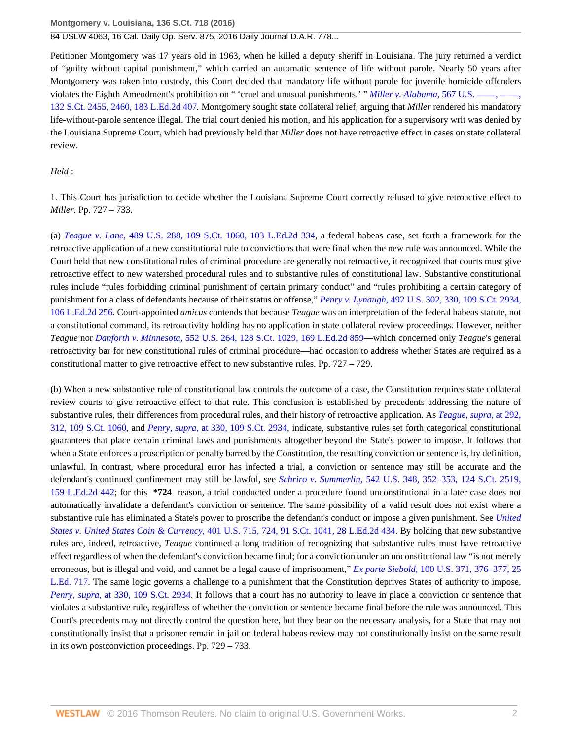Petitioner Montgomery was 17 years old in 1963, when he killed a deputy sheriff in Louisiana. The jury returned a verdict of "guilty without capital punishment," which carried an automatic sentence of life without parole. Nearly 50 years after Montgomery was taken into custody, this Court decided that mandatory life without parole for juvenile homicide offenders violates the Eighth Amendment's prohibition on " 'cruel and unusual punishments.' " *Miller v. Alabama,* [567 U.S. ––––, ––––,](http://www.westlaw.com/Link/Document/FullText?findType=Y&serNum=2027964006&pubNum=0000708&originatingDoc=I3698b26ac34e11e5a795ac035416da91&refType=RP&fi=co_pp_sp_708_2460&originationContext=document&vr=3.0&rs=cblt1.0&transitionType=DocumentItem&contextData=(sc.Search)#co_pp_sp_708_2460) [132 S.Ct. 2455, 2460, 183 L.Ed.2d 407](http://www.westlaw.com/Link/Document/FullText?findType=Y&serNum=2027964006&pubNum=0000708&originatingDoc=I3698b26ac34e11e5a795ac035416da91&refType=RP&fi=co_pp_sp_708_2460&originationContext=document&vr=3.0&rs=cblt1.0&transitionType=DocumentItem&contextData=(sc.Search)#co_pp_sp_708_2460)*.* Montgomery sought state collateral relief, arguing that *Miller* rendered his mandatory life-without-parole sentence illegal. The trial court denied his motion, and his application for a supervisory writ was denied by the Louisiana Supreme Court, which had previously held that *Miller* does not have retroactive effect in cases on state collateral review.

## *Held* :

1. This Court has jurisdiction to decide whether the Louisiana Supreme Court correctly refused to give retroactive effect to *Miller*. Pp. 727 – 733.

(a) *Teague v. Lane,* [489 U.S. 288, 109 S.Ct. 1060, 103 L.Ed.2d 334](http://www.westlaw.com/Link/Document/FullText?findType=Y&serNum=1989027119&pubNum=0000708&originatingDoc=I3698b26ac34e11e5a795ac035416da91&refType=RP&originationContext=document&vr=3.0&rs=cblt1.0&transitionType=DocumentItem&contextData=(sc.Search)), a federal habeas case, set forth a framework for the retroactive application of a new constitutional rule to convictions that were final when the new rule was announced. While the Court held that new constitutional rules of criminal procedure are generally not retroactive, it recognized that courts must give retroactive effect to new watershed procedural rules and to substantive rules of constitutional law. Substantive constitutional rules include "rules forbidding criminal punishment of certain primary conduct" and "rules prohibiting a certain category of punishment for a class of defendants because of their status or offense," *Penry v. Lynaugh,* [492 U.S. 302, 330, 109 S.Ct. 2934,](http://www.westlaw.com/Link/Document/FullText?findType=Y&serNum=1989094482&pubNum=0000708&originatingDoc=I3698b26ac34e11e5a795ac035416da91&refType=RP&originationContext=document&vr=3.0&rs=cblt1.0&transitionType=DocumentItem&contextData=(sc.Search)) [106 L.Ed.2d 256.](http://www.westlaw.com/Link/Document/FullText?findType=Y&serNum=1989094482&pubNum=0000708&originatingDoc=I3698b26ac34e11e5a795ac035416da91&refType=RP&originationContext=document&vr=3.0&rs=cblt1.0&transitionType=DocumentItem&contextData=(sc.Search)) Court-appointed *amicus* contends that because *Teague* was an interpretation of the federal habeas statute, not a constitutional command, its retroactivity holding has no application in state collateral review proceedings. However, neither *Teague* nor *Danforth v. Minnesota,* [552 U.S. 264, 128 S.Ct. 1029, 169 L.Ed.2d 859—](http://www.westlaw.com/Link/Document/FullText?findType=Y&serNum=2015291207&pubNum=0000708&originatingDoc=I3698b26ac34e11e5a795ac035416da91&refType=RP&originationContext=document&vr=3.0&rs=cblt1.0&transitionType=DocumentItem&contextData=(sc.Search))which concerned only *Teague*'s general retroactivity bar for new constitutional rules of criminal procedure—had occasion to address whether States are required as a constitutional matter to give retroactive effect to new substantive rules. Pp. 727 – 729.

(b) When a new substantive rule of constitutional law controls the outcome of a case, the Constitution requires state collateral review courts to give retroactive effect to that rule. This conclusion is established by precedents addressing the nature of substantive rules, their differences from procedural rules, and their history of retroactive application. As *[Teague, supra,](http://www.westlaw.com/Link/Document/FullText?findType=Y&serNum=1989027119&pubNum=0000708&originatingDoc=I3698b26ac34e11e5a795ac035416da91&refType=RP&originationContext=document&vr=3.0&rs=cblt1.0&transitionType=DocumentItem&contextData=(sc.Search))* at 292, [312, 109 S.Ct. 1060](http://www.westlaw.com/Link/Document/FullText?findType=Y&serNum=1989027119&pubNum=0000708&originatingDoc=I3698b26ac34e11e5a795ac035416da91&refType=RP&originationContext=document&vr=3.0&rs=cblt1.0&transitionType=DocumentItem&contextData=(sc.Search)), and *Penry, supra,* [at 330, 109 S.Ct. 2934](http://www.westlaw.com/Link/Document/FullText?findType=Y&serNum=1989094482&pubNum=0000708&originatingDoc=I3698b26ac34e11e5a795ac035416da91&refType=RP&originationContext=document&vr=3.0&rs=cblt1.0&transitionType=DocumentItem&contextData=(sc.Search)), indicate, substantive rules set forth categorical constitutional guarantees that place certain criminal laws and punishments altogether beyond the State's power to impose. It follows that when a State enforces a proscription or penalty barred by the Constitution, the resulting conviction or sentence is, by definition, unlawful. In contrast, where procedural error has infected a trial, a conviction or sentence may still be accurate and the defendant's continued confinement may still be lawful, see *Schriro v. Summerlin,* [542 U.S. 348, 352–353, 124 S.Ct. 2519,](http://www.westlaw.com/Link/Document/FullText?findType=Y&serNum=2004622663&pubNum=0000708&originatingDoc=I3698b26ac34e11e5a795ac035416da91&refType=RP&originationContext=document&vr=3.0&rs=cblt1.0&transitionType=DocumentItem&contextData=(sc.Search)) [159 L.Ed.2d 442;](http://www.westlaw.com/Link/Document/FullText?findType=Y&serNum=2004622663&pubNum=0000708&originatingDoc=I3698b26ac34e11e5a795ac035416da91&refType=RP&originationContext=document&vr=3.0&rs=cblt1.0&transitionType=DocumentItem&contextData=(sc.Search)) for this **\*724** reason, a trial conducted under a procedure found unconstitutional in a later case does not automatically invalidate a defendant's conviction or sentence. The same possibility of a valid result does not exist where a substantive rule has eliminated a State's power to proscribe the defendant's conduct or impose a given punishment. See *[United](http://www.westlaw.com/Link/Document/FullText?findType=Y&serNum=1971127037&pubNum=0000708&originatingDoc=I3698b26ac34e11e5a795ac035416da91&refType=RP&originationContext=document&vr=3.0&rs=cblt1.0&transitionType=DocumentItem&contextData=(sc.Search)) States v. United States Coin & Currency,* [401 U.S. 715, 724, 91 S.Ct. 1041, 28 L.Ed.2d 434](http://www.westlaw.com/Link/Document/FullText?findType=Y&serNum=1971127037&pubNum=0000708&originatingDoc=I3698b26ac34e11e5a795ac035416da91&refType=RP&originationContext=document&vr=3.0&rs=cblt1.0&transitionType=DocumentItem&contextData=(sc.Search)). By holding that new substantive rules are, indeed, retroactive, *Teague* continued a long tradition of recognizing that substantive rules must have retroactive effect regardless of when the defendant's conviction became final; for a conviction under an unconstitutional law "is not merely erroneous, but is illegal and void, and cannot be a legal cause of imprisonment," *Ex parte Siebold,* [100 U.S. 371, 376–377, 25](http://www.westlaw.com/Link/Document/FullText?findType=Y&serNum=1800131032&pubNum=0000780&originatingDoc=I3698b26ac34e11e5a795ac035416da91&refType=RP&fi=co_pp_sp_780_376&originationContext=document&vr=3.0&rs=cblt1.0&transitionType=DocumentItem&contextData=(sc.Search)#co_pp_sp_780_376) [L.Ed. 717](http://www.westlaw.com/Link/Document/FullText?findType=Y&serNum=1800131032&pubNum=0000780&originatingDoc=I3698b26ac34e11e5a795ac035416da91&refType=RP&fi=co_pp_sp_780_376&originationContext=document&vr=3.0&rs=cblt1.0&transitionType=DocumentItem&contextData=(sc.Search)#co_pp_sp_780_376). The same logic governs a challenge to a punishment that the Constitution deprives States of authority to impose, *Penry, supra,* [at 330, 109 S.Ct. 2934](http://www.westlaw.com/Link/Document/FullText?findType=Y&serNum=1989094482&pubNum=0000708&originatingDoc=I3698b26ac34e11e5a795ac035416da91&refType=RP&originationContext=document&vr=3.0&rs=cblt1.0&transitionType=DocumentItem&contextData=(sc.Search)). It follows that a court has no authority to leave in place a conviction or sentence that violates a substantive rule, regardless of whether the conviction or sentence became final before the rule was announced. This Court's precedents may not directly control the question here, but they bear on the necessary analysis, for a State that may not constitutionally insist that a prisoner remain in jail on federal habeas review may not constitutionally insist on the same result in its own postconviction proceedings. Pp. 729 – 733.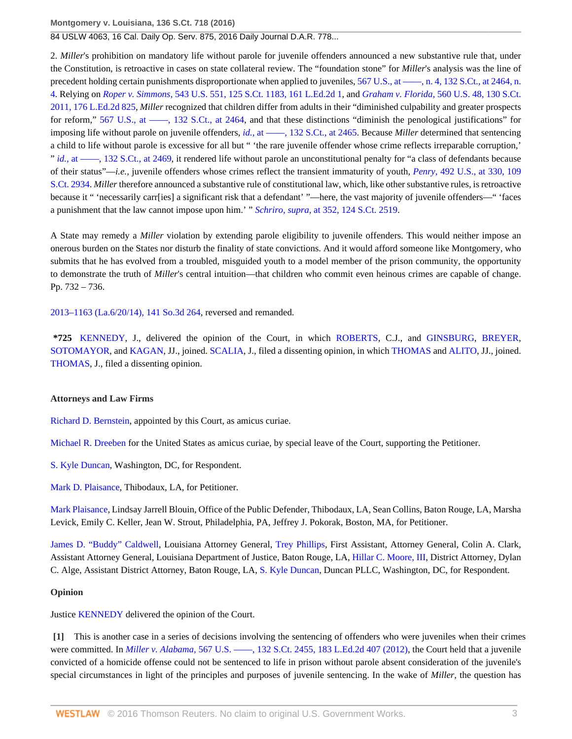2. *Miller*'s prohibition on mandatory life without parole for juvenile offenders announced a new substantive rule that, under the Constitution, is retroactive in cases on state collateral review. The "foundation stone" for *Miller*'s analysis was the line of precedent holding certain punishments disproportionate when applied to juveniles, 567 U.S., at ——, n. 4, 132 S.Ct., at 2464, n. [4](http://www.westlaw.com/Link/Document/FullText?findType=Y&serNum=2027964006&pubNum=0000708&originatingDoc=I3698b26ac34e11e5a795ac035416da91&refType=RP&fi=co_pp_sp_708_2464&originationContext=document&vr=3.0&rs=cblt1.0&transitionType=DocumentItem&contextData=(sc.Search)#co_pp_sp_708_2464). Relying on *Roper v. Simmons,* [543 U.S. 551, 125 S.Ct. 1183, 161 L.Ed.2d 1](http://www.westlaw.com/Link/Document/FullText?findType=Y&serNum=2006291922&pubNum=0000708&originatingDoc=I3698b26ac34e11e5a795ac035416da91&refType=RP&originationContext=document&vr=3.0&rs=cblt1.0&transitionType=DocumentItem&contextData=(sc.Search)), and *Graham v. Florida,* [560 U.S. 48, 130 S.Ct.](http://www.westlaw.com/Link/Document/FullText?findType=Y&serNum=2022052221&pubNum=0000708&originatingDoc=I3698b26ac34e11e5a795ac035416da91&refType=RP&originationContext=document&vr=3.0&rs=cblt1.0&transitionType=DocumentItem&contextData=(sc.Search)) [2011, 176 L.Ed.2d 825](http://www.westlaw.com/Link/Document/FullText?findType=Y&serNum=2022052221&pubNum=0000708&originatingDoc=I3698b26ac34e11e5a795ac035416da91&refType=RP&originationContext=document&vr=3.0&rs=cblt1.0&transitionType=DocumentItem&contextData=(sc.Search)), *Miller* recognized that children differ from adults in their "diminished culpability and greater prospects for reform," 567 U.S., at ——, 132 S.Ct., at 2464, and that these distinctions "diminish the penological justifications" for imposing life without parole on juvenile offenders, *id.*, at ——, 132 S.Ct., at 2465. Because *Miller* determined that sentencing a child to life without parole is excessive for all but " 'the rare juvenile offender whose crime reflects irreparable corruption,' " *id.*, at ——, 132 S.Ct., at 2469, it rendered life without parole an unconstitutional penalty for "a class of defendants because of their status"—*i.e.,* juvenile offenders whose crimes reflect the transient immaturity of youth, *Penry,* [492 U.S., at 330, 109](http://www.westlaw.com/Link/Document/FullText?findType=Y&serNum=1989094482&pubNum=0000708&originatingDoc=I3698b26ac34e11e5a795ac035416da91&refType=RP&originationContext=document&vr=3.0&rs=cblt1.0&transitionType=DocumentItem&contextData=(sc.Search)) [S.Ct. 2934.](http://www.westlaw.com/Link/Document/FullText?findType=Y&serNum=1989094482&pubNum=0000708&originatingDoc=I3698b26ac34e11e5a795ac035416da91&refType=RP&originationContext=document&vr=3.0&rs=cblt1.0&transitionType=DocumentItem&contextData=(sc.Search)) *Miller* therefore announced a substantive rule of constitutional law, which, like other substantive rules, is retroactive because it " 'necessarily carr[ies] a significant risk that a defendant' "—here, the vast majority of juvenile offenders—" 'faces a punishment that the law cannot impose upon him.' " *Schriro, supra,* [at 352, 124 S.Ct. 2519.](http://www.westlaw.com/Link/Document/FullText?findType=Y&serNum=2004622663&pubNum=0000708&originatingDoc=I3698b26ac34e11e5a795ac035416da91&refType=RP&originationContext=document&vr=3.0&rs=cblt1.0&transitionType=DocumentItem&contextData=(sc.Search))

A State may remedy a *Miller* violation by extending parole eligibility to juvenile offenders. This would neither impose an onerous burden on the States nor disturb the finality of state convictions. And it would afford someone like Montgomery, who submits that he has evolved from a troubled, misguided youth to a model member of the prison community, the opportunity to demonstrate the truth of *Miller*'s central intuition—that children who commit even heinous crimes are capable of change. Pp. 732 – 736.

[2013–1163 \(La.6/20/14\), 141 So.3d 264,](http://www.westlaw.com/Link/Document/FullText?findType=Y&serNum=2033649235&pubNum=0003926&originatingDoc=I3698b26ac34e11e5a795ac035416da91&refType=RP&originationContext=document&vr=3.0&rs=cblt1.0&transitionType=DocumentItem&contextData=(sc.Search)) reversed and remanded.

**\*725** [KENNEDY,](http://www.westlaw.com/Link/Document/FullText?findType=h&pubNum=176284&cite=0243105201&originatingDoc=I3698b26ac34e11e5a795ac035416da91&refType=RQ&originationContext=document&vr=3.0&rs=cblt1.0&transitionType=DocumentItem&contextData=(sc.Search)) J., delivered the opinion of the Court, in which [ROBERTS,](http://www.westlaw.com/Link/Document/FullText?findType=h&pubNum=176284&cite=0258116001&originatingDoc=I3698b26ac34e11e5a795ac035416da91&refType=RQ&originationContext=document&vr=3.0&rs=cblt1.0&transitionType=DocumentItem&contextData=(sc.Search)) C.J., and [GINSBURG,](http://www.westlaw.com/Link/Document/FullText?findType=h&pubNum=176284&cite=0224420501&originatingDoc=I3698b26ac34e11e5a795ac035416da91&refType=RQ&originationContext=document&vr=3.0&rs=cblt1.0&transitionType=DocumentItem&contextData=(sc.Search)) [BREYER](http://www.westlaw.com/Link/Document/FullText?findType=h&pubNum=176284&cite=0254766801&originatingDoc=I3698b26ac34e11e5a795ac035416da91&refType=RQ&originationContext=document&vr=3.0&rs=cblt1.0&transitionType=DocumentItem&contextData=(sc.Search)), [SOTOMAYOR](http://www.westlaw.com/Link/Document/FullText?findType=h&pubNum=176284&cite=0145172701&originatingDoc=I3698b26ac34e11e5a795ac035416da91&refType=RQ&originationContext=document&vr=3.0&rs=cblt1.0&transitionType=DocumentItem&contextData=(sc.Search)), and [KAGAN,](http://www.westlaw.com/Link/Document/FullText?findType=h&pubNum=176284&cite=0301239401&originatingDoc=I3698b26ac34e11e5a795ac035416da91&refType=RQ&originationContext=document&vr=3.0&rs=cblt1.0&transitionType=DocumentItem&contextData=(sc.Search)) JJ., joined. [SCALIA,](http://www.westlaw.com/Link/Document/FullText?findType=h&pubNum=176284&cite=0254763301&originatingDoc=I3698b26ac34e11e5a795ac035416da91&refType=RQ&originationContext=document&vr=3.0&rs=cblt1.0&transitionType=DocumentItem&contextData=(sc.Search)) J., filed a dissenting opinion, in which [THOMAS](http://www.westlaw.com/Link/Document/FullText?findType=h&pubNum=176284&cite=0216654601&originatingDoc=I3698b26ac34e11e5a795ac035416da91&refType=RQ&originationContext=document&vr=3.0&rs=cblt1.0&transitionType=DocumentItem&contextData=(sc.Search)) and [ALITO,](http://www.westlaw.com/Link/Document/FullText?findType=h&pubNum=176284&cite=0153052401&originatingDoc=I3698b26ac34e11e5a795ac035416da91&refType=RQ&originationContext=document&vr=3.0&rs=cblt1.0&transitionType=DocumentItem&contextData=(sc.Search)) JJ., joined. [THOMAS](http://www.westlaw.com/Link/Document/FullText?findType=h&pubNum=176284&cite=0216654601&originatingDoc=I3698b26ac34e11e5a795ac035416da91&refType=RQ&originationContext=document&vr=3.0&rs=cblt1.0&transitionType=DocumentItem&contextData=(sc.Search)), J., filed a dissenting opinion.

# **Attorneys and Law Firms**

[Richard D. Bernstein,](http://www.westlaw.com/Link/Document/FullText?findType=h&pubNum=176284&cite=0157554501&originatingDoc=I3698b26ac34e11e5a795ac035416da91&refType=RQ&originationContext=document&vr=3.0&rs=cblt1.0&transitionType=DocumentItem&contextData=(sc.Search)) appointed by this Court, as amicus curiae.

[Michael R. Dreeben](http://www.westlaw.com/Link/Document/FullText?findType=h&pubNum=176284&cite=0138842401&originatingDoc=I3698b26ac34e11e5a795ac035416da91&refType=RQ&originationContext=document&vr=3.0&rs=cblt1.0&transitionType=DocumentItem&contextData=(sc.Search)) for the United States as amicus curiae, by special leave of the Court, supporting the Petitioner.

[S. Kyle Duncan,](http://www.westlaw.com/Link/Document/FullText?findType=h&pubNum=176284&cite=0464700501&originatingDoc=I3698b26ac34e11e5a795ac035416da91&refType=RQ&originationContext=document&vr=3.0&rs=cblt1.0&transitionType=DocumentItem&contextData=(sc.Search)) Washington, DC, for Respondent.

[Mark D. Plaisance](http://www.westlaw.com/Link/Document/FullText?findType=h&pubNum=176284&cite=0296288201&originatingDoc=I3698b26ac34e11e5a795ac035416da91&refType=RQ&originationContext=document&vr=3.0&rs=cblt1.0&transitionType=DocumentItem&contextData=(sc.Search)), Thibodaux, LA, for Petitioner.

[Mark Plaisance](http://www.westlaw.com/Link/Document/FullText?findType=h&pubNum=176284&cite=0296288201&originatingDoc=I3698b26ac34e11e5a795ac035416da91&refType=RQ&originationContext=document&vr=3.0&rs=cblt1.0&transitionType=DocumentItem&contextData=(sc.Search)), Lindsay Jarrell Blouin, Office of the Public Defender, Thibodaux, LA, Sean Collins, Baton Rouge, LA, Marsha Levick, Emily C. Keller, Jean W. Strout, Philadelphia, PA, Jeffrey J. Pokorak, Boston, MA, for Petitioner.

[James D. "Buddy" Caldwell,](http://www.westlaw.com/Link/Document/FullText?findType=h&pubNum=176284&cite=0275555301&originatingDoc=I3698b26ac34e11e5a795ac035416da91&refType=RQ&originationContext=document&vr=3.0&rs=cblt1.0&transitionType=DocumentItem&contextData=(sc.Search)) Louisiana Attorney General, [Trey Phillips,](http://www.westlaw.com/Link/Document/FullText?findType=h&pubNum=176284&cite=0464700301&originatingDoc=I3698b26ac34e11e5a795ac035416da91&refType=RQ&originationContext=document&vr=3.0&rs=cblt1.0&transitionType=DocumentItem&contextData=(sc.Search)) First Assistant, Attorney General, Colin A. Clark, Assistant Attorney General, Louisiana Department of Justice, Baton Rouge, LA, [Hillar C. Moore, III,](http://www.westlaw.com/Link/Document/FullText?findType=h&pubNum=176284&cite=0281013801&originatingDoc=I3698b26ac34e11e5a795ac035416da91&refType=RQ&originationContext=document&vr=3.0&rs=cblt1.0&transitionType=DocumentItem&contextData=(sc.Search)) District Attorney, Dylan C. Alge, Assistant District Attorney, Baton Rouge, LA, [S. Kyle Duncan,](http://www.westlaw.com/Link/Document/FullText?findType=h&pubNum=176284&cite=0464700501&originatingDoc=I3698b26ac34e11e5a795ac035416da91&refType=RQ&originationContext=document&vr=3.0&rs=cblt1.0&transitionType=DocumentItem&contextData=(sc.Search)) Duncan PLLC, Washington, DC, for Respondent.

# **Opinion**

Justice [KENNEDY](http://www.westlaw.com/Link/Document/FullText?findType=h&pubNum=176284&cite=0243105201&originatingDoc=I3698b26ac34e11e5a795ac035416da91&refType=RQ&originationContext=document&vr=3.0&rs=cblt1.0&transitionType=DocumentItem&contextData=(sc.Search)) delivered the opinion of the Court.

**[1]** This is another case in a series of decisions involving the sentencing of offenders who were juveniles when their crimes were committed. In *Miller v. Alabama*, 567 U.S. ——, 132 S.Ct. 2455, 183 L.Ed.2d 407 (2012), the Court held that a juvenile convicted of a homicide offense could not be sentenced to life in prison without parole absent consideration of the juvenile's special circumstances in light of the principles and purposes of juvenile sentencing. In the wake of *Miller*, the question has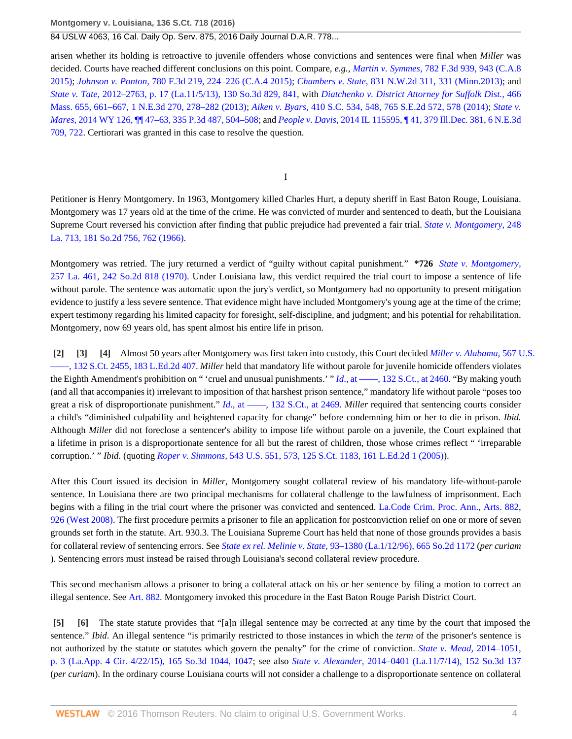arisen whether its holding is retroactive to juvenile offenders whose convictions and sentences were final when *Miller* was decided. Courts have reached different conclusions on this point. Compare, *e.g., Martin v. Symmes,* [782 F.3d 939, 943 \(C.A.8](http://www.westlaw.com/Link/Document/FullText?findType=Y&serNum=2035754889&pubNum=0000506&originatingDoc=I3698b26ac34e11e5a795ac035416da91&refType=RP&fi=co_pp_sp_506_943&originationContext=document&vr=3.0&rs=cblt1.0&transitionType=DocumentItem&contextData=(sc.Search)#co_pp_sp_506_943) [2015\)](http://www.westlaw.com/Link/Document/FullText?findType=Y&serNum=2035754889&pubNum=0000506&originatingDoc=I3698b26ac34e11e5a795ac035416da91&refType=RP&fi=co_pp_sp_506_943&originationContext=document&vr=3.0&rs=cblt1.0&transitionType=DocumentItem&contextData=(sc.Search)#co_pp_sp_506_943); *Johnson v. Ponton,* [780 F.3d 219, 224–226 \(C.A.4 2015\);](http://www.westlaw.com/Link/Document/FullText?findType=Y&serNum=2035554853&pubNum=0000506&originatingDoc=I3698b26ac34e11e5a795ac035416da91&refType=RP&fi=co_pp_sp_506_224&originationContext=document&vr=3.0&rs=cblt1.0&transitionType=DocumentItem&contextData=(sc.Search)#co_pp_sp_506_224) *Chambers v. State,* [831 N.W.2d 311, 331 \(Minn.2013\)](http://www.westlaw.com/Link/Document/FullText?findType=Y&serNum=2030639740&pubNum=0000595&originatingDoc=I3698b26ac34e11e5a795ac035416da91&refType=RP&fi=co_pp_sp_595_331&originationContext=document&vr=3.0&rs=cblt1.0&transitionType=DocumentItem&contextData=(sc.Search)#co_pp_sp_595_331); and *State v. Tate,* [2012–2763, p. 17 \(La.11/5/13\), 130 So.3d 829, 841,](http://www.westlaw.com/Link/Document/FullText?findType=Y&serNum=2031903531&pubNum=0003926&originatingDoc=I3698b26ac34e11e5a795ac035416da91&refType=RP&fi=co_pp_sp_3926_841&originationContext=document&vr=3.0&rs=cblt1.0&transitionType=DocumentItem&contextData=(sc.Search)#co_pp_sp_3926_841) with *[Diatchenko v. District Attorney for Suffolk Dist.,](http://www.westlaw.com/Link/Document/FullText?findType=Y&serNum=2032367197&pubNum=0007902&originatingDoc=I3698b26ac34e11e5a795ac035416da91&refType=RP&fi=co_pp_sp_7902_278&originationContext=document&vr=3.0&rs=cblt1.0&transitionType=DocumentItem&contextData=(sc.Search)#co_pp_sp_7902_278)* 466 [Mass. 655, 661–667, 1 N.E.3d 270, 278–282 \(2013\)](http://www.westlaw.com/Link/Document/FullText?findType=Y&serNum=2032367197&pubNum=0007902&originatingDoc=I3698b26ac34e11e5a795ac035416da91&refType=RP&fi=co_pp_sp_7902_278&originationContext=document&vr=3.0&rs=cblt1.0&transitionType=DocumentItem&contextData=(sc.Search)#co_pp_sp_7902_278); *Aiken v. Byars,* [410 S.C. 534, 548, 765 S.E.2d 572, 578 \(2014\);](http://www.westlaw.com/Link/Document/FullText?findType=Y&serNum=2034765172&pubNum=0000711&originatingDoc=I3698b26ac34e11e5a795ac035416da91&refType=RP&fi=co_pp_sp_711_578&originationContext=document&vr=3.0&rs=cblt1.0&transitionType=DocumentItem&contextData=(sc.Search)#co_pp_sp_711_578) *[State v.](http://www.westlaw.com/Link/Document/FullText?findType=Y&serNum=2034547034&pubNum=0004645&originatingDoc=I3698b26ac34e11e5a795ac035416da91&refType=RP&fi=co_pp_sp_4645_504&originationContext=document&vr=3.0&rs=cblt1.0&transitionType=DocumentItem&contextData=(sc.Search)#co_pp_sp_4645_504) Mares,* [2014 WY 126, ¶¶ 47–63, 335 P.3d 487, 504–508;](http://www.westlaw.com/Link/Document/FullText?findType=Y&serNum=2034547034&pubNum=0004645&originatingDoc=I3698b26ac34e11e5a795ac035416da91&refType=RP&fi=co_pp_sp_4645_504&originationContext=document&vr=3.0&rs=cblt1.0&transitionType=DocumentItem&contextData=(sc.Search)#co_pp_sp_4645_504) and *People v. Davis,* [2014 IL 115595, ¶ 41, 379 Ill.Dec. 381, 6 N.E.3d](http://www.westlaw.com/Link/Document/FullText?findType=Y&serNum=2032934802&pubNum=0007902&originatingDoc=I3698b26ac34e11e5a795ac035416da91&refType=RP&fi=co_pp_sp_7902_722&originationContext=document&vr=3.0&rs=cblt1.0&transitionType=DocumentItem&contextData=(sc.Search)#co_pp_sp_7902_722) [709, 722](http://www.westlaw.com/Link/Document/FullText?findType=Y&serNum=2032934802&pubNum=0007902&originatingDoc=I3698b26ac34e11e5a795ac035416da91&refType=RP&fi=co_pp_sp_7902_722&originationContext=document&vr=3.0&rs=cblt1.0&transitionType=DocumentItem&contextData=(sc.Search)#co_pp_sp_7902_722). Certiorari was granted in this case to resolve the question.

I

Petitioner is Henry Montgomery. In 1963, Montgomery killed Charles Hurt, a deputy sheriff in East Baton Rouge, Louisiana. Montgomery was 17 years old at the time of the crime. He was convicted of murder and sentenced to death, but the Louisiana Supreme Court reversed his conviction after finding that public prejudice had prevented a fair trial. *[State v. Montgomery,](http://www.westlaw.com/Link/Document/FullText?findType=Y&serNum=1966114139&pubNum=0000735&originatingDoc=I3698b26ac34e11e5a795ac035416da91&refType=RP&fi=co_pp_sp_735_762&originationContext=document&vr=3.0&rs=cblt1.0&transitionType=DocumentItem&contextData=(sc.Search)#co_pp_sp_735_762)* 248 [La. 713, 181 So.2d 756, 762 \(1966\).](http://www.westlaw.com/Link/Document/FullText?findType=Y&serNum=1966114139&pubNum=0000735&originatingDoc=I3698b26ac34e11e5a795ac035416da91&refType=RP&fi=co_pp_sp_735_762&originationContext=document&vr=3.0&rs=cblt1.0&transitionType=DocumentItem&contextData=(sc.Search)#co_pp_sp_735_762)

Montgomery was retried. The jury returned a verdict of "guilty without capital punishment." **\*726** *[State v. Montgomery,](http://www.westlaw.com/Link/Document/FullText?findType=Y&serNum=1970143014&pubNum=0000735&originatingDoc=I3698b26ac34e11e5a795ac035416da91&refType=RP&originationContext=document&vr=3.0&rs=cblt1.0&transitionType=DocumentItem&contextData=(sc.Search))* [257 La. 461, 242 So.2d 818 \(1970\)](http://www.westlaw.com/Link/Document/FullText?findType=Y&serNum=1970143014&pubNum=0000735&originatingDoc=I3698b26ac34e11e5a795ac035416da91&refType=RP&originationContext=document&vr=3.0&rs=cblt1.0&transitionType=DocumentItem&contextData=(sc.Search)). Under Louisiana law, this verdict required the trial court to impose a sentence of life without parole. The sentence was automatic upon the jury's verdict, so Montgomery had no opportunity to present mitigation evidence to justify a less severe sentence. That evidence might have included Montgomery's young age at the time of the crime; expert testimony regarding his limited capacity for foresight, self-discipline, and judgment; and his potential for rehabilitation. Montgomery, now 69 years old, has spent almost his entire life in prison.

**[2] [3] [4]** Almost 50 years after Montgomery was first taken into custody, this Court decided *[Miller v. Alabama,](http://www.westlaw.com/Link/Document/FullText?findType=Y&serNum=2027964006&pubNum=0000708&originatingDoc=I3698b26ac34e11e5a795ac035416da91&refType=RP&originationContext=document&vr=3.0&rs=cblt1.0&transitionType=DocumentItem&contextData=(sc.Search))* 567 U.S. [––––, 132 S.Ct. 2455, 183 L.Ed.2d 407.](http://www.westlaw.com/Link/Document/FullText?findType=Y&serNum=2027964006&pubNum=0000708&originatingDoc=I3698b26ac34e11e5a795ac035416da91&refType=RP&originationContext=document&vr=3.0&rs=cblt1.0&transitionType=DocumentItem&contextData=(sc.Search)) *Miller* held that mandatory life without parole for juvenile homicide offenders violates the Eighth Amendment's prohibition on " 'cruel and unusual punishments.' " *Id.*, at ——, 132 S.Ct., at 2460. "By making youth (and all that accompanies it) irrelevant to imposition of that harshest prison sentence," mandatory life without parole "poses too great a risk of disproportionate punishment." *Id.*, at ——, 132 S.Ct., at 2469. *Miller* required that sentencing courts consider a child's "diminished culpability and heightened capacity for change" before condemning him or her to die in prison. *Ibid.* Although *Miller* did not foreclose a sentencer's ability to impose life without parole on a juvenile, the Court explained that a lifetime in prison is a disproportionate sentence for all but the rarest of children, those whose crimes reflect " 'irreparable corruption.' " *Ibid.* (quoting *Roper v. Simmons,* [543 U.S. 551, 573, 125 S.Ct. 1183, 161 L.Ed.2d 1 \(2005\)](http://www.westlaw.com/Link/Document/FullText?findType=Y&serNum=2006291922&pubNum=0000708&originatingDoc=I3698b26ac34e11e5a795ac035416da91&refType=RP&originationContext=document&vr=3.0&rs=cblt1.0&transitionType=DocumentItem&contextData=(sc.Search))).

After this Court issued its decision in *Miller*, Montgomery sought collateral review of his mandatory life-without-parole sentence. In Louisiana there are two principal mechanisms for collateral challenge to the lawfulness of imprisonment. Each begins with a filing in the trial court where the prisoner was convicted and sentenced. [La.Code Crim. Proc. Ann., Arts. 882](http://www.westlaw.com/Link/Document/FullText?findType=L&pubNum=1000014&cite=LACRART882&originatingDoc=I3698b26ac34e11e5a795ac035416da91&refType=LQ&originationContext=document&vr=3.0&rs=cblt1.0&transitionType=DocumentItem&contextData=(sc.Search)), [926 \(West 2008\).](http://www.westlaw.com/Link/Document/FullText?findType=L&pubNum=1000014&cite=LACRART926&originatingDoc=I3698b26ac34e11e5a795ac035416da91&refType=LQ&originationContext=document&vr=3.0&rs=cblt1.0&transitionType=DocumentItem&contextData=(sc.Search)) The first procedure permits a prisoner to file an application for postconviction relief on one or more of seven grounds set forth in the statute. Art. 930.3. The Louisiana Supreme Court has held that none of those grounds provides a basis for collateral review of sentencing errors. See *State ex rel. Melinie v. State,* [93–1380 \(La.1/12/96\), 665 So.2d 1172](http://www.westlaw.com/Link/Document/FullText?findType=Y&serNum=1996032318&pubNum=0000735&originatingDoc=I3698b26ac34e11e5a795ac035416da91&refType=RP&originationContext=document&vr=3.0&rs=cblt1.0&transitionType=DocumentItem&contextData=(sc.Search)) (*per curiam* ). Sentencing errors must instead be raised through Louisiana's second collateral review procedure.

This second mechanism allows a prisoner to bring a collateral attack on his or her sentence by filing a motion to correct an illegal sentence. See [Art. 882](http://www.westlaw.com/Link/Document/FullText?findType=L&pubNum=1000014&cite=LACRART882&originatingDoc=I3698b26ac34e11e5a795ac035416da91&refType=LQ&originationContext=document&vr=3.0&rs=cblt1.0&transitionType=DocumentItem&contextData=(sc.Search)). Montgomery invoked this procedure in the East Baton Rouge Parish District Court.

**[5] [6]** The state statute provides that "[a]n illegal sentence may be corrected at any time by the court that imposed the sentence." *Ibid*. An illegal sentence "is primarily restricted to those instances in which the *term* of the prisoner's sentence is not authorized by the statute or statutes which govern the penalty" for the crime of conviction. *[State v. Mead,](http://www.westlaw.com/Link/Document/FullText?findType=Y&serNum=2036125156&pubNum=0003926&originatingDoc=I3698b26ac34e11e5a795ac035416da91&refType=RP&fi=co_pp_sp_3926_1047&originationContext=document&vr=3.0&rs=cblt1.0&transitionType=DocumentItem&contextData=(sc.Search)#co_pp_sp_3926_1047)* 2014–1051, [p. 3 \(La.App. 4 Cir. 4/22/15\), 165 So.3d 1044, 1047;](http://www.westlaw.com/Link/Document/FullText?findType=Y&serNum=2036125156&pubNum=0003926&originatingDoc=I3698b26ac34e11e5a795ac035416da91&refType=RP&fi=co_pp_sp_3926_1047&originationContext=document&vr=3.0&rs=cblt1.0&transitionType=DocumentItem&contextData=(sc.Search)#co_pp_sp_3926_1047) see also *State v. Alexander,* [2014–0401 \(La.11/7/14\), 152 So.3d 137](http://www.westlaw.com/Link/Document/FullText?findType=Y&serNum=2034754461&pubNum=0003926&originatingDoc=I3698b26ac34e11e5a795ac035416da91&refType=RP&originationContext=document&vr=3.0&rs=cblt1.0&transitionType=DocumentItem&contextData=(sc.Search)) (*per curiam*). In the ordinary course Louisiana courts will not consider a challenge to a disproportionate sentence on collateral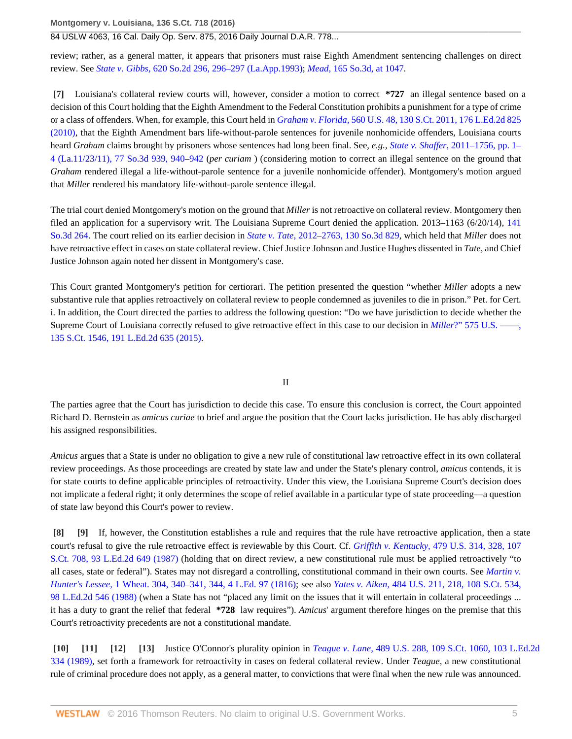84 USLW 4063, 16 Cal. Daily Op. Serv. 875, 2016 Daily Journal D.A.R. 778...

review; rather, as a general matter, it appears that prisoners must raise Eighth Amendment sentencing challenges on direct review. See *State v. Gibbs,* [620 So.2d 296, 296–297 \(La.App.1993\);](http://www.westlaw.com/Link/Document/FullText?findType=Y&serNum=1993121547&pubNum=0000735&originatingDoc=I3698b26ac34e11e5a795ac035416da91&refType=RP&originationContext=document&vr=3.0&rs=cblt1.0&transitionType=DocumentItem&contextData=(sc.Search)) *Mead,* [165 So.3d, at 1047](http://www.westlaw.com/Link/Document/FullText?findType=Y&serNum=2036125156&pubNum=0003926&originatingDoc=I3698b26ac34e11e5a795ac035416da91&refType=RP&fi=co_pp_sp_3926_1047&originationContext=document&vr=3.0&rs=cblt1.0&transitionType=DocumentItem&contextData=(sc.Search)#co_pp_sp_3926_1047).

**[7]** Louisiana's collateral review courts will, however, consider a motion to correct **\*727** an illegal sentence based on a decision of this Court holding that the Eighth Amendment to the Federal Constitution prohibits a punishment for a type of crime or a class of offenders. When, for example, this Court held in *Graham v. Florida,* [560 U.S. 48, 130 S.Ct. 2011, 176 L.Ed.2d 825](http://www.westlaw.com/Link/Document/FullText?findType=Y&serNum=2022052221&pubNum=0000708&originatingDoc=I3698b26ac34e11e5a795ac035416da91&refType=RP&originationContext=document&vr=3.0&rs=cblt1.0&transitionType=DocumentItem&contextData=(sc.Search)) [\(2010\),](http://www.westlaw.com/Link/Document/FullText?findType=Y&serNum=2022052221&pubNum=0000708&originatingDoc=I3698b26ac34e11e5a795ac035416da91&refType=RP&originationContext=document&vr=3.0&rs=cblt1.0&transitionType=DocumentItem&contextData=(sc.Search)) that the Eighth Amendment bars life-without-parole sentences for juvenile nonhomicide offenders, Louisiana courts heard *Graham* claims brought by prisoners whose sentences had long been final. See, *e.g., State v. Shaffer,* [2011–1756, pp. 1–](http://www.westlaw.com/Link/Document/FullText?findType=Y&serNum=2026760800&pubNum=0003926&originatingDoc=I3698b26ac34e11e5a795ac035416da91&refType=RP&fi=co_pp_sp_3926_940&originationContext=document&vr=3.0&rs=cblt1.0&transitionType=DocumentItem&contextData=(sc.Search)#co_pp_sp_3926_940) [4 \(La.11/23/11\), 77 So.3d 939, 940–942](http://www.westlaw.com/Link/Document/FullText?findType=Y&serNum=2026760800&pubNum=0003926&originatingDoc=I3698b26ac34e11e5a795ac035416da91&refType=RP&fi=co_pp_sp_3926_940&originationContext=document&vr=3.0&rs=cblt1.0&transitionType=DocumentItem&contextData=(sc.Search)#co_pp_sp_3926_940) (*per curiam* ) (considering motion to correct an illegal sentence on the ground that *Graham* rendered illegal a life-without-parole sentence for a juvenile nonhomicide offender). Montgomery's motion argued that *Miller* rendered his mandatory life-without-parole sentence illegal.

The trial court denied Montgomery's motion on the ground that *Miller* is not retroactive on collateral review. Montgomery then filed an application for a supervisory writ. The Louisiana Supreme Court denied the application. 2013–1163 (6/20/14), [141](http://www.westlaw.com/Link/Document/FullText?findType=Y&serNum=2033649235&pubNum=0003926&originatingDoc=I3698b26ac34e11e5a795ac035416da91&refType=RP&originationContext=document&vr=3.0&rs=cblt1.0&transitionType=DocumentItem&contextData=(sc.Search)) [So.3d 264.](http://www.westlaw.com/Link/Document/FullText?findType=Y&serNum=2033649235&pubNum=0003926&originatingDoc=I3698b26ac34e11e5a795ac035416da91&refType=RP&originationContext=document&vr=3.0&rs=cblt1.0&transitionType=DocumentItem&contextData=(sc.Search)) The court relied on its earlier decision in *State v. Tate,* [2012–2763, 130 So.3d 829,](http://www.westlaw.com/Link/Document/FullText?findType=Y&serNum=2031903531&pubNum=0003926&originatingDoc=I3698b26ac34e11e5a795ac035416da91&refType=RP&originationContext=document&vr=3.0&rs=cblt1.0&transitionType=DocumentItem&contextData=(sc.Search)) which held that *Miller* does not have retroactive effect in cases on state collateral review. Chief Justice Johnson and Justice Hughes dissented in *Tate*, and Chief Justice Johnson again noted her dissent in Montgomery's case.

This Court granted Montgomery's petition for certiorari. The petition presented the question "whether *Miller* adopts a new substantive rule that applies retroactively on collateral review to people condemned as juveniles to die in prison." Pet. for Cert. i. In addition, the Court directed the parties to address the following question: "Do we have jurisdiction to decide whether the Supreme Court of Louisiana correctly refused to give retroactive effect in this case to our decision in *Miller*[?" 575 U.S. ––––,](http://www.westlaw.com/Link/Document/FullText?findType=Y&serNum=2034310794&pubNum=0000708&originatingDoc=I3698b26ac34e11e5a795ac035416da91&refType=RP&originationContext=document&vr=3.0&rs=cblt1.0&transitionType=DocumentItem&contextData=(sc.Search)) [135 S.Ct. 1546, 191 L.Ed.2d 635 \(2015\)](http://www.westlaw.com/Link/Document/FullText?findType=Y&serNum=2034310794&pubNum=0000708&originatingDoc=I3698b26ac34e11e5a795ac035416da91&refType=RP&originationContext=document&vr=3.0&rs=cblt1.0&transitionType=DocumentItem&contextData=(sc.Search)).

#### II

The parties agree that the Court has jurisdiction to decide this case. To ensure this conclusion is correct, the Court appointed Richard D. Bernstein as *amicus curiae* to brief and argue the position that the Court lacks jurisdiction. He has ably discharged his assigned responsibilities.

*Amicus* argues that a State is under no obligation to give a new rule of constitutional law retroactive effect in its own collateral review proceedings. As those proceedings are created by state law and under the State's plenary control, *amicus* contends, it is for state courts to define applicable principles of retroactivity. Under this view, the Louisiana Supreme Court's decision does not implicate a federal right; it only determines the scope of relief available in a particular type of state proceeding—a question of state law beyond this Court's power to review.

**[8] [9]** If, however, the Constitution establishes a rule and requires that the rule have retroactive application, then a state court's refusal to give the rule retroactive effect is reviewable by this Court. Cf. *Griffith v. Kentucky,* [479 U.S. 314, 328, 107](http://www.westlaw.com/Link/Document/FullText?findType=Y&serNum=1987004131&pubNum=0000708&originatingDoc=I3698b26ac34e11e5a795ac035416da91&refType=RP&originationContext=document&vr=3.0&rs=cblt1.0&transitionType=DocumentItem&contextData=(sc.Search)) [S.Ct. 708, 93 L.Ed.2d 649 \(1987\)](http://www.westlaw.com/Link/Document/FullText?findType=Y&serNum=1987004131&pubNum=0000708&originatingDoc=I3698b26ac34e11e5a795ac035416da91&refType=RP&originationContext=document&vr=3.0&rs=cblt1.0&transitionType=DocumentItem&contextData=(sc.Search)) (holding that on direct review, a new constitutional rule must be applied retroactively "to all cases, state or federal"). States may not disregard a controlling, constitutional command in their own courts. See *[Martin v.](http://www.westlaw.com/Link/Document/FullText?findType=Y&serNum=1800105072&pubNum=0000780&originatingDoc=I3698b26ac34e11e5a795ac035416da91&refType=RP&fi=co_pp_sp_780_340&originationContext=document&vr=3.0&rs=cblt1.0&transitionType=DocumentItem&contextData=(sc.Search)#co_pp_sp_780_340) Hunter's Lessee,* [1 Wheat. 304, 340–341, 344, 4 L.Ed. 97 \(1816\);](http://www.westlaw.com/Link/Document/FullText?findType=Y&serNum=1800105072&pubNum=0000780&originatingDoc=I3698b26ac34e11e5a795ac035416da91&refType=RP&fi=co_pp_sp_780_340&originationContext=document&vr=3.0&rs=cblt1.0&transitionType=DocumentItem&contextData=(sc.Search)#co_pp_sp_780_340) see also *Yates v. Aiken,* [484 U.S. 211, 218, 108 S.Ct. 534,](http://www.westlaw.com/Link/Document/FullText?findType=Y&serNum=1988007130&pubNum=0000708&originatingDoc=I3698b26ac34e11e5a795ac035416da91&refType=RP&originationContext=document&vr=3.0&rs=cblt1.0&transitionType=DocumentItem&contextData=(sc.Search)) [98 L.Ed.2d 546 \(1988\)](http://www.westlaw.com/Link/Document/FullText?findType=Y&serNum=1988007130&pubNum=0000708&originatingDoc=I3698b26ac34e11e5a795ac035416da91&refType=RP&originationContext=document&vr=3.0&rs=cblt1.0&transitionType=DocumentItem&contextData=(sc.Search)) (when a State has not "placed any limit on the issues that it will entertain in collateral proceedings ... it has a duty to grant the relief that federal **\*728** law requires"). *Amicus*' argument therefore hinges on the premise that this Court's retroactivity precedents are not a constitutional mandate.

**[10] [11] [12] [13]** Justice O'Connor's plurality opinion in *Teague v. Lane,* [489 U.S. 288, 109 S.Ct. 1060, 103 L.Ed.2d](http://www.westlaw.com/Link/Document/FullText?findType=Y&serNum=1989027119&pubNum=0000708&originatingDoc=I3698b26ac34e11e5a795ac035416da91&refType=RP&originationContext=document&vr=3.0&rs=cblt1.0&transitionType=DocumentItem&contextData=(sc.Search)) [334 \(1989\),](http://www.westlaw.com/Link/Document/FullText?findType=Y&serNum=1989027119&pubNum=0000708&originatingDoc=I3698b26ac34e11e5a795ac035416da91&refType=RP&originationContext=document&vr=3.0&rs=cblt1.0&transitionType=DocumentItem&contextData=(sc.Search)) set forth a framework for retroactivity in cases on federal collateral review. Under *Teague,* a new constitutional rule of criminal procedure does not apply, as a general matter, to convictions that were final when the new rule was announced.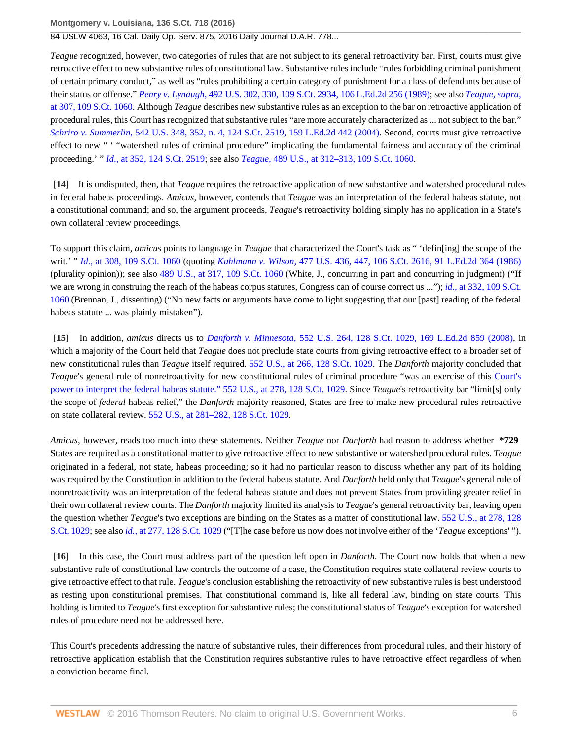#### 84 USLW 4063, 16 Cal. Daily Op. Serv. 875, 2016 Daily Journal D.A.R. 778...

*Teague* recognized, however, two categories of rules that are not subject to its general retroactivity bar. First, courts must give retroactive effect to new substantive rules of constitutional law. Substantive rules include "rules forbidding criminal punishment of certain primary conduct," as well as "rules prohibiting a certain category of punishment for a class of defendants because of their status or offense." *Penry v. Lynaugh,* [492 U.S. 302, 330, 109 S.Ct. 2934, 106 L.Ed.2d 256 \(1989\)](http://www.westlaw.com/Link/Document/FullText?findType=Y&serNum=1989094482&pubNum=0000708&originatingDoc=I3698b26ac34e11e5a795ac035416da91&refType=RP&originationContext=document&vr=3.0&rs=cblt1.0&transitionType=DocumentItem&contextData=(sc.Search)); see also *[Teague, supra,](http://www.westlaw.com/Link/Document/FullText?findType=Y&serNum=1989027119&pubNum=0000708&originatingDoc=I3698b26ac34e11e5a795ac035416da91&refType=RP&originationContext=document&vr=3.0&rs=cblt1.0&transitionType=DocumentItem&contextData=(sc.Search))* [at 307, 109 S.Ct. 1060.](http://www.westlaw.com/Link/Document/FullText?findType=Y&serNum=1989027119&pubNum=0000708&originatingDoc=I3698b26ac34e11e5a795ac035416da91&refType=RP&originationContext=document&vr=3.0&rs=cblt1.0&transitionType=DocumentItem&contextData=(sc.Search)) Although *Teague* describes new substantive rules as an exception to the bar on retroactive application of procedural rules, this Court has recognized that substantive rules "are more accurately characterized as ... not subject to the bar." *Schriro v. Summerlin,* [542 U.S. 348, 352, n. 4, 124 S.Ct. 2519, 159 L.Ed.2d 442 \(2004\)](http://www.westlaw.com/Link/Document/FullText?findType=Y&serNum=2004622663&pubNum=0000708&originatingDoc=I3698b26ac34e11e5a795ac035416da91&refType=RP&originationContext=document&vr=3.0&rs=cblt1.0&transitionType=DocumentItem&contextData=(sc.Search)). Second, courts must give retroactive effect to new " ' "watershed rules of criminal procedure" implicating the fundamental fairness and accuracy of the criminal proceeding.' " *Id*[., at 352, 124 S.Ct. 2519](http://www.westlaw.com/Link/Document/FullText?findType=Y&serNum=2004622663&pubNum=0000708&originatingDoc=I3698b26ac34e11e5a795ac035416da91&refType=RP&originationContext=document&vr=3.0&rs=cblt1.0&transitionType=DocumentItem&contextData=(sc.Search)); see also *Teague,* [489 U.S., at 312–313, 109 S.Ct. 1060.](http://www.westlaw.com/Link/Document/FullText?findType=Y&serNum=1989027119&pubNum=0000708&originatingDoc=I3698b26ac34e11e5a795ac035416da91&refType=RP&originationContext=document&vr=3.0&rs=cblt1.0&transitionType=DocumentItem&contextData=(sc.Search))

**[14]** It is undisputed, then, that *Teague* requires the retroactive application of new substantive and watershed procedural rules in federal habeas proceedings. *Amicus,* however, contends that *Teague* was an interpretation of the federal habeas statute, not a constitutional command; and so, the argument proceeds, *Teague*'s retroactivity holding simply has no application in a State's own collateral review proceedings.

To support this claim, *amicus* points to language in *Teague* that characterized the Court's task as " 'defin[ing] the scope of the writ.' " *Id*[., at 308, 109 S.Ct. 1060](http://www.westlaw.com/Link/Document/FullText?findType=Y&serNum=1989027119&pubNum=0000708&originatingDoc=I3698b26ac34e11e5a795ac035416da91&refType=RP&originationContext=document&vr=3.0&rs=cblt1.0&transitionType=DocumentItem&contextData=(sc.Search)) (quoting *Kuhlmann v. Wilson,* [477 U.S. 436, 447, 106 S.Ct. 2616, 91 L.Ed.2d 364 \(1986\)](http://www.westlaw.com/Link/Document/FullText?findType=Y&serNum=1986132788&pubNum=0000708&originatingDoc=I3698b26ac34e11e5a795ac035416da91&refType=RP&originationContext=document&vr=3.0&rs=cblt1.0&transitionType=DocumentItem&contextData=(sc.Search)) (plurality opinion)); see also [489 U.S., at 317, 109 S.Ct. 1060](http://www.westlaw.com/Link/Document/FullText?findType=Y&serNum=1989027119&pubNum=0000708&originatingDoc=I3698b26ac34e11e5a795ac035416da91&refType=RP&originationContext=document&vr=3.0&rs=cblt1.0&transitionType=DocumentItem&contextData=(sc.Search)) (White, J., concurring in part and concurring in judgment) ("If we are wrong in construing the reach of the habeas corpus statutes, Congress can of course correct us ..."); *id.,* [at 332, 109 S.Ct.](http://www.westlaw.com/Link/Document/FullText?findType=Y&serNum=1989027119&pubNum=0000708&originatingDoc=I3698b26ac34e11e5a795ac035416da91&refType=RP&originationContext=document&vr=3.0&rs=cblt1.0&transitionType=DocumentItem&contextData=(sc.Search)) [1060](http://www.westlaw.com/Link/Document/FullText?findType=Y&serNum=1989027119&pubNum=0000708&originatingDoc=I3698b26ac34e11e5a795ac035416da91&refType=RP&originationContext=document&vr=3.0&rs=cblt1.0&transitionType=DocumentItem&contextData=(sc.Search)) (Brennan, J., dissenting) ("No new facts or arguments have come to light suggesting that our [past] reading of the federal habeas statute ... was plainly mistaken").

**[15]** In addition, *amicus* directs us to *Danforth v. Minnesota,* [552 U.S. 264, 128 S.Ct. 1029, 169 L.Ed.2d 859 \(2008\)](http://www.westlaw.com/Link/Document/FullText?findType=Y&serNum=2015291207&pubNum=0000708&originatingDoc=I3698b26ac34e11e5a795ac035416da91&refType=RP&originationContext=document&vr=3.0&rs=cblt1.0&transitionType=DocumentItem&contextData=(sc.Search)), in which a majority of the Court held that *Teague* does not preclude state courts from giving retroactive effect to a broader set of new constitutional rules than *Teague* itself required. [552 U.S., at 266, 128 S.Ct. 1029](http://www.westlaw.com/Link/Document/FullText?findType=Y&serNum=2015291207&pubNum=0000708&originatingDoc=I3698b26ac34e11e5a795ac035416da91&refType=RP&originationContext=document&vr=3.0&rs=cblt1.0&transitionType=DocumentItem&contextData=(sc.Search)). The *Danforth* majority concluded that *Teague*'s general rule of nonretroactivity for new constitutional rules of criminal procedure "was an exercise of this [Court's](http://www.westlaw.com/Link/Document/FullText?findType=Y&serNum=2015291207&pubNum=0000708&originatingDoc=I3698b26ac34e11e5a795ac035416da91&refType=RP&originationContext=document&vr=3.0&rs=cblt1.0&transitionType=DocumentItem&contextData=(sc.Search)) [power to interpret the federal habeas statute." 552 U.S., at 278, 128 S.Ct. 1029](http://www.westlaw.com/Link/Document/FullText?findType=Y&serNum=2015291207&pubNum=0000708&originatingDoc=I3698b26ac34e11e5a795ac035416da91&refType=RP&originationContext=document&vr=3.0&rs=cblt1.0&transitionType=DocumentItem&contextData=(sc.Search)). Since *Teague*'s retroactivity bar "limit[s] only the scope of *federal* habeas relief," the *Danforth* majority reasoned, States are free to make new procedural rules retroactive on state collateral review. [552 U.S., at 281–282, 128 S.Ct. 1029](http://www.westlaw.com/Link/Document/FullText?findType=Y&serNum=2015291207&pubNum=0000708&originatingDoc=I3698b26ac34e11e5a795ac035416da91&refType=RP&originationContext=document&vr=3.0&rs=cblt1.0&transitionType=DocumentItem&contextData=(sc.Search)).

*Amicus,* however, reads too much into these statements. Neither *Teague* nor *Danforth* had reason to address whether **\*729** States are required as a constitutional matter to give retroactive effect to new substantive or watershed procedural rules. *Teague* originated in a federal, not state, habeas proceeding; so it had no particular reason to discuss whether any part of its holding was required by the Constitution in addition to the federal habeas statute. And *Danforth* held only that *Teague*'s general rule of nonretroactivity was an interpretation of the federal habeas statute and does not prevent States from providing greater relief in their own collateral review courts. The *Danforth* majority limited its analysis to *Teague*'s general retroactivity bar, leaving open the question whether *Teague*'s two exceptions are binding on the States as a matter of constitutional law. [552 U.S., at 278, 128](http://www.westlaw.com/Link/Document/FullText?findType=Y&serNum=2015291207&pubNum=0000708&originatingDoc=I3698b26ac34e11e5a795ac035416da91&refType=RP&originationContext=document&vr=3.0&rs=cblt1.0&transitionType=DocumentItem&contextData=(sc.Search)) [S.Ct. 1029](http://www.westlaw.com/Link/Document/FullText?findType=Y&serNum=2015291207&pubNum=0000708&originatingDoc=I3698b26ac34e11e5a795ac035416da91&refType=RP&originationContext=document&vr=3.0&rs=cblt1.0&transitionType=DocumentItem&contextData=(sc.Search)); see also *id.,* [at 277, 128 S.Ct. 1029](http://www.westlaw.com/Link/Document/FullText?findType=Y&serNum=2015291207&pubNum=0000708&originatingDoc=I3698b26ac34e11e5a795ac035416da91&refType=RP&originationContext=document&vr=3.0&rs=cblt1.0&transitionType=DocumentItem&contextData=(sc.Search)) ("[T]he case before us now does not involve either of the '*Teague* exceptions' ").

**[16]** In this case, the Court must address part of the question left open in *Danforth*. The Court now holds that when a new substantive rule of constitutional law controls the outcome of a case, the Constitution requires state collateral review courts to give retroactive effect to that rule. *Teague*'s conclusion establishing the retroactivity of new substantive rules is best understood as resting upon constitutional premises. That constitutional command is, like all federal law, binding on state courts. This holding is limited to *Teague*'s first exception for substantive rules; the constitutional status of *Teague*'s exception for watershed rules of procedure need not be addressed here.

This Court's precedents addressing the nature of substantive rules, their differences from procedural rules, and their history of retroactive application establish that the Constitution requires substantive rules to have retroactive effect regardless of when a conviction became final.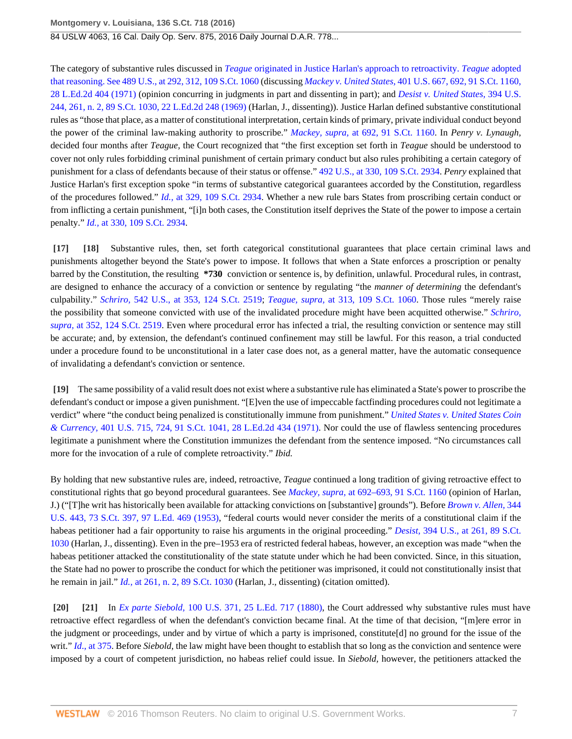The category of substantive rules discussed in *Teague* [originated in Justice Harlan's approach to retroactivity.](http://www.westlaw.com/Link/Document/FullText?findType=Y&serNum=1989027119&pubNum=0000708&originatingDoc=I3698b26ac34e11e5a795ac035416da91&refType=RP&originationContext=document&vr=3.0&rs=cblt1.0&transitionType=DocumentItem&contextData=(sc.Search)) *Teague* adopted [that reasoning. See 489 U.S., at 292, 312, 109 S.Ct. 1060](http://www.westlaw.com/Link/Document/FullText?findType=Y&serNum=1989027119&pubNum=0000708&originatingDoc=I3698b26ac34e11e5a795ac035416da91&refType=RP&originationContext=document&vr=3.0&rs=cblt1.0&transitionType=DocumentItem&contextData=(sc.Search)) (discussing *Mackey v. United States,* [401 U.S. 667, 692, 91 S.Ct. 1160,](http://www.westlaw.com/Link/Document/FullText?findType=Y&serNum=1971127047&pubNum=0000708&originatingDoc=I3698b26ac34e11e5a795ac035416da91&refType=RP&originationContext=document&vr=3.0&rs=cblt1.0&transitionType=DocumentItem&contextData=(sc.Search)) [28 L.Ed.2d 404 \(1971\)](http://www.westlaw.com/Link/Document/FullText?findType=Y&serNum=1971127047&pubNum=0000708&originatingDoc=I3698b26ac34e11e5a795ac035416da91&refType=RP&originationContext=document&vr=3.0&rs=cblt1.0&transitionType=DocumentItem&contextData=(sc.Search)) (opinion concurring in judgments in part and dissenting in part); and *[Desist v. United States,](http://www.westlaw.com/Link/Document/FullText?findType=Y&serNum=1969132933&pubNum=0000708&originatingDoc=I3698b26ac34e11e5a795ac035416da91&refType=RP&originationContext=document&vr=3.0&rs=cblt1.0&transitionType=DocumentItem&contextData=(sc.Search))* 394 U.S. [244, 261, n. 2, 89 S.Ct. 1030, 22 L.Ed.2d 248 \(1969\)](http://www.westlaw.com/Link/Document/FullText?findType=Y&serNum=1969132933&pubNum=0000708&originatingDoc=I3698b26ac34e11e5a795ac035416da91&refType=RP&originationContext=document&vr=3.0&rs=cblt1.0&transitionType=DocumentItem&contextData=(sc.Search)) (Harlan, J., dissenting)). Justice Harlan defined substantive constitutional rules as "those that place, as a matter of constitutional interpretation, certain kinds of primary, private individual conduct beyond the power of the criminal law-making authority to proscribe." *Mackey, supra,* [at 692, 91 S.Ct. 1160](http://www.westlaw.com/Link/Document/FullText?findType=Y&serNum=1971127047&pubNum=0000708&originatingDoc=I3698b26ac34e11e5a795ac035416da91&refType=RP&originationContext=document&vr=3.0&rs=cblt1.0&transitionType=DocumentItem&contextData=(sc.Search)). In *Penry v. Lynaugh,* decided four months after *Teague,* the Court recognized that "the first exception set forth in *Teague* should be understood to cover not only rules forbidding criminal punishment of certain primary conduct but also rules prohibiting a certain category of punishment for a class of defendants because of their status or offense." [492 U.S., at 330, 109 S.Ct. 2934.](http://www.westlaw.com/Link/Document/FullText?findType=Y&serNum=1989094482&pubNum=0000708&originatingDoc=I3698b26ac34e11e5a795ac035416da91&refType=RP&originationContext=document&vr=3.0&rs=cblt1.0&transitionType=DocumentItem&contextData=(sc.Search)) *Penry* explained that Justice Harlan's first exception spoke "in terms of substantive categorical guarantees accorded by the Constitution, regardless of the procedures followed." *Id.,* [at 329, 109 S.Ct. 2934.](http://www.westlaw.com/Link/Document/FullText?findType=Y&serNum=1989094482&pubNum=0000708&originatingDoc=I3698b26ac34e11e5a795ac035416da91&refType=RP&originationContext=document&vr=3.0&rs=cblt1.0&transitionType=DocumentItem&contextData=(sc.Search)) Whether a new rule bars States from proscribing certain conduct or from inflicting a certain punishment, "[i]n both cases, the Constitution itself deprives the State of the power to impose a certain penalty." *Id.,* [at 330, 109 S.Ct. 2934](http://www.westlaw.com/Link/Document/FullText?findType=Y&serNum=1989094482&pubNum=0000708&originatingDoc=I3698b26ac34e11e5a795ac035416da91&refType=RP&originationContext=document&vr=3.0&rs=cblt1.0&transitionType=DocumentItem&contextData=(sc.Search)).

**[17] [18]** Substantive rules, then, set forth categorical constitutional guarantees that place certain criminal laws and punishments altogether beyond the State's power to impose. It follows that when a State enforces a proscription or penalty barred by the Constitution, the resulting **\*730** conviction or sentence is, by definition, unlawful. Procedural rules, in contrast, are designed to enhance the accuracy of a conviction or sentence by regulating "the *manner of determining* the defendant's culpability." *Schriro,* [542 U.S., at 353, 124 S.Ct. 2519;](http://www.westlaw.com/Link/Document/FullText?findType=Y&serNum=2004622663&pubNum=0000708&originatingDoc=I3698b26ac34e11e5a795ac035416da91&refType=RP&originationContext=document&vr=3.0&rs=cblt1.0&transitionType=DocumentItem&contextData=(sc.Search)) *Teague, supra,* [at 313, 109 S.Ct. 1060.](http://www.westlaw.com/Link/Document/FullText?findType=Y&serNum=1989027119&pubNum=0000708&originatingDoc=I3698b26ac34e11e5a795ac035416da91&refType=RP&originationContext=document&vr=3.0&rs=cblt1.0&transitionType=DocumentItem&contextData=(sc.Search)) Those rules "merely raise the possibility that someone convicted with use of the invalidated procedure might have been acquitted otherwise." *[Schriro,](http://www.westlaw.com/Link/Document/FullText?findType=Y&serNum=2004622663&pubNum=0000708&originatingDoc=I3698b26ac34e11e5a795ac035416da91&refType=RP&originationContext=document&vr=3.0&rs=cblt1.0&transitionType=DocumentItem&contextData=(sc.Search)) supra,* [at 352, 124 S.Ct. 2519](http://www.westlaw.com/Link/Document/FullText?findType=Y&serNum=2004622663&pubNum=0000708&originatingDoc=I3698b26ac34e11e5a795ac035416da91&refType=RP&originationContext=document&vr=3.0&rs=cblt1.0&transitionType=DocumentItem&contextData=(sc.Search)). Even where procedural error has infected a trial, the resulting conviction or sentence may still be accurate; and, by extension, the defendant's continued confinement may still be lawful. For this reason, a trial conducted under a procedure found to be unconstitutional in a later case does not, as a general matter, have the automatic consequence of invalidating a defendant's conviction or sentence.

**[19]** The same possibility of a valid result does not exist where a substantive rule has eliminated a State's power to proscribe the defendant's conduct or impose a given punishment. "[E]ven the use of impeccable factfinding procedures could not legitimate a verdict" where "the conduct being penalized is constitutionally immune from punishment." *[United States v. United States Coin](http://www.westlaw.com/Link/Document/FullText?findType=Y&serNum=1971127037&pubNum=0000708&originatingDoc=I3698b26ac34e11e5a795ac035416da91&refType=RP&originationContext=document&vr=3.0&rs=cblt1.0&transitionType=DocumentItem&contextData=(sc.Search)) & Currency,* [401 U.S. 715, 724, 91 S.Ct. 1041, 28 L.Ed.2d 434 \(1971\)](http://www.westlaw.com/Link/Document/FullText?findType=Y&serNum=1971127037&pubNum=0000708&originatingDoc=I3698b26ac34e11e5a795ac035416da91&refType=RP&originationContext=document&vr=3.0&rs=cblt1.0&transitionType=DocumentItem&contextData=(sc.Search)). Nor could the use of flawless sentencing procedures legitimate a punishment where the Constitution immunizes the defendant from the sentence imposed. "No circumstances call more for the invocation of a rule of complete retroactivity." *Ibid.*

By holding that new substantive rules are, indeed, retroactive, *Teague* continued a long tradition of giving retroactive effect to constitutional rights that go beyond procedural guarantees. See *Mackey, supra,* [at 692–693, 91 S.Ct. 1160](http://www.westlaw.com/Link/Document/FullText?findType=Y&serNum=1971127047&pubNum=0000708&originatingDoc=I3698b26ac34e11e5a795ac035416da91&refType=RP&originationContext=document&vr=3.0&rs=cblt1.0&transitionType=DocumentItem&contextData=(sc.Search)) (opinion of Harlan, J.) ("[T]he writ has historically been available for attacking convictions on [substantive] grounds"). Before *[Brown v. Allen,](http://www.westlaw.com/Link/Document/FullText?findType=Y&serNum=1953116771&pubNum=0000708&originatingDoc=I3698b26ac34e11e5a795ac035416da91&refType=RP&originationContext=document&vr=3.0&rs=cblt1.0&transitionType=DocumentItem&contextData=(sc.Search))* 344 [U.S. 443, 73 S.Ct. 397, 97 L.Ed. 469 \(1953\)](http://www.westlaw.com/Link/Document/FullText?findType=Y&serNum=1953116771&pubNum=0000708&originatingDoc=I3698b26ac34e11e5a795ac035416da91&refType=RP&originationContext=document&vr=3.0&rs=cblt1.0&transitionType=DocumentItem&contextData=(sc.Search)), "federal courts would never consider the merits of a constitutional claim if the habeas petitioner had a fair opportunity to raise his arguments in the original proceeding." *Desist,* [394 U.S., at 261, 89 S.Ct.](http://www.westlaw.com/Link/Document/FullText?findType=Y&serNum=1969132933&pubNum=0000708&originatingDoc=I3698b26ac34e11e5a795ac035416da91&refType=RP&originationContext=document&vr=3.0&rs=cblt1.0&transitionType=DocumentItem&contextData=(sc.Search)) [1030](http://www.westlaw.com/Link/Document/FullText?findType=Y&serNum=1969132933&pubNum=0000708&originatingDoc=I3698b26ac34e11e5a795ac035416da91&refType=RP&originationContext=document&vr=3.0&rs=cblt1.0&transitionType=DocumentItem&contextData=(sc.Search)) (Harlan, J., dissenting). Even in the pre–1953 era of restricted federal habeas, however, an exception was made "when the habeas petitioner attacked the constitutionality of the state statute under which he had been convicted. Since, in this situation, the State had no power to proscribe the conduct for which the petitioner was imprisoned, it could not constitutionally insist that he remain in jail." *Id.,* [at 261, n. 2, 89 S.Ct. 1030](http://www.westlaw.com/Link/Document/FullText?findType=Y&serNum=1969132933&pubNum=0000708&originatingDoc=I3698b26ac34e11e5a795ac035416da91&refType=RP&originationContext=document&vr=3.0&rs=cblt1.0&transitionType=DocumentItem&contextData=(sc.Search)) (Harlan, J., dissenting) (citation omitted).

**[20] [21]** In *Ex parte Siebold,* [100 U.S. 371, 25 L.Ed. 717 \(1880\)](http://www.westlaw.com/Link/Document/FullText?findType=Y&serNum=1800131032&pubNum=0000780&originatingDoc=I3698b26ac34e11e5a795ac035416da91&refType=RP&originationContext=document&vr=3.0&rs=cblt1.0&transitionType=DocumentItem&contextData=(sc.Search)), the Court addressed why substantive rules must have retroactive effect regardless of when the defendant's conviction became final. At the time of that decision, "[m]ere error in the judgment or proceedings, under and by virtue of which a party is imprisoned, constitute[d] no ground for the issue of the writ." *Id.*, at 375. Before *Siebold*, the law might have been thought to establish that so long as the conviction and sentence were imposed by a court of competent jurisdiction, no habeas relief could issue. In *Siebold,* however, the petitioners attacked the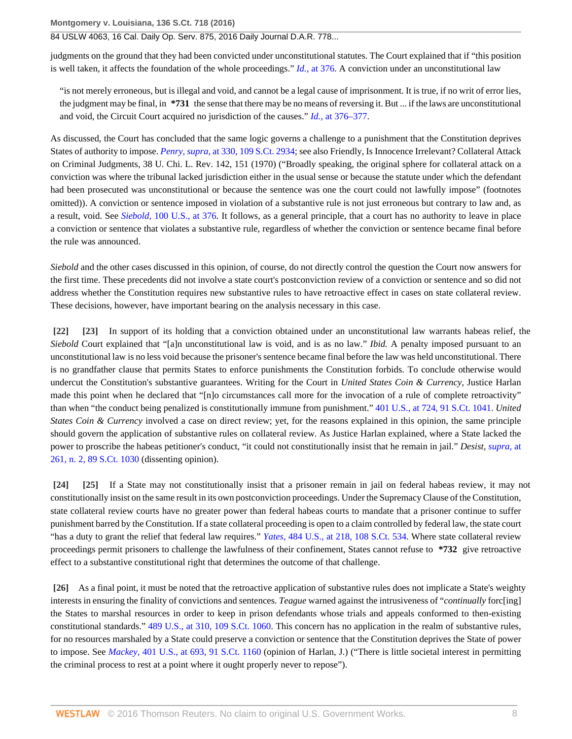84 USLW 4063, 16 Cal. Daily Op. Serv. 875, 2016 Daily Journal D.A.R. 778...

judgments on the ground that they had been convicted under unconstitutional statutes. The Court explained that if "this position is well taken, it affects the foundation of the whole proceedings." *Id.,* [at 376](http://www.westlaw.com/Link/Document/FullText?findType=Y&serNum=1800131032&pubNum=0000780&originatingDoc=I3698b26ac34e11e5a795ac035416da91&refType=RP&fi=co_pp_sp_780_376&originationContext=document&vr=3.0&rs=cblt1.0&transitionType=DocumentItem&contextData=(sc.Search)#co_pp_sp_780_376). A conviction under an unconstitutional law

"is not merely erroneous, but is illegal and void, and cannot be a legal cause of imprisonment. It is true, if no writ of error lies, the judgment may be final, in **\*731** the sense that there may be no means of reversing it. But ... if the laws are unconstitutional and void, the Circuit Court acquired no jurisdiction of the causes." *Id.,* [at 376–377](http://www.westlaw.com/Link/Document/FullText?findType=Y&serNum=1800131032&pubNum=0000780&originatingDoc=I3698b26ac34e11e5a795ac035416da91&refType=RP&fi=co_pp_sp_780_376&originationContext=document&vr=3.0&rs=cblt1.0&transitionType=DocumentItem&contextData=(sc.Search)#co_pp_sp_780_376).

As discussed, the Court has concluded that the same logic governs a challenge to a punishment that the Constitution deprives States of authority to impose. *Penry, supra,* [at 330, 109 S.Ct. 2934;](http://www.westlaw.com/Link/Document/FullText?findType=Y&serNum=1989094482&pubNum=0000708&originatingDoc=I3698b26ac34e11e5a795ac035416da91&refType=RP&originationContext=document&vr=3.0&rs=cblt1.0&transitionType=DocumentItem&contextData=(sc.Search)) see also Friendly, Is Innocence Irrelevant? Collateral Attack on Criminal Judgments, 38 U. Chi. L. Rev. 142, 151 (1970) ("Broadly speaking, the original sphere for collateral attack on a conviction was where the tribunal lacked jurisdiction either in the usual sense or because the statute under which the defendant had been prosecuted was unconstitutional or because the sentence was one the court could not lawfully impose" (footnotes omitted)). A conviction or sentence imposed in violation of a substantive rule is not just erroneous but contrary to law and, as a result, void. See *Siebold,* [100 U.S., at 376.](http://www.westlaw.com/Link/Document/FullText?findType=Y&serNum=1800131032&pubNum=0000780&originatingDoc=I3698b26ac34e11e5a795ac035416da91&refType=RP&fi=co_pp_sp_780_376&originationContext=document&vr=3.0&rs=cblt1.0&transitionType=DocumentItem&contextData=(sc.Search)#co_pp_sp_780_376) It follows, as a general principle, that a court has no authority to leave in place a conviction or sentence that violates a substantive rule, regardless of whether the conviction or sentence became final before the rule was announced.

*Siebold* and the other cases discussed in this opinion, of course, do not directly control the question the Court now answers for the first time. These precedents did not involve a state court's postconviction review of a conviction or sentence and so did not address whether the Constitution requires new substantive rules to have retroactive effect in cases on state collateral review. These decisions, however, have important bearing on the analysis necessary in this case.

**[22] [23]** In support of its holding that a conviction obtained under an unconstitutional law warrants habeas relief, the *Siebold* Court explained that "[a]n unconstitutional law is void, and is as no law." *Ibid.* A penalty imposed pursuant to an unconstitutional law is no less void because the prisoner's sentence became final before the law was held unconstitutional. There is no grandfather clause that permits States to enforce punishments the Constitution forbids. To conclude otherwise would undercut the Constitution's substantive guarantees. Writing for the Court in *United States Coin & Currency,* Justice Harlan made this point when he declared that "[n]o circumstances call more for the invocation of a rule of complete retroactivity" than when "the conduct being penalized is constitutionally immune from punishment." [401 U.S., at 724, 91 S.Ct. 1041.](http://www.westlaw.com/Link/Document/FullText?findType=Y&serNum=1971127037&pubNum=0000708&originatingDoc=I3698b26ac34e11e5a795ac035416da91&refType=RP&originationContext=document&vr=3.0&rs=cblt1.0&transitionType=DocumentItem&contextData=(sc.Search)) *United States Coin & Currency* involved a case on direct review; yet, for the reasons explained in this opinion, the same principle should govern the application of substantive rules on collateral review. As Justice Harlan explained, where a State lacked the power to proscribe the habeas petitioner's conduct, "it could not constitutionally insist that he remain in jail." *Desist, [supra,](http://www.westlaw.com/Link/Document/FullText?findType=Y&serNum=1969132933&pubNum=0000708&originatingDoc=I3698b26ac34e11e5a795ac035416da91&refType=RP&originationContext=document&vr=3.0&rs=cblt1.0&transitionType=DocumentItem&contextData=(sc.Search))* at [261, n. 2, 89 S.Ct. 1030](http://www.westlaw.com/Link/Document/FullText?findType=Y&serNum=1969132933&pubNum=0000708&originatingDoc=I3698b26ac34e11e5a795ac035416da91&refType=RP&originationContext=document&vr=3.0&rs=cblt1.0&transitionType=DocumentItem&contextData=(sc.Search)) (dissenting opinion).

**[24] [25]** If a State may not constitutionally insist that a prisoner remain in jail on federal habeas review, it may not constitutionally insist on the same result in its own postconviction proceedings. Under the Supremacy Clause of the Constitution, state collateral review courts have no greater power than federal habeas courts to mandate that a prisoner continue to suffer punishment barred by the Constitution. If a state collateral proceeding is open to a claim controlled by federal law, the state court "has a duty to grant the relief that federal law requires." *Yates,* [484 U.S., at 218, 108 S.Ct. 534](http://www.westlaw.com/Link/Document/FullText?findType=Y&serNum=1988007130&pubNum=0000708&originatingDoc=I3698b26ac34e11e5a795ac035416da91&refType=RP&originationContext=document&vr=3.0&rs=cblt1.0&transitionType=DocumentItem&contextData=(sc.Search)). Where state collateral review proceedings permit prisoners to challenge the lawfulness of their confinement, States cannot refuse to **\*732** give retroactive effect to a substantive constitutional right that determines the outcome of that challenge.

**[26]** As a final point, it must be noted that the retroactive application of substantive rules does not implicate a State's weighty interests in ensuring the finality of convictions and sentences. *Teague* warned against the intrusiveness of "*continually* forc[ing] the States to marshal resources in order to keep in prison defendants whose trials and appeals conformed to then-existing constitutional standards." [489 U.S., at 310, 109 S.Ct. 1060](http://www.westlaw.com/Link/Document/FullText?findType=Y&serNum=1989027119&pubNum=0000708&originatingDoc=I3698b26ac34e11e5a795ac035416da91&refType=RP&originationContext=document&vr=3.0&rs=cblt1.0&transitionType=DocumentItem&contextData=(sc.Search)). This concern has no application in the realm of substantive rules, for no resources marshaled by a State could preserve a conviction or sentence that the Constitution deprives the State of power to impose. See *Mackey,* [401 U.S., at 693, 91 S.Ct. 1160](http://www.westlaw.com/Link/Document/FullText?findType=Y&serNum=1971127047&pubNum=0000708&originatingDoc=I3698b26ac34e11e5a795ac035416da91&refType=RP&originationContext=document&vr=3.0&rs=cblt1.0&transitionType=DocumentItem&contextData=(sc.Search)) (opinion of Harlan, J.) ("There is little societal interest in permitting the criminal process to rest at a point where it ought properly never to repose").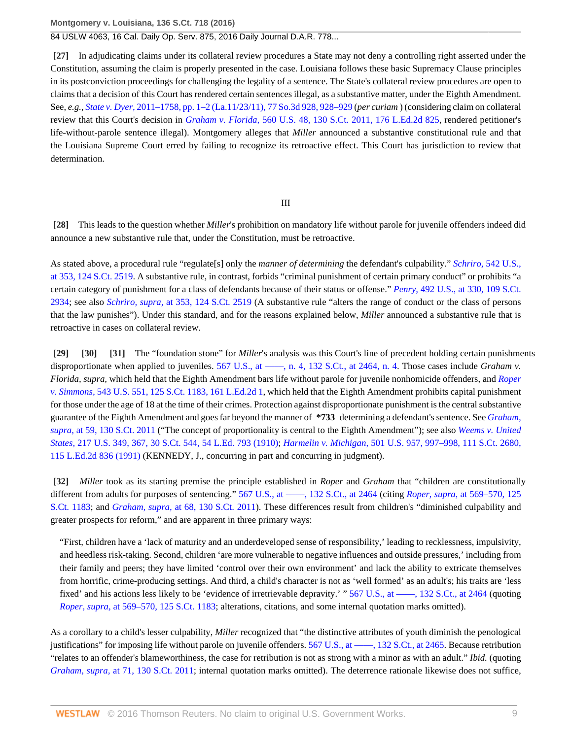## 84 USLW 4063, 16 Cal. Daily Op. Serv. 875, 2016 Daily Journal D.A.R. 778...

**[27]** In adjudicating claims under its collateral review procedures a State may not deny a controlling right asserted under the Constitution, assuming the claim is properly presented in the case. Louisiana follows these basic Supremacy Clause principles in its postconviction proceedings for challenging the legality of a sentence. The State's collateral review procedures are open to claims that a decision of this Court has rendered certain sentences illegal, as a substantive matter, under the Eighth Amendment. See, *e.g., State v. Dyer,* [2011–1758, pp. 1–2 \(La.11/23/11\), 77 So.3d 928, 928–929](http://www.westlaw.com/Link/Document/FullText?findType=Y&serNum=2026760796&pubNum=0003926&originatingDoc=I3698b26ac34e11e5a795ac035416da91&refType=RP&originationContext=document&vr=3.0&rs=cblt1.0&transitionType=DocumentItem&contextData=(sc.Search)) (*per curiam* ) (considering claim on collateral review that this Court's decision in *Graham v. Florida,* [560 U.S. 48, 130 S.Ct. 2011, 176 L.Ed.2d 825](http://www.westlaw.com/Link/Document/FullText?findType=Y&serNum=2022052221&pubNum=0000708&originatingDoc=I3698b26ac34e11e5a795ac035416da91&refType=RP&originationContext=document&vr=3.0&rs=cblt1.0&transitionType=DocumentItem&contextData=(sc.Search)), rendered petitioner's life-without-parole sentence illegal). Montgomery alleges that *Miller* announced a substantive constitutional rule and that the Louisiana Supreme Court erred by failing to recognize its retroactive effect. This Court has jurisdiction to review that determination.

#### III

**[28]** This leads to the question whether *Miller*'s prohibition on mandatory life without parole for juvenile offenders indeed did announce a new substantive rule that, under the Constitution, must be retroactive.

As stated above, a procedural rule "regulate[s] only the *manner of determining* the defendant's culpability." *Schriro,* [542 U.S.,](http://www.westlaw.com/Link/Document/FullText?findType=Y&serNum=2004622663&pubNum=0000708&originatingDoc=I3698b26ac34e11e5a795ac035416da91&refType=RP&originationContext=document&vr=3.0&rs=cblt1.0&transitionType=DocumentItem&contextData=(sc.Search)) [at 353, 124 S.Ct. 2519](http://www.westlaw.com/Link/Document/FullText?findType=Y&serNum=2004622663&pubNum=0000708&originatingDoc=I3698b26ac34e11e5a795ac035416da91&refType=RP&originationContext=document&vr=3.0&rs=cblt1.0&transitionType=DocumentItem&contextData=(sc.Search)). A substantive rule, in contrast, forbids "criminal punishment of certain primary conduct" or prohibits "a certain category of punishment for a class of defendants because of their status or offense." *Penry,* [492 U.S., at 330, 109 S.Ct.](http://www.westlaw.com/Link/Document/FullText?findType=Y&serNum=1989094482&pubNum=0000708&originatingDoc=I3698b26ac34e11e5a795ac035416da91&refType=RP&originationContext=document&vr=3.0&rs=cblt1.0&transitionType=DocumentItem&contextData=(sc.Search)) [2934](http://www.westlaw.com/Link/Document/FullText?findType=Y&serNum=1989094482&pubNum=0000708&originatingDoc=I3698b26ac34e11e5a795ac035416da91&refType=RP&originationContext=document&vr=3.0&rs=cblt1.0&transitionType=DocumentItem&contextData=(sc.Search)); see also *Schriro, supra,* [at 353, 124 S.Ct. 2519](http://www.westlaw.com/Link/Document/FullText?findType=Y&serNum=2004622663&pubNum=0000708&originatingDoc=I3698b26ac34e11e5a795ac035416da91&refType=RP&originationContext=document&vr=3.0&rs=cblt1.0&transitionType=DocumentItem&contextData=(sc.Search)) (A substantive rule "alters the range of conduct or the class of persons that the law punishes"). Under this standard, and for the reasons explained below, *Miller* announced a substantive rule that is retroactive in cases on collateral review.

**[29] [30] [31]** The "foundation stone" for *Miller*'s analysis was this Court's line of precedent holding certain punishments disproportionate when applied to juveniles. 567 U.S., at ——, n. 4, 132 S.Ct., at 2464, n. 4. Those cases include *Graham v. Florida, supra,* which held that the Eighth Amendment bars life without parole for juvenile nonhomicide offenders, and *[Roper](http://www.westlaw.com/Link/Document/FullText?findType=Y&serNum=2006291922&pubNum=0000708&originatingDoc=I3698b26ac34e11e5a795ac035416da91&refType=RP&originationContext=document&vr=3.0&rs=cblt1.0&transitionType=DocumentItem&contextData=(sc.Search)) v. Simmons,* [543 U.S. 551, 125 S.Ct. 1183, 161 L.Ed.2d 1,](http://www.westlaw.com/Link/Document/FullText?findType=Y&serNum=2006291922&pubNum=0000708&originatingDoc=I3698b26ac34e11e5a795ac035416da91&refType=RP&originationContext=document&vr=3.0&rs=cblt1.0&transitionType=DocumentItem&contextData=(sc.Search)) which held that the Eighth Amendment prohibits capital punishment for those under the age of 18 at the time of their crimes. Protection against disproportionate punishment is the central substantive guarantee of the Eighth Amendment and goes far beyond the manner of **\*733** determining a defendant's sentence. See *[Graham,](http://www.westlaw.com/Link/Document/FullText?findType=Y&serNum=2022052221&pubNum=0000708&originatingDoc=I3698b26ac34e11e5a795ac035416da91&refType=RP&originationContext=document&vr=3.0&rs=cblt1.0&transitionType=DocumentItem&contextData=(sc.Search)) supra,* [at 59, 130 S.Ct. 2011](http://www.westlaw.com/Link/Document/FullText?findType=Y&serNum=2022052221&pubNum=0000708&originatingDoc=I3698b26ac34e11e5a795ac035416da91&refType=RP&originationContext=document&vr=3.0&rs=cblt1.0&transitionType=DocumentItem&contextData=(sc.Search)) ("The concept of proportionality is central to the Eighth Amendment"); see also *[Weems v. United](http://www.westlaw.com/Link/Document/FullText?findType=Y&serNum=1910100401&pubNum=0000708&originatingDoc=I3698b26ac34e11e5a795ac035416da91&refType=RP&originationContext=document&vr=3.0&rs=cblt1.0&transitionType=DocumentItem&contextData=(sc.Search)) States,* [217 U.S. 349, 367, 30 S.Ct. 544, 54 L.Ed. 793 \(1910\);](http://www.westlaw.com/Link/Document/FullText?findType=Y&serNum=1910100401&pubNum=0000708&originatingDoc=I3698b26ac34e11e5a795ac035416da91&refType=RP&originationContext=document&vr=3.0&rs=cblt1.0&transitionType=DocumentItem&contextData=(sc.Search)) *Harmelin v. Michigan,* [501 U.S. 957, 997–998, 111 S.Ct. 2680,](http://www.westlaw.com/Link/Document/FullText?findType=Y&serNum=1991116023&pubNum=0000708&originatingDoc=I3698b26ac34e11e5a795ac035416da91&refType=RP&originationContext=document&vr=3.0&rs=cblt1.0&transitionType=DocumentItem&contextData=(sc.Search)) [115 L.Ed.2d 836 \(1991\)](http://www.westlaw.com/Link/Document/FullText?findType=Y&serNum=1991116023&pubNum=0000708&originatingDoc=I3698b26ac34e11e5a795ac035416da91&refType=RP&originationContext=document&vr=3.0&rs=cblt1.0&transitionType=DocumentItem&contextData=(sc.Search)) (KENNEDY, J., concurring in part and concurring in judgment).

**[32]** *Miller* took as its starting premise the principle established in *Roper* and *Graham* that "children are constitutionally different from adults for purposes of sentencing." 567 U.S., at ——, 132 S.Ct., at 2464 (citing *Roper, supra,* [at 569–570, 125](http://www.westlaw.com/Link/Document/FullText?findType=Y&serNum=2006291922&pubNum=0000708&originatingDoc=I3698b26ac34e11e5a795ac035416da91&refType=RP&originationContext=document&vr=3.0&rs=cblt1.0&transitionType=DocumentItem&contextData=(sc.Search)) [S.Ct. 1183;](http://www.westlaw.com/Link/Document/FullText?findType=Y&serNum=2006291922&pubNum=0000708&originatingDoc=I3698b26ac34e11e5a795ac035416da91&refType=RP&originationContext=document&vr=3.0&rs=cblt1.0&transitionType=DocumentItem&contextData=(sc.Search)) and *Graham, supra,* [at 68, 130 S.Ct. 2011\)](http://www.westlaw.com/Link/Document/FullText?findType=Y&serNum=2022052221&pubNum=0000708&originatingDoc=I3698b26ac34e11e5a795ac035416da91&refType=RP&originationContext=document&vr=3.0&rs=cblt1.0&transitionType=DocumentItem&contextData=(sc.Search)). These differences result from children's "diminished culpability and greater prospects for reform," and are apparent in three primary ways:

"First, children have a 'lack of maturity and an underdeveloped sense of responsibility,' leading to recklessness, impulsivity, and heedless risk-taking. Second, children 'are more vulnerable to negative influences and outside pressures,' including from their family and peers; they have limited 'control over their own environment' and lack the ability to extricate themselves from horrific, crime-producing settings. And third, a child's character is not as 'well formed' as an adult's; his traits are 'less fixed' and his actions less likely to be 'evidence of irretrievable depravity.' "567 U.S., at ——, 132 S.Ct., at 2464 (quoting *Roper, supra,* [at 569–570, 125 S.Ct. 1183;](http://www.westlaw.com/Link/Document/FullText?findType=Y&serNum=2006291922&pubNum=0000708&originatingDoc=I3698b26ac34e11e5a795ac035416da91&refType=RP&originationContext=document&vr=3.0&rs=cblt1.0&transitionType=DocumentItem&contextData=(sc.Search)) alterations, citations, and some internal quotation marks omitted).

As a corollary to a child's lesser culpability, *Miller* recognized that "the distinctive attributes of youth diminish the penological justifications" for imposing life without parole on juvenile offenders. 567 U.S., at ——, 132 S.Ct., at 2465. Because retribution "relates to an offender's blameworthiness, the case for retribution is not as strong with a minor as with an adult." *Ibid.* (quoting *Graham, supra,* [at 71, 130 S.Ct. 2011](http://www.westlaw.com/Link/Document/FullText?findType=Y&serNum=2022052221&pubNum=0000708&originatingDoc=I3698b26ac34e11e5a795ac035416da91&refType=RP&originationContext=document&vr=3.0&rs=cblt1.0&transitionType=DocumentItem&contextData=(sc.Search)); internal quotation marks omitted). The deterrence rationale likewise does not suffice,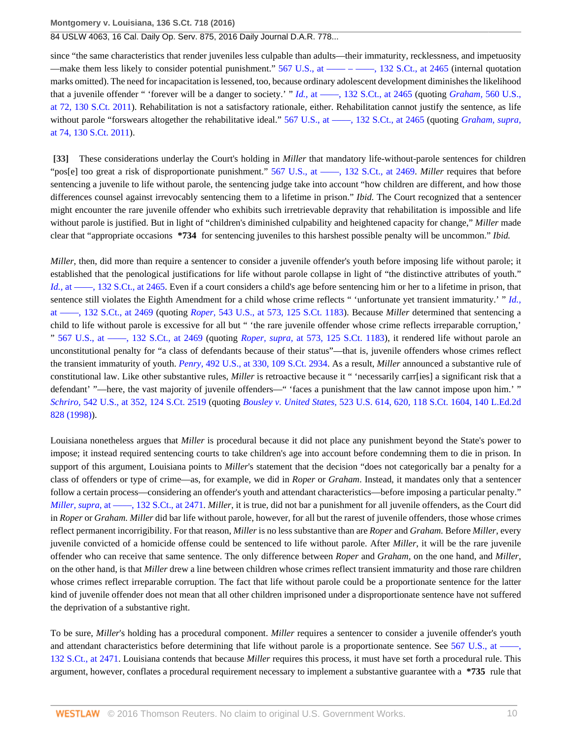since "the same characteristics that render juveniles less culpable than adults—their immaturity, recklessness, and impetuosity —make them less likely to consider potential punishment."  $567 \text{ U.S.}$ , at —————, 132 S.Ct., at 2465 (internal quotation marks omitted). The need for incapacitation is lessened, too, because ordinary adolescent development diminishes the likelihood that a juvenile offender " 'forever will be a danger to society.' " *Id.*, at ——, 132 S.Ct., at 2465 (quoting *Graham*, [560 U.S.,](http://www.westlaw.com/Link/Document/FullText?findType=Y&serNum=2022052221&pubNum=0000708&originatingDoc=I3698b26ac34e11e5a795ac035416da91&refType=RP&originationContext=document&vr=3.0&rs=cblt1.0&transitionType=DocumentItem&contextData=(sc.Search)) [at 72, 130 S.Ct. 2011\)](http://www.westlaw.com/Link/Document/FullText?findType=Y&serNum=2022052221&pubNum=0000708&originatingDoc=I3698b26ac34e11e5a795ac035416da91&refType=RP&originationContext=document&vr=3.0&rs=cblt1.0&transitionType=DocumentItem&contextData=(sc.Search)). Rehabilitation is not a satisfactory rationale, either. Rehabilitation cannot justify the sentence, as life without parole "forswears altogether the rehabilitative ideal." 567 U.S., at ——, 132 S.Ct., at 2465 (quoting *[Graham, supra,](http://www.westlaw.com/Link/Document/FullText?findType=Y&serNum=2022052221&pubNum=0000708&originatingDoc=I3698b26ac34e11e5a795ac035416da91&refType=RP&originationContext=document&vr=3.0&rs=cblt1.0&transitionType=DocumentItem&contextData=(sc.Search))* [at 74, 130 S.Ct. 2011\)](http://www.westlaw.com/Link/Document/FullText?findType=Y&serNum=2022052221&pubNum=0000708&originatingDoc=I3698b26ac34e11e5a795ac035416da91&refType=RP&originationContext=document&vr=3.0&rs=cblt1.0&transitionType=DocumentItem&contextData=(sc.Search)).

**[33]** These considerations underlay the Court's holding in *Miller* that mandatory life-without-parole sentences for children "pos[e] too great a risk of disproportionate punishment." 567 U.S., at ——, 132 S.Ct., at 2469. *Miller* requires that before sentencing a juvenile to life without parole, the sentencing judge take into account "how children are different, and how those differences counsel against irrevocably sentencing them to a lifetime in prison." *Ibid.* The Court recognized that a sentencer might encounter the rare juvenile offender who exhibits such irretrievable depravity that rehabilitation is impossible and life without parole is justified. But in light of "children's diminished culpability and heightened capacity for change," *Miller* made clear that "appropriate occasions **\*734** for sentencing juveniles to this harshest possible penalty will be uncommon." *Ibid.*

*Miller*, then, did more than require a sentencer to consider a juvenile offender's youth before imposing life without parole; it established that the penological justifications for life without parole collapse in light of "the distinctive attributes of youth." *Id.,* at ——, 132 S.Ct., at 2465. Even if a court considers a child's age before sentencing him or her to a lifetime in prison, that sentence still violates the Eighth Amendment for a child whose crime reflects " 'unfortunate yet transient immaturity.' " *[Id.,](http://www.westlaw.com/Link/Document/FullText?findType=Y&serNum=2027964006&pubNum=0000708&originatingDoc=I3698b26ac34e11e5a795ac035416da91&refType=RP&fi=co_pp_sp_708_2469&originationContext=document&vr=3.0&rs=cblt1.0&transitionType=DocumentItem&contextData=(sc.Search)#co_pp_sp_708_2469)* [at ––––, 132 S.Ct., at 2469](http://www.westlaw.com/Link/Document/FullText?findType=Y&serNum=2027964006&pubNum=0000708&originatingDoc=I3698b26ac34e11e5a795ac035416da91&refType=RP&fi=co_pp_sp_708_2469&originationContext=document&vr=3.0&rs=cblt1.0&transitionType=DocumentItem&contextData=(sc.Search)#co_pp_sp_708_2469) (quoting *Roper,* [543 U.S., at 573, 125 S.Ct. 1183\)](http://www.westlaw.com/Link/Document/FullText?findType=Y&serNum=2006291922&pubNum=0000708&originatingDoc=I3698b26ac34e11e5a795ac035416da91&refType=RP&originationContext=document&vr=3.0&rs=cblt1.0&transitionType=DocumentItem&contextData=(sc.Search)). Because *Miller* determined that sentencing a child to life without parole is excessive for all but " 'the rare juvenile offender whose crime reflects irreparable corruption,' " [567 U.S., at ––––, 132 S.Ct., at 2469](http://www.westlaw.com/Link/Document/FullText?findType=Y&serNum=2027964006&pubNum=0000708&originatingDoc=I3698b26ac34e11e5a795ac035416da91&refType=RP&fi=co_pp_sp_708_2469&originationContext=document&vr=3.0&rs=cblt1.0&transitionType=DocumentItem&contextData=(sc.Search)#co_pp_sp_708_2469) (quoting *Roper, supra,* [at 573, 125 S.Ct. 1183\)](http://www.westlaw.com/Link/Document/FullText?findType=Y&serNum=2006291922&pubNum=0000708&originatingDoc=I3698b26ac34e11e5a795ac035416da91&refType=RP&originationContext=document&vr=3.0&rs=cblt1.0&transitionType=DocumentItem&contextData=(sc.Search)), it rendered life without parole an unconstitutional penalty for "a class of defendants because of their status"—that is, juvenile offenders whose crimes reflect the transient immaturity of youth. *Penry,* [492 U.S., at 330, 109 S.Ct. 2934.](http://www.westlaw.com/Link/Document/FullText?findType=Y&serNum=1989094482&pubNum=0000708&originatingDoc=I3698b26ac34e11e5a795ac035416da91&refType=RP&originationContext=document&vr=3.0&rs=cblt1.0&transitionType=DocumentItem&contextData=(sc.Search)) As a result, *Miller* announced a substantive rule of constitutional law. Like other substantive rules, *Miller* is retroactive because it " 'necessarily carr[ies] a significant risk that a defendant' "—here, the vast majority of juvenile offenders—" 'faces a punishment that the law cannot impose upon him.' " *Schriro,* [542 U.S., at 352, 124 S.Ct. 2519](http://www.westlaw.com/Link/Document/FullText?findType=Y&serNum=2004622663&pubNum=0000708&originatingDoc=I3698b26ac34e11e5a795ac035416da91&refType=RP&originationContext=document&vr=3.0&rs=cblt1.0&transitionType=DocumentItem&contextData=(sc.Search)) (quoting *Bousley v. United States,* [523 U.S. 614, 620, 118 S.Ct. 1604, 140 L.Ed.2d](http://www.westlaw.com/Link/Document/FullText?findType=Y&serNum=1998108681&pubNum=0000708&originatingDoc=I3698b26ac34e11e5a795ac035416da91&refType=RP&originationContext=document&vr=3.0&rs=cblt1.0&transitionType=DocumentItem&contextData=(sc.Search)) [828 \(1998\)](http://www.westlaw.com/Link/Document/FullText?findType=Y&serNum=1998108681&pubNum=0000708&originatingDoc=I3698b26ac34e11e5a795ac035416da91&refType=RP&originationContext=document&vr=3.0&rs=cblt1.0&transitionType=DocumentItem&contextData=(sc.Search))).

Louisiana nonetheless argues that *Miller* is procedural because it did not place any punishment beyond the State's power to impose; it instead required sentencing courts to take children's age into account before condemning them to die in prison. In support of this argument, Louisiana points to *Miller*'s statement that the decision "does not categorically bar a penalty for a class of offenders or type of crime—as, for example, we did in *Roper* or *Graham*. Instead, it mandates only that a sentencer follow a certain process—considering an offender's youth and attendant characteristics—before imposing a particular penalty." *Miller, supra, at* ——, 132 S.Ct., at 2471. *Miller*, it is true, did not bar a punishment for all juvenile offenders, as the Court did in *Roper* or *Graham. Miller* did bar life without parole, however, for all but the rarest of juvenile offenders, those whose crimes reflect permanent incorrigibility. For that reason, *Miller* is no less substantive than are *Roper* and *Graham.* Before *Miller*, every juvenile convicted of a homicide offense could be sentenced to life without parole. After *Miller*, it will be the rare juvenile offender who can receive that same sentence. The only difference between *Roper* and *Graham,* on the one hand, and *Miller*, on the other hand, is that *Miller* drew a line between children whose crimes reflect transient immaturity and those rare children whose crimes reflect irreparable corruption. The fact that life without parole could be a proportionate sentence for the latter kind of juvenile offender does not mean that all other children imprisoned under a disproportionate sentence have not suffered the deprivation of a substantive right.

To be sure, *Miller*'s holding has a procedural component. *Miller* requires a sentencer to consider a juvenile offender's youth and attendant characteristics before determining that life without parole is a proportionate sentence. See  $567$  U.S., at  $-$ [132 S.Ct., at 2471.](http://www.westlaw.com/Link/Document/FullText?findType=Y&serNum=2027964006&pubNum=0000708&originatingDoc=I3698b26ac34e11e5a795ac035416da91&refType=RP&fi=co_pp_sp_708_2471&originationContext=document&vr=3.0&rs=cblt1.0&transitionType=DocumentItem&contextData=(sc.Search)#co_pp_sp_708_2471) Louisiana contends that because *Miller* requires this process, it must have set forth a procedural rule. This argument, however, conflates a procedural requirement necessary to implement a substantive guarantee with a **\*735** rule that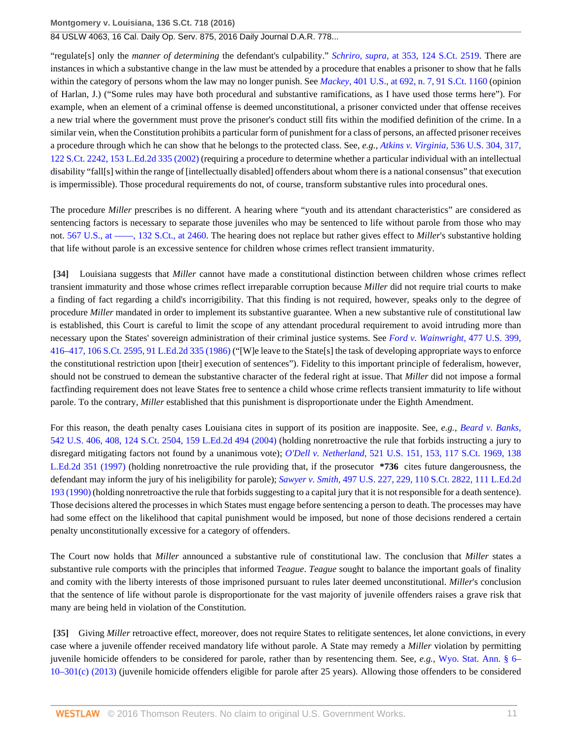"regulate[s] only the *manner of determining* the defendant's culpability." *Schriro, supra,* [at 353, 124 S.Ct. 2519](http://www.westlaw.com/Link/Document/FullText?findType=Y&serNum=2004622663&pubNum=0000708&originatingDoc=I3698b26ac34e11e5a795ac035416da91&refType=RP&originationContext=document&vr=3.0&rs=cblt1.0&transitionType=DocumentItem&contextData=(sc.Search)). There are instances in which a substantive change in the law must be attended by a procedure that enables a prisoner to show that he falls within the category of persons whom the law may no longer punish. See *Mackey,* [401 U.S., at 692, n. 7, 91 S.Ct. 1160](http://www.westlaw.com/Link/Document/FullText?findType=Y&serNum=1971127047&pubNum=0000708&originatingDoc=I3698b26ac34e11e5a795ac035416da91&refType=RP&originationContext=document&vr=3.0&rs=cblt1.0&transitionType=DocumentItem&contextData=(sc.Search)) (opinion of Harlan, J.) ("Some rules may have both procedural and substantive ramifications, as I have used those terms here"). For example, when an element of a criminal offense is deemed unconstitutional, a prisoner convicted under that offense receives a new trial where the government must prove the prisoner's conduct still fits within the modified definition of the crime. In a similar vein, when the Constitution prohibits a particular form of punishment for a class of persons, an affected prisoner receives a procedure through which he can show that he belongs to the protected class. See, *e.g., Atkins v. Virginia,* [536 U.S. 304, 317,](http://www.westlaw.com/Link/Document/FullText?findType=Y&serNum=2002381685&pubNum=0000708&originatingDoc=I3698b26ac34e11e5a795ac035416da91&refType=RP&originationContext=document&vr=3.0&rs=cblt1.0&transitionType=DocumentItem&contextData=(sc.Search)) [122 S.Ct. 2242, 153 L.Ed.2d 335 \(2002\)](http://www.westlaw.com/Link/Document/FullText?findType=Y&serNum=2002381685&pubNum=0000708&originatingDoc=I3698b26ac34e11e5a795ac035416da91&refType=RP&originationContext=document&vr=3.0&rs=cblt1.0&transitionType=DocumentItem&contextData=(sc.Search)) (requiring a procedure to determine whether a particular individual with an intellectual disability "fall[s] within the range of [intellectually disabled] offenders about whom there is a national consensus" that execution is impermissible). Those procedural requirements do not, of course, transform substantive rules into procedural ones.

The procedure *Miller* prescribes is no different. A hearing where "youth and its attendant characteristics" are considered as sentencing factors is necessary to separate those juveniles who may be sentenced to life without parole from those who may not. 567 U.S., at ——, 132 S.Ct., at 2460. The hearing does not replace but rather gives effect to *Miller's* substantive holding that life without parole is an excessive sentence for children whose crimes reflect transient immaturity.

**[34]** Louisiana suggests that *Miller* cannot have made a constitutional distinction between children whose crimes reflect transient immaturity and those whose crimes reflect irreparable corruption because *Miller* did not require trial courts to make a finding of fact regarding a child's incorrigibility. That this finding is not required, however, speaks only to the degree of procedure *Miller* mandated in order to implement its substantive guarantee. When a new substantive rule of constitutional law is established, this Court is careful to limit the scope of any attendant procedural requirement to avoid intruding more than necessary upon the States' sovereign administration of their criminal justice systems. See *[Ford v. Wainwright,](http://www.westlaw.com/Link/Document/FullText?findType=Y&serNum=1986132787&pubNum=0000708&originatingDoc=I3698b26ac34e11e5a795ac035416da91&refType=RP&originationContext=document&vr=3.0&rs=cblt1.0&transitionType=DocumentItem&contextData=(sc.Search))* 477 U.S. 399, [416–417, 106 S.Ct. 2595, 91 L.Ed.2d 335 \(1986\)](http://www.westlaw.com/Link/Document/FullText?findType=Y&serNum=1986132787&pubNum=0000708&originatingDoc=I3698b26ac34e11e5a795ac035416da91&refType=RP&originationContext=document&vr=3.0&rs=cblt1.0&transitionType=DocumentItem&contextData=(sc.Search)) ("[W]e leave to the State[s] the task of developing appropriate ways to enforce the constitutional restriction upon [their] execution of sentences"). Fidelity to this important principle of federalism, however, should not be construed to demean the substantive character of the federal right at issue. That *Miller* did not impose a formal factfinding requirement does not leave States free to sentence a child whose crime reflects transient immaturity to life without parole. To the contrary, *Miller* established that this punishment is disproportionate under the Eighth Amendment.

For this reason, the death penalty cases Louisiana cites in support of its position are inapposite. See, *e.g., [Beard v. Banks,](http://www.westlaw.com/Link/Document/FullText?findType=Y&serNum=2004622599&pubNum=0000708&originatingDoc=I3698b26ac34e11e5a795ac035416da91&refType=RP&originationContext=document&vr=3.0&rs=cblt1.0&transitionType=DocumentItem&contextData=(sc.Search))* [542 U.S. 406, 408, 124 S.Ct. 2504, 159 L.Ed.2d 494 \(2004\)](http://www.westlaw.com/Link/Document/FullText?findType=Y&serNum=2004622599&pubNum=0000708&originatingDoc=I3698b26ac34e11e5a795ac035416da91&refType=RP&originationContext=document&vr=3.0&rs=cblt1.0&transitionType=DocumentItem&contextData=(sc.Search)) (holding nonretroactive the rule that forbids instructing a jury to disregard mitigating factors not found by a unanimous vote); *O'Dell v. Netherland,* [521 U.S. 151, 153, 117 S.Ct. 1969, 138](http://www.westlaw.com/Link/Document/FullText?findType=Y&serNum=1997129562&pubNum=0000708&originatingDoc=I3698b26ac34e11e5a795ac035416da91&refType=RP&originationContext=document&vr=3.0&rs=cblt1.0&transitionType=DocumentItem&contextData=(sc.Search)) [L.Ed.2d 351 \(1997\)](http://www.westlaw.com/Link/Document/FullText?findType=Y&serNum=1997129562&pubNum=0000708&originatingDoc=I3698b26ac34e11e5a795ac035416da91&refType=RP&originationContext=document&vr=3.0&rs=cblt1.0&transitionType=DocumentItem&contextData=(sc.Search)) (holding nonretroactive the rule providing that, if the prosecutor **\*736** cites future dangerousness, the defendant may inform the jury of his ineligibility for parole); *Sawyer v. Smith,* [497 U.S. 227, 229, 110 S.Ct. 2822, 111 L.Ed.2d](http://www.westlaw.com/Link/Document/FullText?findType=Y&serNum=1990096219&pubNum=0000708&originatingDoc=I3698b26ac34e11e5a795ac035416da91&refType=RP&originationContext=document&vr=3.0&rs=cblt1.0&transitionType=DocumentItem&contextData=(sc.Search)) [193 \(1990\)](http://www.westlaw.com/Link/Document/FullText?findType=Y&serNum=1990096219&pubNum=0000708&originatingDoc=I3698b26ac34e11e5a795ac035416da91&refType=RP&originationContext=document&vr=3.0&rs=cblt1.0&transitionType=DocumentItem&contextData=(sc.Search)) (holding nonretroactive the rule that forbids suggesting to a capital jury that it is not responsible for a death sentence). Those decisions altered the processes in which States must engage before sentencing a person to death. The processes may have had some effect on the likelihood that capital punishment would be imposed, but none of those decisions rendered a certain penalty unconstitutionally excessive for a category of offenders.

The Court now holds that *Miller* announced a substantive rule of constitutional law. The conclusion that *Miller* states a substantive rule comports with the principles that informed *Teague*. *Teague* sought to balance the important goals of finality and comity with the liberty interests of those imprisoned pursuant to rules later deemed unconstitutional. *Miller*'s conclusion that the sentence of life without parole is disproportionate for the vast majority of juvenile offenders raises a grave risk that many are being held in violation of the Constitution.

**[35]** Giving *Miller* retroactive effect, moreover, does not require States to relitigate sentences, let alone convictions, in every case where a juvenile offender received mandatory life without parole. A State may remedy a *Miller* violation by permitting juvenile homicide offenders to be considered for parole, rather than by resentencing them. See, *e.g.,* [Wyo. Stat. Ann. § 6–](http://www.westlaw.com/Link/Document/FullText?findType=L&pubNum=1000377&cite=WYSTS6-10-301&originatingDoc=I3698b26ac34e11e5a795ac035416da91&refType=SP&originationContext=document&vr=3.0&rs=cblt1.0&transitionType=DocumentItem&contextData=(sc.Search)#co_pp_4b24000003ba5) [10–301\(c\) \(2013\)](http://www.westlaw.com/Link/Document/FullText?findType=L&pubNum=1000377&cite=WYSTS6-10-301&originatingDoc=I3698b26ac34e11e5a795ac035416da91&refType=SP&originationContext=document&vr=3.0&rs=cblt1.0&transitionType=DocumentItem&contextData=(sc.Search)#co_pp_4b24000003ba5) (juvenile homicide offenders eligible for parole after 25 years). Allowing those offenders to be considered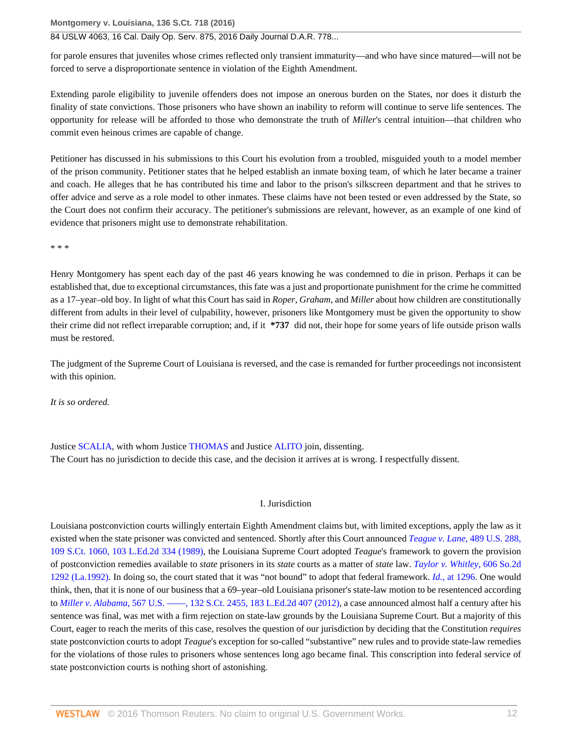## 84 USLW 4063, 16 Cal. Daily Op. Serv. 875, 2016 Daily Journal D.A.R. 778...

for parole ensures that juveniles whose crimes reflected only transient immaturity—and who have since matured—will not be forced to serve a disproportionate sentence in violation of the Eighth Amendment.

Extending parole eligibility to juvenile offenders does not impose an onerous burden on the States, nor does it disturb the finality of state convictions. Those prisoners who have shown an inability to reform will continue to serve life sentences. The opportunity for release will be afforded to those who demonstrate the truth of *Miller*'s central intuition—that children who commit even heinous crimes are capable of change.

Petitioner has discussed in his submissions to this Court his evolution from a troubled, misguided youth to a model member of the prison community. Petitioner states that he helped establish an inmate boxing team, of which he later became a trainer and coach. He alleges that he has contributed his time and labor to the prison's silkscreen department and that he strives to offer advice and serve as a role model to other inmates. These claims have not been tested or even addressed by the State, so the Court does not confirm their accuracy. The petitioner's submissions are relevant, however, as an example of one kind of evidence that prisoners might use to demonstrate rehabilitation.

\* \* \*

Henry Montgomery has spent each day of the past 46 years knowing he was condemned to die in prison. Perhaps it can be established that, due to exceptional circumstances, this fate was a just and proportionate punishment for the crime he committed as a 17–year–old boy. In light of what this Court has said in *Roper, Graham,* and *Miller* about how children are constitutionally different from adults in their level of culpability, however, prisoners like Montgomery must be given the opportunity to show their crime did not reflect irreparable corruption; and, if it **\*737** did not, their hope for some years of life outside prison walls must be restored.

The judgment of the Supreme Court of Louisiana is reversed, and the case is remanded for further proceedings not inconsistent with this opinion.

*It is so ordered.*

Justice [SCALIA,](http://www.westlaw.com/Link/Document/FullText?findType=h&pubNum=176284&cite=0254763301&originatingDoc=I3698b26ac34e11e5a795ac035416da91&refType=RQ&originationContext=document&vr=3.0&rs=cblt1.0&transitionType=DocumentItem&contextData=(sc.Search)) with whom Justice [THOMAS](http://www.westlaw.com/Link/Document/FullText?findType=h&pubNum=176284&cite=0216654601&originatingDoc=I3698b26ac34e11e5a795ac035416da91&refType=RQ&originationContext=document&vr=3.0&rs=cblt1.0&transitionType=DocumentItem&contextData=(sc.Search)) and Justice [ALITO](http://www.westlaw.com/Link/Document/FullText?findType=h&pubNum=176284&cite=0153052401&originatingDoc=I3698b26ac34e11e5a795ac035416da91&refType=RQ&originationContext=document&vr=3.0&rs=cblt1.0&transitionType=DocumentItem&contextData=(sc.Search)) join, dissenting. The Court has no jurisdiction to decide this case, and the decision it arrives at is wrong. I respectfully dissent.

# I. Jurisdiction

Louisiana postconviction courts willingly entertain Eighth Amendment claims but, with limited exceptions, apply the law as it existed when the state prisoner was convicted and sentenced. Shortly after this Court announced *[Teague v. Lane,](http://www.westlaw.com/Link/Document/FullText?findType=Y&serNum=1989027119&pubNum=0000708&originatingDoc=I3698b26ac34e11e5a795ac035416da91&refType=RP&originationContext=document&vr=3.0&rs=cblt1.0&transitionType=DocumentItem&contextData=(sc.Search))* 489 U.S. 288, [109 S.Ct. 1060, 103 L.Ed.2d 334 \(1989\),](http://www.westlaw.com/Link/Document/FullText?findType=Y&serNum=1989027119&pubNum=0000708&originatingDoc=I3698b26ac34e11e5a795ac035416da91&refType=RP&originationContext=document&vr=3.0&rs=cblt1.0&transitionType=DocumentItem&contextData=(sc.Search)) the Louisiana Supreme Court adopted *Teague*'s framework to govern the provision of postconviction remedies available to *state* prisoners in its *state* courts as a matter of *state* law. *[Taylor v. Whitley,](http://www.westlaw.com/Link/Document/FullText?findType=Y&serNum=1992182692&pubNum=0000735&originatingDoc=I3698b26ac34e11e5a795ac035416da91&refType=RP&originationContext=document&vr=3.0&rs=cblt1.0&transitionType=DocumentItem&contextData=(sc.Search))* 606 So.2d [1292 \(La.1992\)](http://www.westlaw.com/Link/Document/FullText?findType=Y&serNum=1992182692&pubNum=0000735&originatingDoc=I3698b26ac34e11e5a795ac035416da91&refType=RP&originationContext=document&vr=3.0&rs=cblt1.0&transitionType=DocumentItem&contextData=(sc.Search)). In doing so, the court stated that it was "not bound" to adopt that federal framework. *Id.,* [at 1296.](http://www.westlaw.com/Link/Document/FullText?findType=Y&serNum=1992182692&pubNum=0000735&originatingDoc=I3698b26ac34e11e5a795ac035416da91&refType=RP&fi=co_pp_sp_735_1296&originationContext=document&vr=3.0&rs=cblt1.0&transitionType=DocumentItem&contextData=(sc.Search)#co_pp_sp_735_1296) One would think, then, that it is none of our business that a 69–year–old Louisiana prisoner's state-law motion to be resentenced according to *Miller v. Alabama,* [567 U.S. ––––, 132 S.Ct. 2455, 183 L.Ed.2d 407 \(2012\)](http://www.westlaw.com/Link/Document/FullText?findType=Y&serNum=2027964006&pubNum=0000708&originatingDoc=I3698b26ac34e11e5a795ac035416da91&refType=RP&originationContext=document&vr=3.0&rs=cblt1.0&transitionType=DocumentItem&contextData=(sc.Search)), a case announced almost half a century after his sentence was final, was met with a firm rejection on state-law grounds by the Louisiana Supreme Court. But a majority of this Court, eager to reach the merits of this case, resolves the question of our jurisdiction by deciding that the Constitution *requires* state postconviction courts to adopt *Teague*'s exception for so-called "substantive" new rules and to provide state-law remedies for the violations of those rules to prisoners whose sentences long ago became final. This conscription into federal service of state postconviction courts is nothing short of astonishing.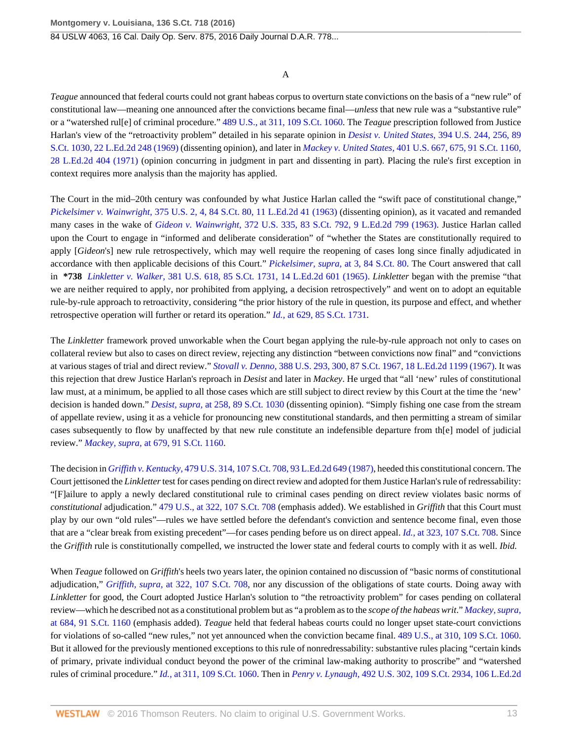#### A

*Teague* announced that federal courts could not grant habeas corpus to overturn state convictions on the basis of a "new rule" of constitutional law—meaning one announced after the convictions became final—*unless* that new rule was a "substantive rule" or a "watershed rul[e] of criminal procedure." [489 U.S., at 311, 109 S.Ct. 1060.](http://www.westlaw.com/Link/Document/FullText?findType=Y&serNum=1989027119&pubNum=0000708&originatingDoc=I3698b26ac34e11e5a795ac035416da91&refType=RP&originationContext=document&vr=3.0&rs=cblt1.0&transitionType=DocumentItem&contextData=(sc.Search)) The *Teague* prescription followed from Justice Harlan's view of the "retroactivity problem" detailed in his separate opinion in *[Desist v. United States,](http://www.westlaw.com/Link/Document/FullText?findType=Y&serNum=1969132933&pubNum=0000708&originatingDoc=I3698b26ac34e11e5a795ac035416da91&refType=RP&originationContext=document&vr=3.0&rs=cblt1.0&transitionType=DocumentItem&contextData=(sc.Search))* 394 U.S. 244, 256, 89 [S.Ct. 1030, 22 L.Ed.2d 248 \(1969\)](http://www.westlaw.com/Link/Document/FullText?findType=Y&serNum=1969132933&pubNum=0000708&originatingDoc=I3698b26ac34e11e5a795ac035416da91&refType=RP&originationContext=document&vr=3.0&rs=cblt1.0&transitionType=DocumentItem&contextData=(sc.Search)) (dissenting opinion), and later in *Mackey v. United States,* [401 U.S. 667, 675, 91 S.Ct. 1160,](http://www.westlaw.com/Link/Document/FullText?findType=Y&serNum=1971127047&pubNum=0000708&originatingDoc=I3698b26ac34e11e5a795ac035416da91&refType=RP&originationContext=document&vr=3.0&rs=cblt1.0&transitionType=DocumentItem&contextData=(sc.Search)) [28 L.Ed.2d 404 \(1971\)](http://www.westlaw.com/Link/Document/FullText?findType=Y&serNum=1971127047&pubNum=0000708&originatingDoc=I3698b26ac34e11e5a795ac035416da91&refType=RP&originationContext=document&vr=3.0&rs=cblt1.0&transitionType=DocumentItem&contextData=(sc.Search)) (opinion concurring in judgment in part and dissenting in part). Placing the rule's first exception in context requires more analysis than the majority has applied.

The Court in the mid–20th century was confounded by what Justice Harlan called the "swift pace of constitutional change," *Pickelsimer v. Wainwright,* [375 U.S. 2, 4, 84 S.Ct. 80, 11 L.Ed.2d 41 \(1963\)](http://www.westlaw.com/Link/Document/FullText?findType=Y&serNum=1963208171&pubNum=0000708&originatingDoc=I3698b26ac34e11e5a795ac035416da91&refType=RP&originationContext=document&vr=3.0&rs=cblt1.0&transitionType=DocumentItem&contextData=(sc.Search)) (dissenting opinion), as it vacated and remanded many cases in the wake of *Gideon v. Wainwright,* [372 U.S. 335, 83 S.Ct. 792, 9 L.Ed.2d 799 \(1963\).](http://www.westlaw.com/Link/Document/FullText?findType=Y&serNum=1963125313&pubNum=0000708&originatingDoc=I3698b26ac34e11e5a795ac035416da91&refType=RP&originationContext=document&vr=3.0&rs=cblt1.0&transitionType=DocumentItem&contextData=(sc.Search)) Justice Harlan called upon the Court to engage in "informed and deliberate consideration" of "whether the States are constitutionally required to apply [*Gideon*'s] new rule retrospectively, which may well require the reopening of cases long since finally adjudicated in accordance with then applicable decisions of this Court." *[Pickelsimer, supra,](http://www.westlaw.com/Link/Document/FullText?findType=Y&serNum=1963208171&pubNum=0000708&originatingDoc=I3698b26ac34e11e5a795ac035416da91&refType=RP&originationContext=document&vr=3.0&rs=cblt1.0&transitionType=DocumentItem&contextData=(sc.Search))* at 3, 84 S.Ct. 80. The Court answered that call in **\*738** *Linkletter v. Walker,* [381 U.S. 618, 85 S.Ct. 1731, 14 L.Ed.2d 601 \(1965\).](http://www.westlaw.com/Link/Document/FullText?findType=Y&serNum=1965125100&pubNum=0000708&originatingDoc=I3698b26ac34e11e5a795ac035416da91&refType=RP&originationContext=document&vr=3.0&rs=cblt1.0&transitionType=DocumentItem&contextData=(sc.Search)) *Linkletter* began with the premise "that we are neither required to apply, nor prohibited from applying, a decision retrospectively" and went on to adopt an equitable rule-by-rule approach to retroactivity, considering "the prior history of the rule in question, its purpose and effect, and whether retrospective operation will further or retard its operation." *Id.,* [at 629, 85 S.Ct. 1731.](http://www.westlaw.com/Link/Document/FullText?findType=Y&serNum=1965125100&pubNum=0000708&originatingDoc=I3698b26ac34e11e5a795ac035416da91&refType=RP&originationContext=document&vr=3.0&rs=cblt1.0&transitionType=DocumentItem&contextData=(sc.Search))

The *Linkletter* framework proved unworkable when the Court began applying the rule-by-rule approach not only to cases on collateral review but also to cases on direct review, rejecting any distinction "between convictions now final" and "convictions at various stages of trial and direct review." *Stovall v. Denno,* [388 U.S. 293, 300, 87 S.Ct. 1967, 18 L.Ed.2d 1199 \(1967\).](http://www.westlaw.com/Link/Document/FullText?findType=Y&serNum=1967129550&pubNum=0000708&originatingDoc=I3698b26ac34e11e5a795ac035416da91&refType=RP&originationContext=document&vr=3.0&rs=cblt1.0&transitionType=DocumentItem&contextData=(sc.Search)) It was this rejection that drew Justice Harlan's reproach in *Desist* and later in *Mackey*. He urged that "all 'new' rules of constitutional law must, at a minimum, be applied to all those cases which are still subject to direct review by this Court at the time the 'new' decision is handed down." *Desist, supra,* [at 258, 89 S.Ct. 1030](http://www.westlaw.com/Link/Document/FullText?findType=Y&serNum=1969132933&pubNum=0000708&originatingDoc=I3698b26ac34e11e5a795ac035416da91&refType=RP&originationContext=document&vr=3.0&rs=cblt1.0&transitionType=DocumentItem&contextData=(sc.Search)) (dissenting opinion). "Simply fishing one case from the stream of appellate review, using it as a vehicle for pronouncing new constitutional standards, and then permitting a stream of similar cases subsequently to flow by unaffected by that new rule constitute an indefensible departure from th[e] model of judicial review." *Mackey, supra,* [at 679, 91 S.Ct. 1160](http://www.westlaw.com/Link/Document/FullText?findType=Y&serNum=1971127047&pubNum=0000708&originatingDoc=I3698b26ac34e11e5a795ac035416da91&refType=RP&originationContext=document&vr=3.0&rs=cblt1.0&transitionType=DocumentItem&contextData=(sc.Search)).

The decision in *Griffith v. Kentucky,* [479 U.S. 314, 107 S.Ct. 708, 93 L.Ed.2d 649 \(1987\),](http://www.westlaw.com/Link/Document/FullText?findType=Y&serNum=1987004131&pubNum=0000708&originatingDoc=I3698b26ac34e11e5a795ac035416da91&refType=RP&originationContext=document&vr=3.0&rs=cblt1.0&transitionType=DocumentItem&contextData=(sc.Search)) heeded this constitutional concern. The Court jettisoned the *Linkletter* test for cases pending on direct review and adopted for them Justice Harlan's rule of redressability: "[F]ailure to apply a newly declared constitutional rule to criminal cases pending on direct review violates basic norms of *constitutional* adjudication." [479 U.S., at 322, 107 S.Ct. 708](http://www.westlaw.com/Link/Document/FullText?findType=Y&serNum=1987004131&pubNum=0000708&originatingDoc=I3698b26ac34e11e5a795ac035416da91&refType=RP&originationContext=document&vr=3.0&rs=cblt1.0&transitionType=DocumentItem&contextData=(sc.Search)) (emphasis added). We established in *Griffith* that this Court must play by our own "old rules"—rules we have settled before the defendant's conviction and sentence become final, even those that are a "clear break from existing precedent"—for cases pending before us on direct appeal. *Id.,* [at 323, 107 S.Ct. 708.](http://www.westlaw.com/Link/Document/FullText?findType=Y&serNum=1987004131&pubNum=0000708&originatingDoc=I3698b26ac34e11e5a795ac035416da91&refType=RP&originationContext=document&vr=3.0&rs=cblt1.0&transitionType=DocumentItem&contextData=(sc.Search)) Since the *Griffith* rule is constitutionally compelled, we instructed the lower state and federal courts to comply with it as well. *Ibid.*

When *Teague* followed on *Griffith*'s heels two years later, the opinion contained no discussion of "basic norms of constitutional adjudication," *Griffith, supra,* [at 322, 107 S.Ct. 708](http://www.westlaw.com/Link/Document/FullText?findType=Y&serNum=1987004131&pubNum=0000708&originatingDoc=I3698b26ac34e11e5a795ac035416da91&refType=RP&originationContext=document&vr=3.0&rs=cblt1.0&transitionType=DocumentItem&contextData=(sc.Search)), nor any discussion of the obligations of state courts. Doing away with *Linkletter* for good, the Court adopted Justice Harlan's solution to "the retroactivity problem" for cases pending on collateral review—which he described not as a constitutional problem but as "a problem as to the *scope of the habeas writ*." *[Mackey, supra,](http://www.westlaw.com/Link/Document/FullText?findType=Y&serNum=1971127047&pubNum=0000708&originatingDoc=I3698b26ac34e11e5a795ac035416da91&refType=RP&originationContext=document&vr=3.0&rs=cblt1.0&transitionType=DocumentItem&contextData=(sc.Search))* [at 684, 91 S.Ct. 1160](http://www.westlaw.com/Link/Document/FullText?findType=Y&serNum=1971127047&pubNum=0000708&originatingDoc=I3698b26ac34e11e5a795ac035416da91&refType=RP&originationContext=document&vr=3.0&rs=cblt1.0&transitionType=DocumentItem&contextData=(sc.Search)) (emphasis added). *Teague* held that federal habeas courts could no longer upset state-court convictions for violations of so-called "new rules," not yet announced when the conviction became final. [489 U.S., at 310, 109 S.Ct. 1060.](http://www.westlaw.com/Link/Document/FullText?findType=Y&serNum=1989027119&pubNum=0000708&originatingDoc=I3698b26ac34e11e5a795ac035416da91&refType=RP&originationContext=document&vr=3.0&rs=cblt1.0&transitionType=DocumentItem&contextData=(sc.Search)) But it allowed for the previously mentioned exceptions to this rule of nonredressability: substantive rules placing "certain kinds of primary, private individual conduct beyond the power of the criminal law-making authority to proscribe" and "watershed rules of criminal procedure." *Id.,* [at 311, 109 S.Ct. 1060](http://www.westlaw.com/Link/Document/FullText?findType=Y&serNum=1989027119&pubNum=0000708&originatingDoc=I3698b26ac34e11e5a795ac035416da91&refType=RP&originationContext=document&vr=3.0&rs=cblt1.0&transitionType=DocumentItem&contextData=(sc.Search)). Then in *Penry v. Lynaugh,* [492 U.S. 302, 109 S.Ct. 2934, 106 L.Ed.2d](http://www.westlaw.com/Link/Document/FullText?findType=Y&serNum=1989094482&pubNum=0000708&originatingDoc=I3698b26ac34e11e5a795ac035416da91&refType=RP&originationContext=document&vr=3.0&rs=cblt1.0&transitionType=DocumentItem&contextData=(sc.Search))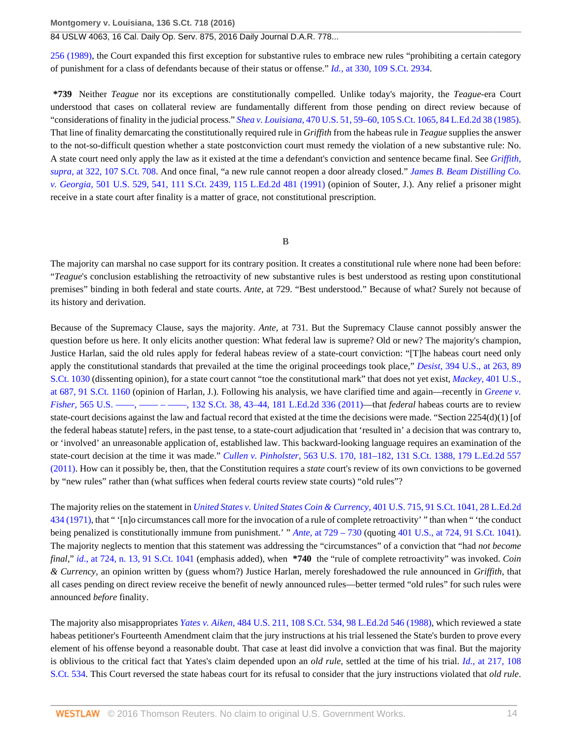### 84 USLW 4063, 16 Cal. Daily Op. Serv. 875, 2016 Daily Journal D.A.R. 778...

[256 \(1989\)](http://www.westlaw.com/Link/Document/FullText?findType=Y&serNum=1989094482&pubNum=0000708&originatingDoc=I3698b26ac34e11e5a795ac035416da91&refType=RP&originationContext=document&vr=3.0&rs=cblt1.0&transitionType=DocumentItem&contextData=(sc.Search)), the Court expanded this first exception for substantive rules to embrace new rules "prohibiting a certain category of punishment for a class of defendants because of their status or offense." *Id.,* [at 330, 109 S.Ct. 2934](http://www.westlaw.com/Link/Document/FullText?findType=Y&serNum=1989094482&pubNum=0000708&originatingDoc=I3698b26ac34e11e5a795ac035416da91&refType=RP&originationContext=document&vr=3.0&rs=cblt1.0&transitionType=DocumentItem&contextData=(sc.Search)).

**\*739** Neither *Teague* nor its exceptions are constitutionally compelled. Unlike today's majority, the *Teague-*era Court understood that cases on collateral review are fundamentally different from those pending on direct review because of "considerations of finality in the judicial process." *Shea v. Louisiana,* [470 U.S. 51, 59–60, 105 S.Ct. 1065, 84 L.Ed.2d 38 \(1985\).](http://www.westlaw.com/Link/Document/FullText?findType=Y&serNum=1985108933&pubNum=0000708&originatingDoc=I3698b26ac34e11e5a795ac035416da91&refType=RP&originationContext=document&vr=3.0&rs=cblt1.0&transitionType=DocumentItem&contextData=(sc.Search)) That line of finality demarcating the constitutionally required rule in *Griffith* from the habeas rule in *Teague* supplies the answer to the not-so-difficult question whether a state postconviction court must remedy the violation of a new substantive rule: No. A state court need only apply the law as it existed at the time a defendant's conviction and sentence became final. See *[Griffith,](http://www.westlaw.com/Link/Document/FullText?findType=Y&serNum=1987004131&pubNum=0000708&originatingDoc=I3698b26ac34e11e5a795ac035416da91&refType=RP&originationContext=document&vr=3.0&rs=cblt1.0&transitionType=DocumentItem&contextData=(sc.Search)) supra,* [at 322, 107 S.Ct. 708.](http://www.westlaw.com/Link/Document/FullText?findType=Y&serNum=1987004131&pubNum=0000708&originatingDoc=I3698b26ac34e11e5a795ac035416da91&refType=RP&originationContext=document&vr=3.0&rs=cblt1.0&transitionType=DocumentItem&contextData=(sc.Search)) And once final, "a new rule cannot reopen a door already closed." *[James B. Beam Distilling Co.](http://www.westlaw.com/Link/Document/FullText?findType=Y&serNum=1991112161&pubNum=0000708&originatingDoc=I3698b26ac34e11e5a795ac035416da91&refType=RP&originationContext=document&vr=3.0&rs=cblt1.0&transitionType=DocumentItem&contextData=(sc.Search)) v. Georgia,* [501 U.S. 529, 541, 111 S.Ct. 2439, 115 L.Ed.2d 481 \(1991\)](http://www.westlaw.com/Link/Document/FullText?findType=Y&serNum=1991112161&pubNum=0000708&originatingDoc=I3698b26ac34e11e5a795ac035416da91&refType=RP&originationContext=document&vr=3.0&rs=cblt1.0&transitionType=DocumentItem&contextData=(sc.Search)) (opinion of Souter, J.). Any relief a prisoner might receive in a state court after finality is a matter of grace, not constitutional prescription.

#### B

The majority can marshal no case support for its contrary position. It creates a constitutional rule where none had been before: "*Teague*'s conclusion establishing the retroactivity of new substantive rules is best understood as resting upon constitutional premises" binding in both federal and state courts. *Ante,* at 729. "Best understood." Because of what? Surely not because of its history and derivation.

Because of the Supremacy Clause, says the majority. *Ante,* at 731. But the Supremacy Clause cannot possibly answer the question before us here. It only elicits another question: What federal law is supreme? Old or new? The majority's champion, Justice Harlan, said the old rules apply for federal habeas review of a state-court conviction: "[T]he habeas court need only apply the constitutional standards that prevailed at the time the original proceedings took place," *Desist,* [394 U.S., at 263, 89](http://www.westlaw.com/Link/Document/FullText?findType=Y&serNum=1969132933&pubNum=0000708&originatingDoc=I3698b26ac34e11e5a795ac035416da91&refType=RP&originationContext=document&vr=3.0&rs=cblt1.0&transitionType=DocumentItem&contextData=(sc.Search)) [S.Ct. 1030](http://www.westlaw.com/Link/Document/FullText?findType=Y&serNum=1969132933&pubNum=0000708&originatingDoc=I3698b26ac34e11e5a795ac035416da91&refType=RP&originationContext=document&vr=3.0&rs=cblt1.0&transitionType=DocumentItem&contextData=(sc.Search)) (dissenting opinion), for a state court cannot "toe the constitutional mark" that does not yet exist, *Mackey,* [401 U.S.,](http://www.westlaw.com/Link/Document/FullText?findType=Y&serNum=1971127047&pubNum=0000708&originatingDoc=I3698b26ac34e11e5a795ac035416da91&refType=RP&originationContext=document&vr=3.0&rs=cblt1.0&transitionType=DocumentItem&contextData=(sc.Search)) [at 687, 91 S.Ct. 1160](http://www.westlaw.com/Link/Document/FullText?findType=Y&serNum=1971127047&pubNum=0000708&originatingDoc=I3698b26ac34e11e5a795ac035416da91&refType=RP&originationContext=document&vr=3.0&rs=cblt1.0&transitionType=DocumentItem&contextData=(sc.Search)) (opinion of Harlan, J.). Following his analysis, we have clarified time and again—recently in *[Greene v.](http://www.westlaw.com/Link/Document/FullText?findType=Y&serNum=2026467619&pubNum=0000708&originatingDoc=I3698b26ac34e11e5a795ac035416da91&refType=RP&fi=co_pp_sp_708_43&originationContext=document&vr=3.0&rs=cblt1.0&transitionType=DocumentItem&contextData=(sc.Search)#co_pp_sp_708_43) Fisher,* [565 U.S. ––––, –––– – ––––, 132 S.Ct. 38, 43–44, 181 L.Ed.2d 336 \(2011\)—](http://www.westlaw.com/Link/Document/FullText?findType=Y&serNum=2026467619&pubNum=0000708&originatingDoc=I3698b26ac34e11e5a795ac035416da91&refType=RP&fi=co_pp_sp_708_43&originationContext=document&vr=3.0&rs=cblt1.0&transitionType=DocumentItem&contextData=(sc.Search)#co_pp_sp_708_43)that *federal* habeas courts are to review state-court decisions against the law and factual record that existed at the time the decisions were made. "Section 2254(d)(1) [of the federal habeas statute] refers, in the past tense, to a state-court adjudication that 'resulted in' a decision that was contrary to, or 'involved' an unreasonable application of, established law. This backward-looking language requires an examination of the state-court decision at the time it was made." *Cullen v. Pinholster,* [563 U.S. 170, 181–182, 131 S.Ct. 1388, 179 L.Ed.2d 557](http://www.westlaw.com/Link/Document/FullText?findType=Y&serNum=2024933328&pubNum=0000708&originatingDoc=I3698b26ac34e11e5a795ac035416da91&refType=RP&originationContext=document&vr=3.0&rs=cblt1.0&transitionType=DocumentItem&contextData=(sc.Search)) [\(2011\).](http://www.westlaw.com/Link/Document/FullText?findType=Y&serNum=2024933328&pubNum=0000708&originatingDoc=I3698b26ac34e11e5a795ac035416da91&refType=RP&originationContext=document&vr=3.0&rs=cblt1.0&transitionType=DocumentItem&contextData=(sc.Search)) How can it possibly be, then, that the Constitution requires a *state* court's review of its own convictions to be governed by "new rules" rather than (what suffices when federal courts review state courts) "old rules"?

The majority relies on the statement in *[United States v. United States Coin & Currency,](http://www.westlaw.com/Link/Document/FullText?findType=Y&serNum=1971127037&pubNum=0000708&originatingDoc=I3698b26ac34e11e5a795ac035416da91&refType=RP&originationContext=document&vr=3.0&rs=cblt1.0&transitionType=DocumentItem&contextData=(sc.Search))* 401 U.S. 715, 91 S.Ct. 1041, 28 L.Ed.2d [434 \(1971\),](http://www.westlaw.com/Link/Document/FullText?findType=Y&serNum=1971127037&pubNum=0000708&originatingDoc=I3698b26ac34e11e5a795ac035416da91&refType=RP&originationContext=document&vr=3.0&rs=cblt1.0&transitionType=DocumentItem&contextData=(sc.Search)) that " '[n]o circumstances call more for the invocation of a rule of complete retroactivity' " than when " 'the conduct being penalized is constitutionally immune from punishment.' " *Ante,* [at 729 – 730](http://www.westlaw.com/Link/Document/FullText?findType=Y&serNum=1971127037&pubNum=0000780&originatingDoc=I3698b26ac34e11e5a795ac035416da91&refType=RP&fi=co_pp_sp_780_729&originationContext=document&vr=3.0&rs=cblt1.0&transitionType=DocumentItem&contextData=(sc.Search)#co_pp_sp_780_729) (quoting [401 U.S., at 724, 91 S.Ct. 1041](http://www.westlaw.com/Link/Document/FullText?findType=Y&serNum=1971127037&pubNum=0000708&originatingDoc=I3698b26ac34e11e5a795ac035416da91&refType=RP&originationContext=document&vr=3.0&rs=cblt1.0&transitionType=DocumentItem&contextData=(sc.Search))). The majority neglects to mention that this statement was addressing the "circumstances" of a conviction that "had *not become final,*" *id*[., at 724, n. 13, 91 S.Ct. 1041](http://www.westlaw.com/Link/Document/FullText?findType=Y&serNum=1971127037&pubNum=0000708&originatingDoc=I3698b26ac34e11e5a795ac035416da91&refType=RP&originationContext=document&vr=3.0&rs=cblt1.0&transitionType=DocumentItem&contextData=(sc.Search)) (emphasis added), when **\*740** the "rule of complete retroactivity" was invoked. *Coin & Currency,* an opinion written by (guess whom?) Justice Harlan, merely foreshadowed the rule announced in *Griffith,* that all cases pending on direct review receive the benefit of newly announced rules—better termed "old rules" for such rules were announced *before* finality.

The majority also misappropriates *Yates v. Aiken,* [484 U.S. 211, 108 S.Ct. 534, 98 L.Ed.2d 546 \(1988\)](http://www.westlaw.com/Link/Document/FullText?findType=Y&serNum=1988007130&pubNum=0000708&originatingDoc=I3698b26ac34e11e5a795ac035416da91&refType=RP&originationContext=document&vr=3.0&rs=cblt1.0&transitionType=DocumentItem&contextData=(sc.Search)), which reviewed a state habeas petitioner's Fourteenth Amendment claim that the jury instructions at his trial lessened the State's burden to prove every element of his offense beyond a reasonable doubt. That case at least did involve a conviction that was final. But the majority is oblivious to the critical fact that Yates's claim depended upon an *old rule,* settled at the time of his trial. *Id.,* [at 217, 108](http://www.westlaw.com/Link/Document/FullText?findType=Y&serNum=1988007130&pubNum=0000708&originatingDoc=I3698b26ac34e11e5a795ac035416da91&refType=RP&originationContext=document&vr=3.0&rs=cblt1.0&transitionType=DocumentItem&contextData=(sc.Search)) [S.Ct. 534.](http://www.westlaw.com/Link/Document/FullText?findType=Y&serNum=1988007130&pubNum=0000708&originatingDoc=I3698b26ac34e11e5a795ac035416da91&refType=RP&originationContext=document&vr=3.0&rs=cblt1.0&transitionType=DocumentItem&contextData=(sc.Search)) This Court reversed the state habeas court for its refusal to consider that the jury instructions violated that *old rule*.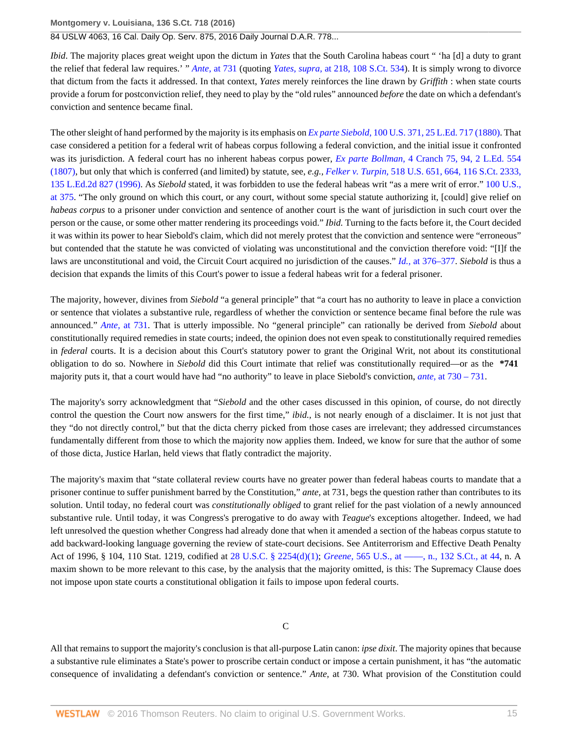### 84 USLW 4063, 16 Cal. Daily Op. Serv. 875, 2016 Daily Journal D.A.R. 778...

*Ibid*. The majority places great weight upon the dictum in *Yates* that the South Carolina habeas court " 'ha [d] a duty to grant the relief that federal law requires.' " *Ante,* [at 731](http://www.westlaw.com/Link/Document/FullText?findType=Y&serNum=1971127037&pubNum=0000780&originatingDoc=I3698b26ac34e11e5a795ac035416da91&refType=RP&fi=co_pp_sp_780_731&originationContext=document&vr=3.0&rs=cblt1.0&transitionType=DocumentItem&contextData=(sc.Search)#co_pp_sp_780_731) (quoting *Yates, supra,* [at 218, 108 S.Ct. 534](http://www.westlaw.com/Link/Document/FullText?findType=Y&serNum=1988007130&pubNum=0000708&originatingDoc=I3698b26ac34e11e5a795ac035416da91&refType=RP&originationContext=document&vr=3.0&rs=cblt1.0&transitionType=DocumentItem&contextData=(sc.Search))). It is simply wrong to divorce that dictum from the facts it addressed. In that context, *Yates* merely reinforces the line drawn by *Griffith* : when state courts provide a forum for postconviction relief, they need to play by the "old rules" announced *before* the date on which a defendant's conviction and sentence became final.

The other sleight of hand performed by the majority is its emphasis on *Ex parte Siebold,* [100 U.S. 371, 25 L.Ed. 717 \(1880\)](http://www.westlaw.com/Link/Document/FullText?findType=Y&serNum=1800131032&pubNum=0000780&originatingDoc=I3698b26ac34e11e5a795ac035416da91&refType=RP&originationContext=document&vr=3.0&rs=cblt1.0&transitionType=DocumentItem&contextData=(sc.Search)). That case considered a petition for a federal writ of habeas corpus following a federal conviction, and the initial issue it confronted was its jurisdiction. A federal court has no inherent habeas corpus power, *Ex parte Bollman,* [4 Cranch 75, 94, 2 L.Ed. 554](http://www.westlaw.com/Link/Document/FullText?findType=Y&serNum=1800146646&pubNum=0000780&originatingDoc=I3698b26ac34e11e5a795ac035416da91&refType=RP&fi=co_pp_sp_780_94&originationContext=document&vr=3.0&rs=cblt1.0&transitionType=DocumentItem&contextData=(sc.Search)#co_pp_sp_780_94) [\(1807\),](http://www.westlaw.com/Link/Document/FullText?findType=Y&serNum=1800146646&pubNum=0000780&originatingDoc=I3698b26ac34e11e5a795ac035416da91&refType=RP&fi=co_pp_sp_780_94&originationContext=document&vr=3.0&rs=cblt1.0&transitionType=DocumentItem&contextData=(sc.Search)#co_pp_sp_780_94) but only that which is conferred (and limited) by statute, see, *e.g., Felker v. Turpin,* [518 U.S. 651, 664, 116 S.Ct. 2333,](http://www.westlaw.com/Link/Document/FullText?findType=Y&serNum=1996144517&pubNum=0000708&originatingDoc=I3698b26ac34e11e5a795ac035416da91&refType=RP&originationContext=document&vr=3.0&rs=cblt1.0&transitionType=DocumentItem&contextData=(sc.Search)) [135 L.Ed.2d 827 \(1996\)](http://www.westlaw.com/Link/Document/FullText?findType=Y&serNum=1996144517&pubNum=0000708&originatingDoc=I3698b26ac34e11e5a795ac035416da91&refType=RP&originationContext=document&vr=3.0&rs=cblt1.0&transitionType=DocumentItem&contextData=(sc.Search)). As *Siebold* stated, it was forbidden to use the federal habeas writ "as a mere writ of error." [100 U.S.,](http://www.westlaw.com/Link/Document/FullText?findType=Y&serNum=1800131032&pubNum=0000780&originatingDoc=I3698b26ac34e11e5a795ac035416da91&refType=RP&fi=co_pp_sp_780_375&originationContext=document&vr=3.0&rs=cblt1.0&transitionType=DocumentItem&contextData=(sc.Search)#co_pp_sp_780_375) [at 375](http://www.westlaw.com/Link/Document/FullText?findType=Y&serNum=1800131032&pubNum=0000780&originatingDoc=I3698b26ac34e11e5a795ac035416da91&refType=RP&fi=co_pp_sp_780_375&originationContext=document&vr=3.0&rs=cblt1.0&transitionType=DocumentItem&contextData=(sc.Search)#co_pp_sp_780_375). "The only ground on which this court, or any court, without some special statute authorizing it, [could] give relief on *habeas corpus* to a prisoner under conviction and sentence of another court is the want of jurisdiction in such court over the person or the cause, or some other matter rendering its proceedings void." *Ibid.* Turning to the facts before it, the Court decided it was within its power to hear Siebold's claim, which did not merely protest that the conviction and sentence were "erroneous" but contended that the statute he was convicted of violating was unconstitutional and the conviction therefore void: "[I]f the laws are unconstitutional and void, the Circuit Court acquired no jurisdiction of the causes." *Id.,* [at 376–377](http://www.westlaw.com/Link/Document/FullText?findType=Y&serNum=1800131032&pubNum=0000780&originatingDoc=I3698b26ac34e11e5a795ac035416da91&refType=RP&fi=co_pp_sp_780_376&originationContext=document&vr=3.0&rs=cblt1.0&transitionType=DocumentItem&contextData=(sc.Search)#co_pp_sp_780_376). *Siebold* is thus a decision that expands the limits of this Court's power to issue a federal habeas writ for a federal prisoner.

The majority, however, divines from *Siebold* "a general principle" that "a court has no authority to leave in place a conviction or sentence that violates a substantive rule, regardless of whether the conviction or sentence became final before the rule was announced." *Ante,* [at 731](http://www.westlaw.com/Link/Document/FullText?findType=Y&serNum=1800131032&pubNum=0000470&originatingDoc=I3698b26ac34e11e5a795ac035416da91&refType=RP&fi=co_pp_sp_470_731&originationContext=document&vr=3.0&rs=cblt1.0&transitionType=DocumentItem&contextData=(sc.Search)#co_pp_sp_470_731). That is utterly impossible. No "general principle" can rationally be derived from *Siebold* about constitutionally required remedies in state courts; indeed, the opinion does not even speak to constitutionally required remedies in *federal* courts. It is a decision about this Court's statutory power to grant the Original Writ, not about its constitutional obligation to do so. Nowhere in *Siebold* did this Court intimate that relief was constitutionally required—or as the **\*741** majority puts it, that a court would have had "no authority" to leave in place Siebold's conviction, *ante,* [at 730 – 731](http://www.westlaw.com/Link/Document/FullText?findType=Y&serNum=1800131032&pubNum=0000470&originatingDoc=I3698b26ac34e11e5a795ac035416da91&refType=RP&fi=co_pp_sp_470_730&originationContext=document&vr=3.0&rs=cblt1.0&transitionType=DocumentItem&contextData=(sc.Search)#co_pp_sp_470_730).

The majority's sorry acknowledgment that "*Siebold* and the other cases discussed in this opinion, of course, do not directly control the question the Court now answers for the first time," *ibid.,* is not nearly enough of a disclaimer. It is not just that they "do not directly control," but that the dicta cherry picked from those cases are irrelevant; they addressed circumstances fundamentally different from those to which the majority now applies them. Indeed, we know for sure that the author of some of those dicta, Justice Harlan, held views that flatly contradict the majority.

The majority's maxim that "state collateral review courts have no greater power than federal habeas courts to mandate that a prisoner continue to suffer punishment barred by the Constitution," *ante,* at 731, begs the question rather than contributes to its solution. Until today, no federal court was *constitutionally obliged* to grant relief for the past violation of a newly announced substantive rule. Until today, it was Congress's prerogative to do away with *Teague*'s exceptions altogether. Indeed, we had left unresolved the question whether Congress had already done that when it amended a section of the habeas corpus statute to add backward-looking language governing the review of state-court decisions. See Antiterrorism and Effective Death Penalty Act of 1996, § 104, 110 Stat. 1219, codified at [28 U.S.C. § 2254\(d\)\(1\);](http://www.westlaw.com/Link/Document/FullText?findType=L&pubNum=1000546&cite=28USCAS2254&originatingDoc=I3698b26ac34e11e5a795ac035416da91&refType=RB&originationContext=document&vr=3.0&rs=cblt1.0&transitionType=DocumentItem&contextData=(sc.Search)#co_pp_e07e0000a9f57) *Greene,* [565 U.S., at ––––, n., 132 S.Ct., at 44,](http://www.westlaw.com/Link/Document/FullText?findType=Y&serNum=2026467619&pubNum=0000708&originatingDoc=I3698b26ac34e11e5a795ac035416da91&refType=RP&fi=co_pp_sp_708_44&originationContext=document&vr=3.0&rs=cblt1.0&transitionType=DocumentItem&contextData=(sc.Search)#co_pp_sp_708_44) n. A maxim shown to be more relevant to this case, by the analysis that the majority omitted, is this: The Supremacy Clause does not impose upon state courts a constitutional obligation it fails to impose upon federal courts.

### $\mathcal{C}$

All that remains to support the majority's conclusion is that all-purpose Latin canon: *ipse dixit*. The majority opines that because a substantive rule eliminates a State's power to proscribe certain conduct or impose a certain punishment, it has "the automatic consequence of invalidating a defendant's conviction or sentence." *Ante,* at 730. What provision of the Constitution could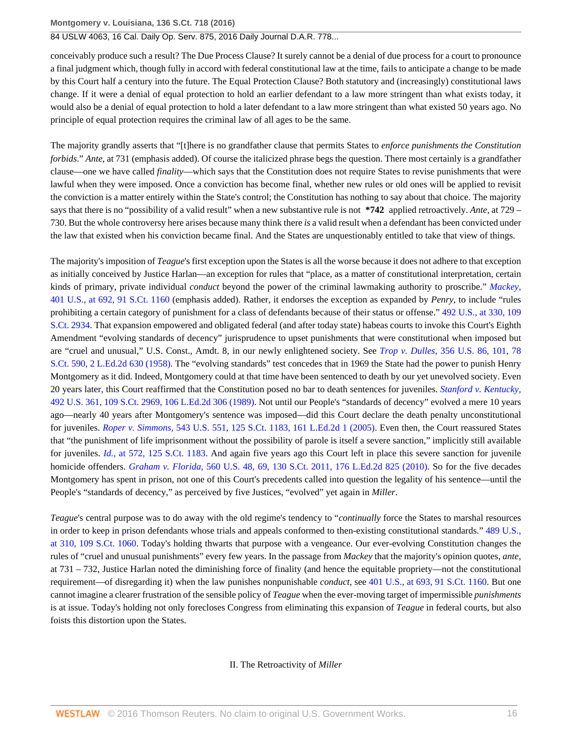### 84 USLW 4063, 16 Cal. Daily Op. Serv. 875, 2016 Daily Journal D.A.R. 778...

conceivably produce such a result? The Due Process Clause? It surely cannot be a denial of due process for a court to pronounce a final judgment which, though fully in accord with federal constitutional law at the time, fails to anticipate a change to be made by this Court half a century into the future. The Equal Protection Clause? Both statutory and (increasingly) constitutional laws change. If it were a denial of equal protection to hold an earlier defendant to a law more stringent than what exists today, it would also be a denial of equal protection to hold a later defendant to a law more stringent than what existed 50 years ago. No principle of equal protection requires the criminal law of all ages to be the same.

The majority grandly asserts that "[t]here is no grandfather clause that permits States to *enforce punishments the Constitution forbids*." *Ante,* at 731 (emphasis added). Of course the italicized phrase begs the question. There most certainly is a grandfather clause—one we have called *finality*—which says that the Constitution does not require States to revise punishments that were lawful when they were imposed. Once a conviction has become final, whether new rules or old ones will be applied to revisit the conviction is a matter entirely within the State's control; the Constitution has nothing to say about that choice. The majority says that there is no "possibility of a valid result" when a new substantive rule is not **\*742** applied retroactively. *Ante,* at 729 – 730. But the whole controversy here arises because many think there *is* a valid result when a defendant has been convicted under the law that existed when his conviction became final. And the States are unquestionably entitled to take that view of things.

The majority's imposition of *Teague*'s first exception upon the States is all the worse because it does not adhere to that exception as initially conceived by Justice Harlan—an exception for rules that "place, as a matter of constitutional interpretation, certain kinds of primary, private individual *conduct* beyond the power of the criminal lawmaking authority to proscribe." *[Mackey,](http://www.westlaw.com/Link/Document/FullText?findType=Y&serNum=1971127047&pubNum=0000708&originatingDoc=I3698b26ac34e11e5a795ac035416da91&refType=RP&originationContext=document&vr=3.0&rs=cblt1.0&transitionType=DocumentItem&contextData=(sc.Search))* [401 U.S., at 692, 91 S.Ct. 1160](http://www.westlaw.com/Link/Document/FullText?findType=Y&serNum=1971127047&pubNum=0000708&originatingDoc=I3698b26ac34e11e5a795ac035416da91&refType=RP&originationContext=document&vr=3.0&rs=cblt1.0&transitionType=DocumentItem&contextData=(sc.Search)) (emphasis added). Rather, it endorses the exception as expanded by *Penry,* to include "rules prohibiting a certain category of punishment for a class of defendants because of their status or offense." [492 U.S., at 330, 109](http://www.westlaw.com/Link/Document/FullText?findType=Y&serNum=1989094482&pubNum=0000708&originatingDoc=I3698b26ac34e11e5a795ac035416da91&refType=RP&originationContext=document&vr=3.0&rs=cblt1.0&transitionType=DocumentItem&contextData=(sc.Search)) [S.Ct. 2934](http://www.westlaw.com/Link/Document/FullText?findType=Y&serNum=1989094482&pubNum=0000708&originatingDoc=I3698b26ac34e11e5a795ac035416da91&refType=RP&originationContext=document&vr=3.0&rs=cblt1.0&transitionType=DocumentItem&contextData=(sc.Search)). That expansion empowered and obligated federal (and after today state) habeas courts to invoke this Court's Eighth Amendment "evolving standards of decency" jurisprudence to upset punishments that were constitutional when imposed but are "cruel and unusual," U.S. Const., Amdt. 8, in our newly enlightened society. See *Trop v. Dulles,* [356 U.S. 86, 101, 78](http://www.westlaw.com/Link/Document/FullText?findType=Y&serNum=1958121425&pubNum=0000708&originatingDoc=I3698b26ac34e11e5a795ac035416da91&refType=RP&originationContext=document&vr=3.0&rs=cblt1.0&transitionType=DocumentItem&contextData=(sc.Search)) [S.Ct. 590, 2 L.Ed.2d 630 \(1958\).](http://www.westlaw.com/Link/Document/FullText?findType=Y&serNum=1958121425&pubNum=0000708&originatingDoc=I3698b26ac34e11e5a795ac035416da91&refType=RP&originationContext=document&vr=3.0&rs=cblt1.0&transitionType=DocumentItem&contextData=(sc.Search)) The "evolving standards" test concedes that in 1969 the State had the power to punish Henry Montgomery as it did. Indeed, Montgomery could at that time have been sentenced to death by our yet unevolved society. Even 20 years later, this Court reaffirmed that the Constitution posed no bar to death sentences for juveniles. *[Stanford v. Kentucky,](http://www.westlaw.com/Link/Document/FullText?findType=Y&serNum=1989094485&pubNum=0000708&originatingDoc=I3698b26ac34e11e5a795ac035416da91&refType=RP&originationContext=document&vr=3.0&rs=cblt1.0&transitionType=DocumentItem&contextData=(sc.Search))* [492 U.S. 361, 109 S.Ct. 2969, 106 L.Ed.2d 306 \(1989\)](http://www.westlaw.com/Link/Document/FullText?findType=Y&serNum=1989094485&pubNum=0000708&originatingDoc=I3698b26ac34e11e5a795ac035416da91&refType=RP&originationContext=document&vr=3.0&rs=cblt1.0&transitionType=DocumentItem&contextData=(sc.Search)). Not until our People's "standards of decency" evolved a mere 10 years ago—nearly 40 years after Montgomery's sentence was imposed—did this Court declare the death penalty unconstitutional for juveniles. *Roper v. Simmons,* [543 U.S. 551, 125 S.Ct. 1183, 161 L.Ed.2d 1 \(2005\)](http://www.westlaw.com/Link/Document/FullText?findType=Y&serNum=2006291922&pubNum=0000708&originatingDoc=I3698b26ac34e11e5a795ac035416da91&refType=RP&originationContext=document&vr=3.0&rs=cblt1.0&transitionType=DocumentItem&contextData=(sc.Search)). Even then, the Court reassured States that "the punishment of life imprisonment without the possibility of parole is itself a severe sanction," implicitly still available for juveniles. *Id.,* [at 572, 125 S.Ct. 1183](http://www.westlaw.com/Link/Document/FullText?findType=Y&serNum=2006291922&pubNum=0000708&originatingDoc=I3698b26ac34e11e5a795ac035416da91&refType=RP&originationContext=document&vr=3.0&rs=cblt1.0&transitionType=DocumentItem&contextData=(sc.Search)). And again five years ago this Court left in place this severe sanction for juvenile homicide offenders. *Graham v. Florida,* [560 U.S. 48, 69, 130 S.Ct. 2011, 176 L.Ed.2d 825 \(2010\).](http://www.westlaw.com/Link/Document/FullText?findType=Y&serNum=2022052221&pubNum=0000708&originatingDoc=I3698b26ac34e11e5a795ac035416da91&refType=RP&originationContext=document&vr=3.0&rs=cblt1.0&transitionType=DocumentItem&contextData=(sc.Search)) So for the five decades Montgomery has spent in prison, not one of this Court's precedents called into question the legality of his sentence—until the People's "standards of decency," as perceived by five Justices, "evolved" yet again in *Miller*.

*Teague*'s central purpose was to do away with the old regime's tendency to "*continually* force the States to marshal resources in order to keep in prison defendants whose trials and appeals conformed to then-existing constitutional standards." [489 U.S.,](http://www.westlaw.com/Link/Document/FullText?findType=Y&serNum=1989027119&pubNum=0000708&originatingDoc=I3698b26ac34e11e5a795ac035416da91&refType=RP&originationContext=document&vr=3.0&rs=cblt1.0&transitionType=DocumentItem&contextData=(sc.Search)) [at 310, 109 S.Ct. 1060.](http://www.westlaw.com/Link/Document/FullText?findType=Y&serNum=1989027119&pubNum=0000708&originatingDoc=I3698b26ac34e11e5a795ac035416da91&refType=RP&originationContext=document&vr=3.0&rs=cblt1.0&transitionType=DocumentItem&contextData=(sc.Search)) Today's holding thwarts that purpose with a vengeance. Our ever-evolving Constitution changes the rules of "cruel and unusual punishments" every few years. In the passage from *Mackey* that the majority's opinion quotes, *ante,* at 731 – 732, Justice Harlan noted the diminishing force of finality (and hence the equitable propriety—not the constitutional requirement—of disregarding it) when the law punishes nonpunishable *conduct,* see [401 U.S., at 693, 91 S.Ct. 1160](http://www.westlaw.com/Link/Document/FullText?findType=Y&serNum=1971127047&pubNum=0000708&originatingDoc=I3698b26ac34e11e5a795ac035416da91&refType=RP&originationContext=document&vr=3.0&rs=cblt1.0&transitionType=DocumentItem&contextData=(sc.Search)). But one cannot imagine a clearer frustration of the sensible policy of *Teague* when the ever-moving target of impermissible *punishments* is at issue. Today's holding not only forecloses Congress from eliminating this expansion of *Teague* in federal courts, but also foists this distortion upon the States.

II. The Retroactivity of *Miller*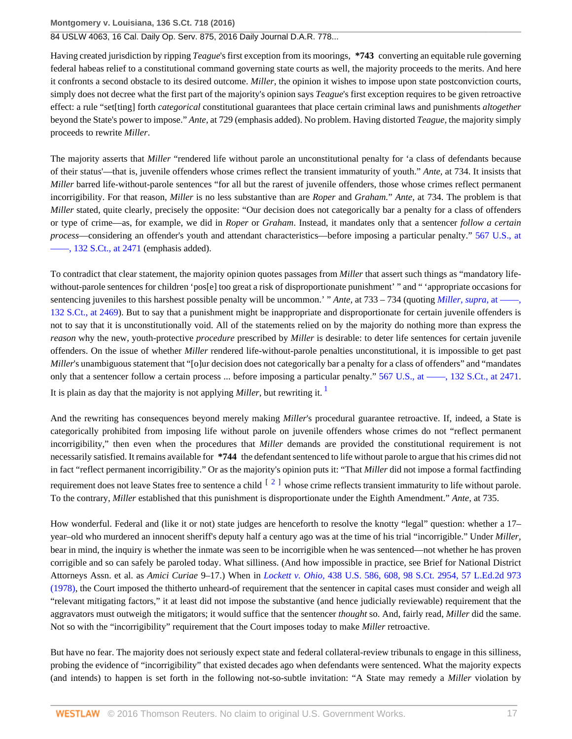### 84 USLW 4063, 16 Cal. Daily Op. Serv. 875, 2016 Daily Journal D.A.R. 778...

Having created jurisdiction by ripping *Teague*'s first exception from its moorings, **\*743** converting an equitable rule governing federal habeas relief to a constitutional command governing state courts as well, the majority proceeds to the merits. And here it confronts a second obstacle to its desired outcome. *Miller*, the opinion it wishes to impose upon state postconviction courts, simply does not decree what the first part of the majority's opinion says *Teague*'s first exception requires to be given retroactive effect: a rule "set[ting] forth *categorical* constitutional guarantees that place certain criminal laws and punishments *altogether* beyond the State's power to impose." *Ante,* at 729 (emphasis added). No problem. Having distorted *Teague,* the majority simply proceeds to rewrite *Miller*.

The majority asserts that *Miller* "rendered life without parole an unconstitutional penalty for 'a class of defendants because of their status'—that is, juvenile offenders whose crimes reflect the transient immaturity of youth." *Ante,* at 734. It insists that *Miller* barred life-without-parole sentences "for all but the rarest of juvenile offenders, those whose crimes reflect permanent incorrigibility. For that reason, *Miller* is no less substantive than are *Roper* and *Graham.*" *Ante,* at 734. The problem is that *Miller* stated, quite clearly, precisely the opposite: "Our decision does not categorically bar a penalty for a class of offenders or type of crime—as, for example, we did in *Roper* or *Graham*. Instead, it mandates only that a sentencer *follow a certain process*—considering an offender's youth and attendant characteristics—before imposing a particular penalty." [567 U.S., at](http://www.westlaw.com/Link/Document/FullText?findType=Y&serNum=2027964006&pubNum=0000708&originatingDoc=I3698b26ac34e11e5a795ac035416da91&refType=RP&fi=co_pp_sp_708_2471&originationContext=document&vr=3.0&rs=cblt1.0&transitionType=DocumentItem&contextData=(sc.Search)#co_pp_sp_708_2471)  $-$ , 132 S.Ct., at 2471 (emphasis added).

To contradict that clear statement, the majority opinion quotes passages from *Miller* that assert such things as "mandatory lifewithout-parole sentences for children 'pos[e] too great a risk of disproportionate punishment' " and " 'appropriate occasions for sentencing juveniles to this harshest possible penalty will be uncommon.' " *Ante,* at 733 – 734 (quoting *[Miller, supra,](http://www.westlaw.com/Link/Document/FullText?findType=Y&serNum=2027964006&pubNum=0000708&originatingDoc=I3698b26ac34e11e5a795ac035416da91&refType=RP&fi=co_pp_sp_708_2469&originationContext=document&vr=3.0&rs=cblt1.0&transitionType=DocumentItem&contextData=(sc.Search)#co_pp_sp_708_2469)* at ––––, [132 S.Ct., at 2469\)](http://www.westlaw.com/Link/Document/FullText?findType=Y&serNum=2027964006&pubNum=0000708&originatingDoc=I3698b26ac34e11e5a795ac035416da91&refType=RP&fi=co_pp_sp_708_2469&originationContext=document&vr=3.0&rs=cblt1.0&transitionType=DocumentItem&contextData=(sc.Search)#co_pp_sp_708_2469). But to say that a punishment might be inappropriate and disproportionate for certain juvenile offenders is not to say that it is unconstitutionally void. All of the statements relied on by the majority do nothing more than express the *reason* why the new, youth-protective *procedure* prescribed by *Miller* is desirable: to deter life sentences for certain juvenile offenders. On the issue of whether *Miller* rendered life-without-parole penalties unconstitutional, it is impossible to get past *Miller*'s unambiguous statement that "[o]ur decision does not categorically bar a penalty for a class of offenders" and "mandates" only that a sentencer follow a certain process ... before imposing a particular penalty." [567 U.S., at ––––, 132 S.Ct., at 2471](http://www.westlaw.com/Link/Document/FullText?findType=Y&serNum=2027964006&pubNum=0000708&originatingDoc=I3698b26ac34e11e5a795ac035416da91&refType=RP&fi=co_pp_sp_708_2471&originationContext=document&vr=3.0&rs=cblt1.0&transitionType=DocumentItem&contextData=(sc.Search)#co_pp_sp_708_2471). It is plain as day that the majority is not applying *Miller*, but rewriting it. [1](#page-21-1)

<span id="page-16-0"></span>And the rewriting has consequences beyond merely making *Miller*'s procedural guarantee retroactive. If, indeed, a State is categorically prohibited from imposing life without parole on juvenile offenders whose crimes do not "reflect permanent incorrigibility," then even when the procedures that *Miller* demands are provided the constitutional requirement is not necessarily satisfied. It remains available for **\*744** the defendant sentenced to life without parole to argue that his crimes did not in fact "reflect permanent incorrigibility." Or as the majority's opinion puts it: "That *Miller* did not impose a formal factfinding requirement does not leave States free to sentence a child  $\left[\begin{array}{c} 2 \end{array}\right]$  $\left[\begin{array}{c} 2 \end{array}\right]$  $\left[\begin{array}{c} 2 \end{array}\right]$  whose crime reflects transient immaturity to life without parole. To the contrary, *Miller* established that this punishment is disproportionate under the Eighth Amendment." *Ante,* at 735.

<span id="page-16-1"></span>How wonderful. Federal and (like it or not) state judges are henceforth to resolve the knotty "legal" question: whether a 17– year–old who murdered an innocent sheriff's deputy half a century ago was at the time of his trial "incorrigible." Under *Miller*, bear in mind, the inquiry is whether the inmate was seen to be incorrigible when he was sentenced—not whether he has proven corrigible and so can safely be paroled today. What silliness. (And how impossible in practice, see Brief for National District Attorneys Assn. et al. as *Amici Curiae* 9–17.) When in *Lockett v. Ohio,* [438 U.S. 586, 608, 98 S.Ct. 2954, 57 L.Ed.2d 973](http://www.westlaw.com/Link/Document/FullText?findType=Y&serNum=1978139513&pubNum=0000708&originatingDoc=I3698b26ac34e11e5a795ac035416da91&refType=RP&originationContext=document&vr=3.0&rs=cblt1.0&transitionType=DocumentItem&contextData=(sc.Search)) [\(1978\),](http://www.westlaw.com/Link/Document/FullText?findType=Y&serNum=1978139513&pubNum=0000708&originatingDoc=I3698b26ac34e11e5a795ac035416da91&refType=RP&originationContext=document&vr=3.0&rs=cblt1.0&transitionType=DocumentItem&contextData=(sc.Search)) the Court imposed the thitherto unheard-of requirement that the sentencer in capital cases must consider and weigh all "relevant mitigating factors," it at least did not impose the substantive (and hence judicially reviewable) requirement that the aggravators must outweigh the mitigators; it would suffice that the sentencer *thought* so. And, fairly read, *Miller* did the same. Not so with the "incorrigibility" requirement that the Court imposes today to make *Miller* retroactive.

But have no fear. The majority does not seriously expect state and federal collateral-review tribunals to engage in this silliness, probing the evidence of "incorrigibility" that existed decades ago when defendants were sentenced. What the majority expects (and intends) to happen is set forth in the following not-so-subtle invitation: "A State may remedy a *Miller* violation by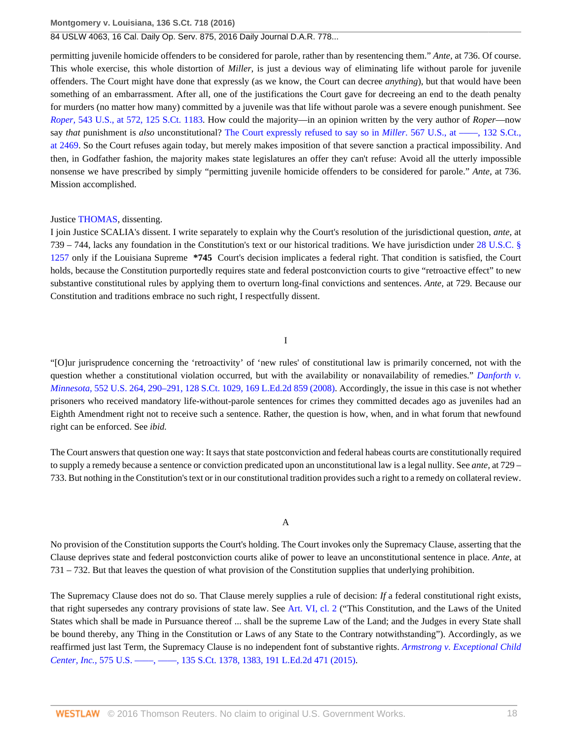## 84 USLW 4063, 16 Cal. Daily Op. Serv. 875, 2016 Daily Journal D.A.R. 778...

permitting juvenile homicide offenders to be considered for parole, rather than by resentencing them." *Ante,* at 736. Of course. This whole exercise, this whole distortion of *Miller*, is just a devious way of eliminating life without parole for juvenile offenders. The Court might have done that expressly (as we know, the Court can decree *anything*), but that would have been something of an embarrassment. After all, one of the justifications the Court gave for decreeing an end to the death penalty for murders (no matter how many) committed by a juvenile was that life without parole was a severe enough punishment. See *Roper,* [543 U.S., at 572, 125 S.Ct. 1183.](http://www.westlaw.com/Link/Document/FullText?findType=Y&serNum=2006291922&pubNum=0000708&originatingDoc=I3698b26ac34e11e5a795ac035416da91&refType=RP&originationContext=document&vr=3.0&rs=cblt1.0&transitionType=DocumentItem&contextData=(sc.Search)) How could the majority—in an opinion written by the very author of *Roper*—now say *that* punishment is *also* unconstitutional? [The Court expressly refused to say so in](http://www.westlaw.com/Link/Document/FullText?findType=Y&serNum=2027964006&pubNum=0000708&originatingDoc=I3698b26ac34e11e5a795ac035416da91&refType=RP&fi=co_pp_sp_708_2469&originationContext=document&vr=3.0&rs=cblt1.0&transitionType=DocumentItem&contextData=(sc.Search)#co_pp_sp_708_2469) *Miller*. 567 U.S., at ——, 132 S.Ct., [at 2469.](http://www.westlaw.com/Link/Document/FullText?findType=Y&serNum=2027964006&pubNum=0000708&originatingDoc=I3698b26ac34e11e5a795ac035416da91&refType=RP&fi=co_pp_sp_708_2469&originationContext=document&vr=3.0&rs=cblt1.0&transitionType=DocumentItem&contextData=(sc.Search)#co_pp_sp_708_2469) So the Court refuses again today, but merely makes imposition of that severe sanction a practical impossibility. And then, in Godfather fashion, the majority makes state legislatures an offer they can't refuse: Avoid all the utterly impossible nonsense we have prescribed by simply "permitting juvenile homicide offenders to be considered for parole." *Ante,* at 736. Mission accomplished.

Justice [THOMAS,](http://www.westlaw.com/Link/Document/FullText?findType=h&pubNum=176284&cite=0216654601&originatingDoc=I3698b26ac34e11e5a795ac035416da91&refType=RQ&originationContext=document&vr=3.0&rs=cblt1.0&transitionType=DocumentItem&contextData=(sc.Search)) dissenting.

I join Justice SCALIA's dissent. I write separately to explain why the Court's resolution of the jurisdictional question, *ante,* at 739 – 744, lacks any foundation in the Constitution's text or our historical traditions. We have jurisdiction under [28 U.S.C. §](http://www.westlaw.com/Link/Document/FullText?findType=L&pubNum=1000546&cite=28USCAS1257&originatingDoc=I3698b26ac34e11e5a795ac035416da91&refType=LQ&originationContext=document&vr=3.0&rs=cblt1.0&transitionType=DocumentItem&contextData=(sc.Search)) [1257](http://www.westlaw.com/Link/Document/FullText?findType=L&pubNum=1000546&cite=28USCAS1257&originatingDoc=I3698b26ac34e11e5a795ac035416da91&refType=LQ&originationContext=document&vr=3.0&rs=cblt1.0&transitionType=DocumentItem&contextData=(sc.Search)) only if the Louisiana Supreme **\*745** Court's decision implicates a federal right. That condition is satisfied, the Court holds, because the Constitution purportedly requires state and federal postconviction courts to give "retroactive effect" to new substantive constitutional rules by applying them to overturn long-final convictions and sentences. *Ante,* at 729. Because our Constitution and traditions embrace no such right, I respectfully dissent.

## I

"[O]ur jurisprudence concerning the 'retroactivity' of 'new rules' of constitutional law is primarily concerned, not with the question whether a constitutional violation occurred, but with the availability or nonavailability of remedies." *[Danforth v.](http://www.westlaw.com/Link/Document/FullText?findType=Y&serNum=2015291207&pubNum=0000708&originatingDoc=I3698b26ac34e11e5a795ac035416da91&refType=RP&originationContext=document&vr=3.0&rs=cblt1.0&transitionType=DocumentItem&contextData=(sc.Search)) Minnesota,* [552 U.S. 264, 290–291, 128 S.Ct. 1029, 169 L.Ed.2d 859 \(2008\).](http://www.westlaw.com/Link/Document/FullText?findType=Y&serNum=2015291207&pubNum=0000708&originatingDoc=I3698b26ac34e11e5a795ac035416da91&refType=RP&originationContext=document&vr=3.0&rs=cblt1.0&transitionType=DocumentItem&contextData=(sc.Search)) Accordingly, the issue in this case is not whether prisoners who received mandatory life-without-parole sentences for crimes they committed decades ago as juveniles had an Eighth Amendment right not to receive such a sentence. Rather, the question is how, when, and in what forum that newfound right can be enforced. See *ibid.*

The Court answers that question one way: It says that state postconviction and federal habeas courts are constitutionally required to supply a remedy because a sentence or conviction predicated upon an unconstitutional law is a legal nullity. See *ante,* at 729 – 733. But nothing in the Constitution's text or in our constitutional tradition provides such a right to a remedy on collateral review.

### A

No provision of the Constitution supports the Court's holding. The Court invokes only the Supremacy Clause, asserting that the Clause deprives state and federal postconviction courts alike of power to leave an unconstitutional sentence in place. *Ante,* at 731 – 732. But that leaves the question of what provision of the Constitution supplies that underlying prohibition.

The Supremacy Clause does not do so. That Clause merely supplies a rule of decision: *If* a federal constitutional right exists, that right supersedes any contrary provisions of state law. See [Art. VI, cl. 2](http://www.westlaw.com/Link/Document/FullText?findType=L&pubNum=1000583&cite=USCOARTVICL2&originatingDoc=I3698b26ac34e11e5a795ac035416da91&refType=LQ&originationContext=document&vr=3.0&rs=cblt1.0&transitionType=DocumentItem&contextData=(sc.Search)) ("This Constitution, and the Laws of the United States which shall be made in Pursuance thereof ... shall be the supreme Law of the Land; and the Judges in every State shall be bound thereby, any Thing in the Constitution or Laws of any State to the Contrary notwithstanding"). Accordingly, as we reaffirmed just last Term, the Supremacy Clause is no independent font of substantive rights. *[Armstrong v. Exceptional Child](http://www.westlaw.com/Link/Document/FullText?findType=Y&serNum=2035720644&pubNum=0000708&originatingDoc=I3698b26ac34e11e5a795ac035416da91&refType=RP&fi=co_pp_sp_708_1383&originationContext=document&vr=3.0&rs=cblt1.0&transitionType=DocumentItem&contextData=(sc.Search)#co_pp_sp_708_1383) Center, Inc.,* [575 U.S. ––––, ––––, 135 S.Ct. 1378, 1383, 191 L.Ed.2d 471 \(2015\).](http://www.westlaw.com/Link/Document/FullText?findType=Y&serNum=2035720644&pubNum=0000708&originatingDoc=I3698b26ac34e11e5a795ac035416da91&refType=RP&fi=co_pp_sp_708_1383&originationContext=document&vr=3.0&rs=cblt1.0&transitionType=DocumentItem&contextData=(sc.Search)#co_pp_sp_708_1383)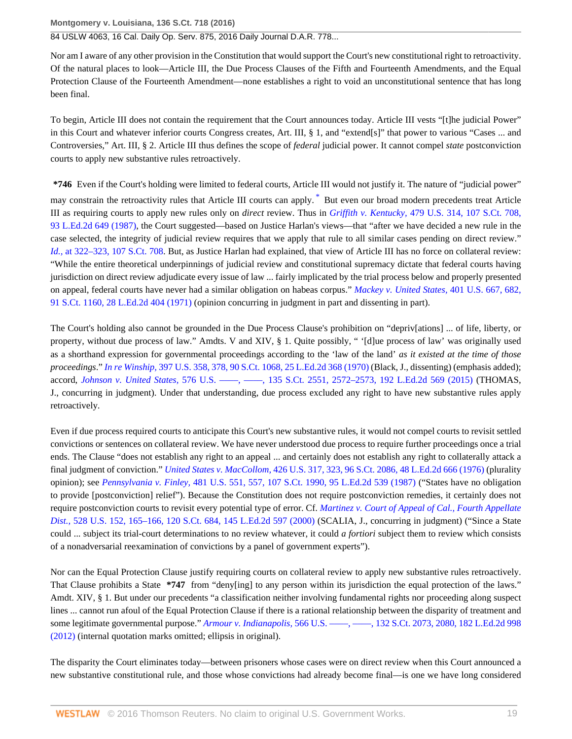Nor am I aware of any other provision in the Constitution that would support the Court's new constitutional right to retroactivity. Of the natural places to look—Article III, the Due Process Clauses of the Fifth and Fourteenth Amendments, and the Equal Protection Clause of the Fourteenth Amendment—none establishes a right to void an unconstitutional sentence that has long been final.

To begin, Article III does not contain the requirement that the Court announces today. Article III vests "[t]he judicial Power" in this Court and whatever inferior courts Congress creates, Art. III, § 1, and "extend[s]" that power to various "Cases ... and Controversies," Art. III, § 2. Article III thus defines the scope of *federal* judicial power. It cannot compel *state* postconviction courts to apply new substantive rules retroactively.

<span id="page-18-0"></span>**\*746** Even if the Court's holding were limited to federal courts, Article III would not justify it. The nature of "judicial power" may constrain the retroactivity rules that Article III courts can apply.<sup>[\\*](#page-21-3)</sup> But even our broad modern precedents treat Article III as requiring courts to apply new rules only on *direct* review. Thus in *Griffith v. Kentucky,* [479 U.S. 314, 107 S.Ct. 708,](http://www.westlaw.com/Link/Document/FullText?findType=Y&serNum=1987004131&pubNum=0000708&originatingDoc=I3698b26ac34e11e5a795ac035416da91&refType=RP&originationContext=document&vr=3.0&rs=cblt1.0&transitionType=DocumentItem&contextData=(sc.Search)) [93 L.Ed.2d 649 \(1987\),](http://www.westlaw.com/Link/Document/FullText?findType=Y&serNum=1987004131&pubNum=0000708&originatingDoc=I3698b26ac34e11e5a795ac035416da91&refType=RP&originationContext=document&vr=3.0&rs=cblt1.0&transitionType=DocumentItem&contextData=(sc.Search)) the Court suggested—based on Justice Harlan's views—that "after we have decided a new rule in the case selected, the integrity of judicial review requires that we apply that rule to all similar cases pending on direct review." *Id.,* [at 322–323, 107 S.Ct. 708.](http://www.westlaw.com/Link/Document/FullText?findType=Y&serNum=1987004131&pubNum=0000708&originatingDoc=I3698b26ac34e11e5a795ac035416da91&refType=RP&originationContext=document&vr=3.0&rs=cblt1.0&transitionType=DocumentItem&contextData=(sc.Search)) But, as Justice Harlan had explained, that view of Article III has no force on collateral review: "While the entire theoretical underpinnings of judicial review and constitutional supremacy dictate that federal courts having jurisdiction on direct review adjudicate every issue of law ... fairly implicated by the trial process below and properly presented on appeal, federal courts have never had a similar obligation on habeas corpus." *[Mackey v. United States,](http://www.westlaw.com/Link/Document/FullText?findType=Y&serNum=1971127047&pubNum=0000708&originatingDoc=I3698b26ac34e11e5a795ac035416da91&refType=RP&originationContext=document&vr=3.0&rs=cblt1.0&transitionType=DocumentItem&contextData=(sc.Search))* 401 U.S. 667, 682, [91 S.Ct. 1160, 28 L.Ed.2d 404 \(1971\)](http://www.westlaw.com/Link/Document/FullText?findType=Y&serNum=1971127047&pubNum=0000708&originatingDoc=I3698b26ac34e11e5a795ac035416da91&refType=RP&originationContext=document&vr=3.0&rs=cblt1.0&transitionType=DocumentItem&contextData=(sc.Search)) (opinion concurring in judgment in part and dissenting in part).

The Court's holding also cannot be grounded in the Due Process Clause's prohibition on "depriv[ations] ... of life, liberty, or property, without due process of law." Amdts. V and XIV, § 1. Quite possibly, " '[d]ue process of law' was originally used as a shorthand expression for governmental proceedings according to the 'law of the land' *as it existed at the time of those proceedings*." *In re Winship,* [397 U.S. 358, 378, 90 S.Ct. 1068, 25 L.Ed.2d 368 \(1970\)](http://www.westlaw.com/Link/Document/FullText?findType=Y&serNum=1970134205&pubNum=0000708&originatingDoc=I3698b26ac34e11e5a795ac035416da91&refType=RP&originationContext=document&vr=3.0&rs=cblt1.0&transitionType=DocumentItem&contextData=(sc.Search)) (Black, J., dissenting) (emphasis added); accord, *Johnson v. United States,* 576 U.S. —–, —–, 135 S.Ct. 2551, 2572-2573, 192 L.Ed.2d 569 (2015) (THOMAS, J., concurring in judgment). Under that understanding, due process excluded any right to have new substantive rules apply retroactively.

Even if due process required courts to anticipate this Court's new substantive rules, it would not compel courts to revisit settled convictions or sentences on collateral review. We have never understood due process to require further proceedings once a trial ends. The Clause "does not establish any right to an appeal ... and certainly does not establish any right to collaterally attack a final judgment of conviction." *United States v. MacCollom,* [426 U.S. 317, 323, 96 S.Ct. 2086, 48 L.Ed.2d 666 \(1976\)](http://www.westlaw.com/Link/Document/FullText?findType=Y&serNum=1976142395&pubNum=0000708&originatingDoc=I3698b26ac34e11e5a795ac035416da91&refType=RP&originationContext=document&vr=3.0&rs=cblt1.0&transitionType=DocumentItem&contextData=(sc.Search)) (plurality opinion); see *Pennsylvania v. Finley,* [481 U.S. 551, 557, 107 S.Ct. 1990, 95 L.Ed.2d 539 \(1987\)](http://www.westlaw.com/Link/Document/FullText?findType=Y&serNum=1987062379&pubNum=0000708&originatingDoc=I3698b26ac34e11e5a795ac035416da91&refType=RP&originationContext=document&vr=3.0&rs=cblt1.0&transitionType=DocumentItem&contextData=(sc.Search)) ("States have no obligation to provide [postconviction] relief"). Because the Constitution does not require postconviction remedies, it certainly does not require postconviction courts to revisit every potential type of error. Cf. *[Martinez v. Court of Appeal of Cal., Fourth Appellate](http://www.westlaw.com/Link/Document/FullText?findType=Y&serNum=2000029542&pubNum=0000708&originatingDoc=I3698b26ac34e11e5a795ac035416da91&refType=RP&originationContext=document&vr=3.0&rs=cblt1.0&transitionType=DocumentItem&contextData=(sc.Search)) Dist.,* [528 U.S. 152, 165–166, 120 S.Ct. 684, 145 L.Ed.2d 597 \(2000\)](http://www.westlaw.com/Link/Document/FullText?findType=Y&serNum=2000029542&pubNum=0000708&originatingDoc=I3698b26ac34e11e5a795ac035416da91&refType=RP&originationContext=document&vr=3.0&rs=cblt1.0&transitionType=DocumentItem&contextData=(sc.Search)) (SCALIA, J., concurring in judgment) ("Since a State could ... subject its trial-court determinations to no review whatever, it could *a fortiori* subject them to review which consists of a nonadversarial reexamination of convictions by a panel of government experts").

Nor can the Equal Protection Clause justify requiring courts on collateral review to apply new substantive rules retroactively. That Clause prohibits a State **\*747** from "deny[ing] to any person within its jurisdiction the equal protection of the laws." Amdt. XIV, § 1. But under our precedents "a classification neither involving fundamental rights nor proceeding along suspect lines ... cannot run afoul of the Equal Protection Clause if there is a rational relationship between the disparity of treatment and some legitimate governmental purpose." *Armour v. Indianapolis,* [566 U.S. ––––, ––––, 132 S.Ct. 2073, 2080, 182 L.Ed.2d 998](http://www.westlaw.com/Link/Document/FullText?findType=Y&serNum=2027820521&pubNum=0000708&originatingDoc=I3698b26ac34e11e5a795ac035416da91&refType=RP&fi=co_pp_sp_708_2080&originationContext=document&vr=3.0&rs=cblt1.0&transitionType=DocumentItem&contextData=(sc.Search)#co_pp_sp_708_2080) [\(2012\)](http://www.westlaw.com/Link/Document/FullText?findType=Y&serNum=2027820521&pubNum=0000708&originatingDoc=I3698b26ac34e11e5a795ac035416da91&refType=RP&fi=co_pp_sp_708_2080&originationContext=document&vr=3.0&rs=cblt1.0&transitionType=DocumentItem&contextData=(sc.Search)#co_pp_sp_708_2080) (internal quotation marks omitted; ellipsis in original).

The disparity the Court eliminates today—between prisoners whose cases were on direct review when this Court announced a new substantive constitutional rule, and those whose convictions had already become final—is one we have long considered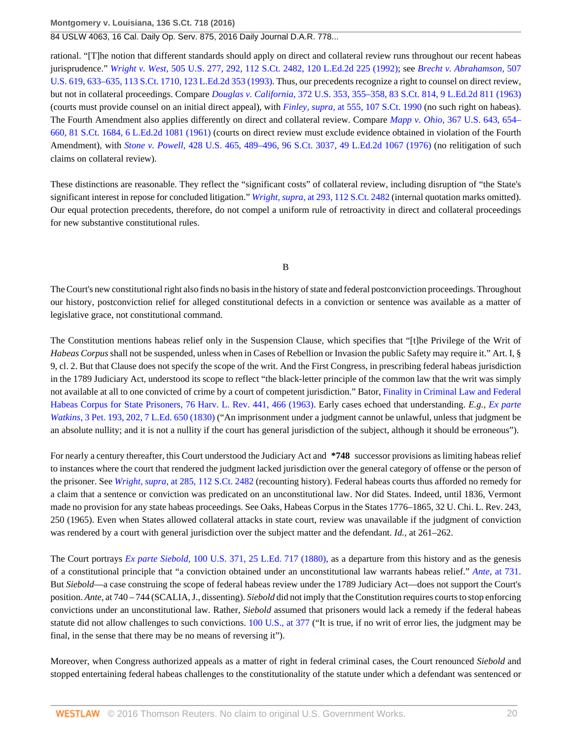#### 84 USLW 4063, 16 Cal. Daily Op. Serv. 875, 2016 Daily Journal D.A.R. 778...

rational. "[T]he notion that different standards should apply on direct and collateral review runs throughout our recent habeas jurisprudence." *Wright v. West,* [505 U.S. 277, 292, 112 S.Ct. 2482, 120 L.Ed.2d 225 \(1992\)](http://www.westlaw.com/Link/Document/FullText?findType=Y&serNum=1992111126&pubNum=0000708&originatingDoc=I3698b26ac34e11e5a795ac035416da91&refType=RP&originationContext=document&vr=3.0&rs=cblt1.0&transitionType=DocumentItem&contextData=(sc.Search)); see *[Brecht v. Abrahamson,](http://www.westlaw.com/Link/Document/FullText?findType=Y&serNum=1993088996&pubNum=0000708&originatingDoc=I3698b26ac34e11e5a795ac035416da91&refType=RP&originationContext=document&vr=3.0&rs=cblt1.0&transitionType=DocumentItem&contextData=(sc.Search))* 507 [U.S. 619, 633–635, 113 S.Ct. 1710, 123 L.Ed.2d 353 \(1993\)](http://www.westlaw.com/Link/Document/FullText?findType=Y&serNum=1993088996&pubNum=0000708&originatingDoc=I3698b26ac34e11e5a795ac035416da91&refType=RP&originationContext=document&vr=3.0&rs=cblt1.0&transitionType=DocumentItem&contextData=(sc.Search)). Thus, our precedents recognize a right to counsel on direct review, but not in collateral proceedings. Compare *Douglas v. California,* [372 U.S. 353, 355–358, 83 S.Ct. 814, 9 L.Ed.2d 811 \(1963\)](http://www.westlaw.com/Link/Document/FullText?findType=Y&serNum=1963125315&pubNum=0000708&originatingDoc=I3698b26ac34e11e5a795ac035416da91&refType=RP&originationContext=document&vr=3.0&rs=cblt1.0&transitionType=DocumentItem&contextData=(sc.Search)) (courts must provide counsel on an initial direct appeal), with *Finley, supra,* [at 555, 107 S.Ct. 1990](http://www.westlaw.com/Link/Document/FullText?findType=Y&serNum=1987062379&pubNum=0000708&originatingDoc=I3698b26ac34e11e5a795ac035416da91&refType=RP&originationContext=document&vr=3.0&rs=cblt1.0&transitionType=DocumentItem&contextData=(sc.Search)) (no such right on habeas). The Fourth Amendment also applies differently on direct and collateral review. Compare *Mapp v. Ohio,* [367 U.S. 643, 654–](http://www.westlaw.com/Link/Document/FullText?findType=Y&serNum=1961125528&pubNum=0000708&originatingDoc=I3698b26ac34e11e5a795ac035416da91&refType=RP&originationContext=document&vr=3.0&rs=cblt1.0&transitionType=DocumentItem&contextData=(sc.Search)) [660, 81 S.Ct. 1684, 6 L.Ed.2d 1081 \(1961\)](http://www.westlaw.com/Link/Document/FullText?findType=Y&serNum=1961125528&pubNum=0000708&originatingDoc=I3698b26ac34e11e5a795ac035416da91&refType=RP&originationContext=document&vr=3.0&rs=cblt1.0&transitionType=DocumentItem&contextData=(sc.Search)) (courts on direct review must exclude evidence obtained in violation of the Fourth Amendment), with *Stone v. Powell,* [428 U.S. 465, 489–496, 96 S.Ct. 3037, 49 L.Ed.2d 1067 \(1976\)](http://www.westlaw.com/Link/Document/FullText?findType=Y&serNum=1976142452&pubNum=0000708&originatingDoc=I3698b26ac34e11e5a795ac035416da91&refType=RP&originationContext=document&vr=3.0&rs=cblt1.0&transitionType=DocumentItem&contextData=(sc.Search)) (no relitigation of such claims on collateral review).

These distinctions are reasonable. They reflect the "significant costs" of collateral review, including disruption of "the State's significant interest in repose for concluded litigation." *Wright, supra,* [at 293, 112 S.Ct. 2482](http://www.westlaw.com/Link/Document/FullText?findType=Y&serNum=1992111126&pubNum=0000708&originatingDoc=I3698b26ac34e11e5a795ac035416da91&refType=RP&originationContext=document&vr=3.0&rs=cblt1.0&transitionType=DocumentItem&contextData=(sc.Search)) (internal quotation marks omitted). Our equal protection precedents, therefore, do not compel a uniform rule of retroactivity in direct and collateral proceedings for new substantive constitutional rules.

#### B

The Court's new constitutional right also finds no basis in the history of state and federal postconviction proceedings. Throughout our history, postconviction relief for alleged constitutional defects in a conviction or sentence was available as a matter of legislative grace, not constitutional command.

The Constitution mentions habeas relief only in the Suspension Clause, which specifies that "[t]he Privilege of the Writ of *Habeas Corpus* shall not be suspended, unless when in Cases of Rebellion or Invasion the public Safety may require it." Art. I, § 9, cl. 2. But that Clause does not specify the scope of the writ. And the First Congress, in prescribing federal habeas jurisdiction in the 1789 Judiciary Act, understood its scope to reflect "the black-letter principle of the common law that the writ was simply not available at all to one convicted of crime by a court of competent jurisdiction." Bator, [Finality in Criminal Law and Federal](http://www.westlaw.com/Link/Document/FullText?findType=Y&serNum=0110388027&pubNum=0003084&originatingDoc=I3698b26ac34e11e5a795ac035416da91&refType=LR&fi=co_pp_sp_3084_466&originationContext=document&vr=3.0&rs=cblt1.0&transitionType=DocumentItem&contextData=(sc.Search)#co_pp_sp_3084_466) [Habeas Corpus for State Prisoners, 76 Harv. L. Rev. 441, 466 \(1963\).](http://www.westlaw.com/Link/Document/FullText?findType=Y&serNum=0110388027&pubNum=0003084&originatingDoc=I3698b26ac34e11e5a795ac035416da91&refType=LR&fi=co_pp_sp_3084_466&originationContext=document&vr=3.0&rs=cblt1.0&transitionType=DocumentItem&contextData=(sc.Search)#co_pp_sp_3084_466) Early cases echoed that understanding. *E.g., [Ex parte](http://www.westlaw.com/Link/Document/FullText?findType=Y&serNum=1800139025&pubNum=0000780&originatingDoc=I3698b26ac34e11e5a795ac035416da91&refType=RP&fi=co_pp_sp_780_202&originationContext=document&vr=3.0&rs=cblt1.0&transitionType=DocumentItem&contextData=(sc.Search)#co_pp_sp_780_202) Watkins,* [3 Pet. 193, 202, 7 L.Ed. 650 \(1830\)](http://www.westlaw.com/Link/Document/FullText?findType=Y&serNum=1800139025&pubNum=0000780&originatingDoc=I3698b26ac34e11e5a795ac035416da91&refType=RP&fi=co_pp_sp_780_202&originationContext=document&vr=3.0&rs=cblt1.0&transitionType=DocumentItem&contextData=(sc.Search)#co_pp_sp_780_202) ("An imprisonment under a judgment cannot be unlawful, unless that judgment be an absolute nullity; and it is not a nullity if the court has general jurisdiction of the subject, although it should be erroneous").

For nearly a century thereafter, this Court understood the Judiciary Act and **\*748** successor provisions as limiting habeas relief to instances where the court that rendered the judgment lacked jurisdiction over the general category of offense or the person of the prisoner. See *Wright, supra,* [at 285, 112 S.Ct. 2482](http://www.westlaw.com/Link/Document/FullText?findType=Y&serNum=1992111126&pubNum=0000708&originatingDoc=I3698b26ac34e11e5a795ac035416da91&refType=RP&originationContext=document&vr=3.0&rs=cblt1.0&transitionType=DocumentItem&contextData=(sc.Search)) (recounting history). Federal habeas courts thus afforded no remedy for a claim that a sentence or conviction was predicated on an unconstitutional law. Nor did States. Indeed, until 1836, Vermont made no provision for any state habeas proceedings. See Oaks, Habeas Corpus in the States 1776–1865, 32 U. Chi. L. Rev. 243, 250 (1965). Even when States allowed collateral attacks in state court, review was unavailable if the judgment of conviction was rendered by a court with general jurisdiction over the subject matter and the defendant. *Id.,* at 261–262.

The Court portrays *Ex parte Siebold,* [100 U.S. 371, 25 L.Ed. 717 \(1880\)](http://www.westlaw.com/Link/Document/FullText?findType=Y&serNum=1800131032&pubNum=0000780&originatingDoc=I3698b26ac34e11e5a795ac035416da91&refType=RP&originationContext=document&vr=3.0&rs=cblt1.0&transitionType=DocumentItem&contextData=(sc.Search)), as a departure from this history and as the genesis of a constitutional principle that "a conviction obtained under an unconstitutional law warrants habeas relief." *Ante,* [at 731](http://www.westlaw.com/Link/Document/FullText?findType=Y&serNum=1800131032&pubNum=0000470&originatingDoc=I3698b26ac34e11e5a795ac035416da91&refType=RP&fi=co_pp_sp_470_731&originationContext=document&vr=3.0&rs=cblt1.0&transitionType=DocumentItem&contextData=(sc.Search)#co_pp_sp_470_731). But *Siebold*—a case construing the scope of federal habeas review under the 1789 Judiciary Act—does not support the Court's position. *Ante,* at 740 – 744 (SCALIA, J., dissenting). *Siebold* did not imply that the Constitution requires courts to stop enforcing convictions under an unconstitutional law. Rather, *Siebold* assumed that prisoners would lack a remedy if the federal habeas statute did not allow challenges to such convictions. [100 U.S., at 377](http://www.westlaw.com/Link/Document/FullText?findType=Y&serNum=1800131032&pubNum=0000780&originatingDoc=I3698b26ac34e11e5a795ac035416da91&refType=RP&fi=co_pp_sp_780_377&originationContext=document&vr=3.0&rs=cblt1.0&transitionType=DocumentItem&contextData=(sc.Search)#co_pp_sp_780_377) ("It is true, if no writ of error lies, the judgment may be final, in the sense that there may be no means of reversing it").

Moreover, when Congress authorized appeals as a matter of right in federal criminal cases, the Court renounced *Siebold* and stopped entertaining federal habeas challenges to the constitutionality of the statute under which a defendant was sentenced or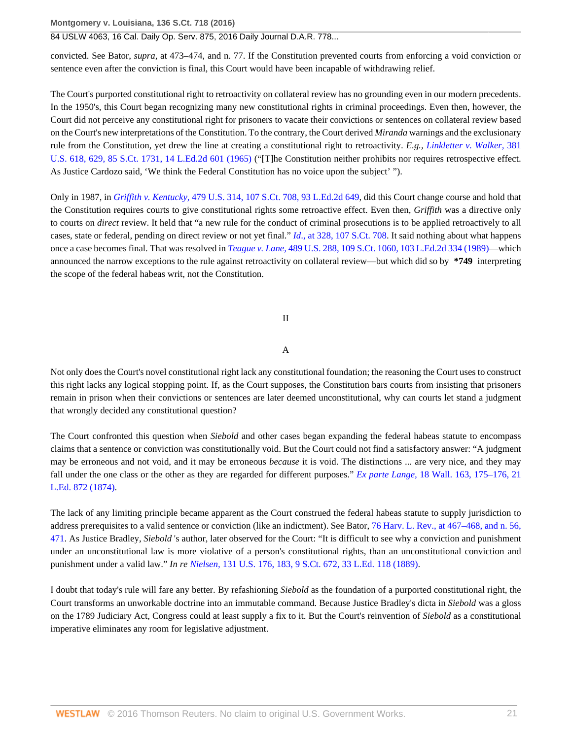84 USLW 4063, 16 Cal. Daily Op. Serv. 875, 2016 Daily Journal D.A.R. 778...

convicted. See Bator, *supra,* at 473–474, and n. 77. If the Constitution prevented courts from enforcing a void conviction or sentence even after the conviction is final, this Court would have been incapable of withdrawing relief.

The Court's purported constitutional right to retroactivity on collateral review has no grounding even in our modern precedents. In the 1950's, this Court began recognizing many new constitutional rights in criminal proceedings. Even then, however, the Court did not perceive any constitutional right for prisoners to vacate their convictions or sentences on collateral review based on the Court's new interpretations of the Constitution. To the contrary, the Court derived *Miranda* warnings and the exclusionary rule from the Constitution, yet drew the line at creating a constitutional right to retroactivity. *E.g., [Linkletter v. Walker,](http://www.westlaw.com/Link/Document/FullText?findType=Y&serNum=1965125100&pubNum=0000708&originatingDoc=I3698b26ac34e11e5a795ac035416da91&refType=RP&originationContext=document&vr=3.0&rs=cblt1.0&transitionType=DocumentItem&contextData=(sc.Search))* 381 [U.S. 618, 629, 85 S.Ct. 1731, 14 L.Ed.2d 601 \(1965\)](http://www.westlaw.com/Link/Document/FullText?findType=Y&serNum=1965125100&pubNum=0000708&originatingDoc=I3698b26ac34e11e5a795ac035416da91&refType=RP&originationContext=document&vr=3.0&rs=cblt1.0&transitionType=DocumentItem&contextData=(sc.Search)) ("[T]he Constitution neither prohibits nor requires retrospective effect. As Justice Cardozo said, 'We think the Federal Constitution has no voice upon the subject' ").

Only in 1987, in *Griffith v. Kentucky,* [479 U.S. 314, 107 S.Ct. 708, 93 L.Ed.2d 649,](http://www.westlaw.com/Link/Document/FullText?findType=Y&serNum=1987004131&pubNum=0000708&originatingDoc=I3698b26ac34e11e5a795ac035416da91&refType=RP&originationContext=document&vr=3.0&rs=cblt1.0&transitionType=DocumentItem&contextData=(sc.Search)) did this Court change course and hold that the Constitution requires courts to give constitutional rights some retroactive effect. Even then, *Griffith* was a directive only to courts on *direct* review. It held that "a new rule for the conduct of criminal prosecutions is to be applied retroactively to all cases, state or federal, pending on direct review or not yet final." *Id*[., at 328, 107 S.Ct. 708.](http://www.westlaw.com/Link/Document/FullText?findType=Y&serNum=1987004131&pubNum=0000708&originatingDoc=I3698b26ac34e11e5a795ac035416da91&refType=RP&originationContext=document&vr=3.0&rs=cblt1.0&transitionType=DocumentItem&contextData=(sc.Search)) It said nothing about what happens once a case becomes final. That was resolved in *Teague v. Lane,* [489 U.S. 288, 109 S.Ct. 1060, 103 L.Ed.2d 334 \(1989\)—](http://www.westlaw.com/Link/Document/FullText?findType=Y&serNum=1989027119&pubNum=0000708&originatingDoc=I3698b26ac34e11e5a795ac035416da91&refType=RP&originationContext=document&vr=3.0&rs=cblt1.0&transitionType=DocumentItem&contextData=(sc.Search))which announced the narrow exceptions to the rule against retroactivity on collateral review—but which did so by **\*749** interpreting the scope of the federal habeas writ, not the Constitution.

## II

### A

Not only does the Court's novel constitutional right lack any constitutional foundation; the reasoning the Court uses to construct this right lacks any logical stopping point. If, as the Court supposes, the Constitution bars courts from insisting that prisoners remain in prison when their convictions or sentences are later deemed unconstitutional, why can courts let stand a judgment that wrongly decided any constitutional question?

The Court confronted this question when *Siebold* and other cases began expanding the federal habeas statute to encompass claims that a sentence or conviction was constitutionally void. But the Court could not find a satisfactory answer: "A judgment may be erroneous and not void, and it may be erroneous *because* it is void. The distinctions ... are very nice, and they may fall under the one class or the other as they are regarded for different purposes." *Ex parte Lange,* [18 Wall. 163, 175–176, 21](http://www.westlaw.com/Link/Document/FullText?findType=Y&serNum=1873192095&pubNum=0000780&originatingDoc=I3698b26ac34e11e5a795ac035416da91&refType=RP&fi=co_pp_sp_780_175&originationContext=document&vr=3.0&rs=cblt1.0&transitionType=DocumentItem&contextData=(sc.Search)#co_pp_sp_780_175) [L.Ed. 872 \(1874\).](http://www.westlaw.com/Link/Document/FullText?findType=Y&serNum=1873192095&pubNum=0000780&originatingDoc=I3698b26ac34e11e5a795ac035416da91&refType=RP&fi=co_pp_sp_780_175&originationContext=document&vr=3.0&rs=cblt1.0&transitionType=DocumentItem&contextData=(sc.Search)#co_pp_sp_780_175)

The lack of any limiting principle became apparent as the Court construed the federal habeas statute to supply jurisdiction to address prerequisites to a valid sentence or conviction (like an indictment). See Bator, [76 Harv. L. Rev., at 467–468, and n. 56,](http://www.westlaw.com/Link/Document/FullText?findType=Y&serNum=0110388027&pubNum=0003084&originatingDoc=I3698b26ac34e11e5a795ac035416da91&refType=LR&fi=co_pp_sp_3084_467&originationContext=document&vr=3.0&rs=cblt1.0&transitionType=DocumentItem&contextData=(sc.Search)#co_pp_sp_3084_467) [471](http://www.westlaw.com/Link/Document/FullText?findType=Y&serNum=0110388027&pubNum=0003084&originatingDoc=I3698b26ac34e11e5a795ac035416da91&refType=LR&fi=co_pp_sp_3084_467&originationContext=document&vr=3.0&rs=cblt1.0&transitionType=DocumentItem&contextData=(sc.Search)#co_pp_sp_3084_467). As Justice Bradley, *Siebold* 's author, later observed for the Court: "It is difficult to see why a conviction and punishment under an unconstitutional law is more violative of a person's constitutional rights, than an unconstitutional conviction and punishment under a valid law." *In re Nielsen,* [131 U.S. 176, 183, 9 S.Ct. 672, 33 L.Ed. 118 \(1889\).](http://www.westlaw.com/Link/Document/FullText?findType=Y&serNum=1889180175&pubNum=0000708&originatingDoc=I3698b26ac34e11e5a795ac035416da91&refType=RP&originationContext=document&vr=3.0&rs=cblt1.0&transitionType=DocumentItem&contextData=(sc.Search))

I doubt that today's rule will fare any better. By refashioning *Siebold* as the foundation of a purported constitutional right, the Court transforms an unworkable doctrine into an immutable command. Because Justice Bradley's dicta in *Siebold* was a gloss on the 1789 Judiciary Act, Congress could at least supply a fix to it. But the Court's reinvention of *Siebold* as a constitutional imperative eliminates any room for legislative adjustment.